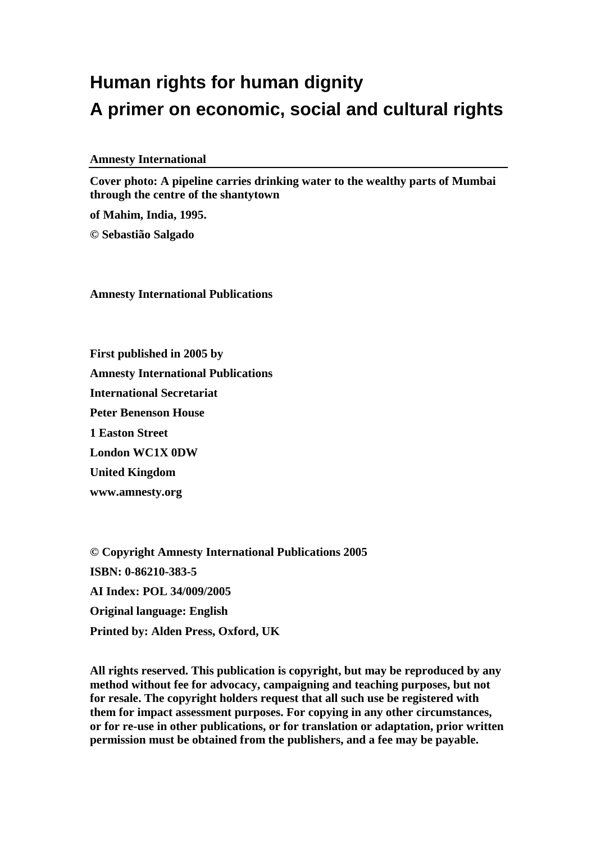# **Human rights for human dignity A primer on economic, social and cultural rights**

#### **Amnesty International**

**Cover photo: A pipeline carries drinking water to the wealthy parts of Mumbai through the centre of the shantytown** 

**of Mahim, India, 1995.** 

**© Sebastião Salgado**

**Amnesty International Publications**

**First published in 2005 by Amnesty International Publications International Secretariat Peter Benenson House 1 Easton Street London WC1X 0DW United Kingdom www.amnesty.org**

**© Copyright Amnesty International Publications 2005 ISBN: 0-86210-383-5 AI Index: POL 34/009/2005 Original language: English Printed by: Alden Press, Oxford, UK**

**All rights reserved. This publication is copyright, but may be reproduced by any method without fee for advocacy, campaigning and teaching purposes, but not for resale. The copyright holders request that all such use be registered with them for impact assessment purposes. For copying in any other circumstances, or for re-use in other publications, or for translation or adaptation, prior written permission must be obtained from the publishers, and a fee may be payable.**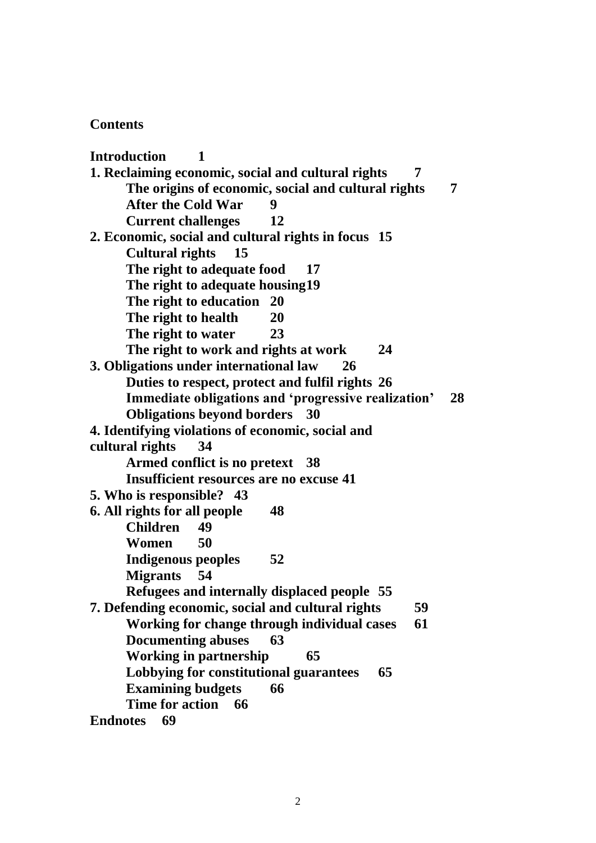## **Contents**

**Introduction 1 1. Reclaiming economic, social and cultural rights 7 The origins of economic, social and cultural rights 7 After the Cold War 9 Current challenges 12 2. Economic, social and cultural rights in focus 15 Cultural rights 15 The right to adequate food 17 The right to adequate housing19 The right to education 20 The right to health 20 The right to water 23 The right to work and rights at work 24 3. Obligations under international law 26 Duties to respect, protect and fulfil rights 26 Immediate obligations and 'progressive realization' 28 Obligations beyond borders 30 4. Identifying violations of economic, social and cultural rights 34 Armed conflict is no pretext 38 Insufficient resources are no excuse 41 5. Who is responsible? 43 6. All rights for all people 48 Children 49 Women 50 Indigenous peoples 52 Migrants 54 Refugees and internally displaced people 55 7. Defending economic, social and cultural rights 59 Working for change through individual cases 61 Documenting abuses 63 Working in partnership 65 Lobbying for constitutional guarantees 65 Examining budgets 66 Time for action 66 Endnotes 69**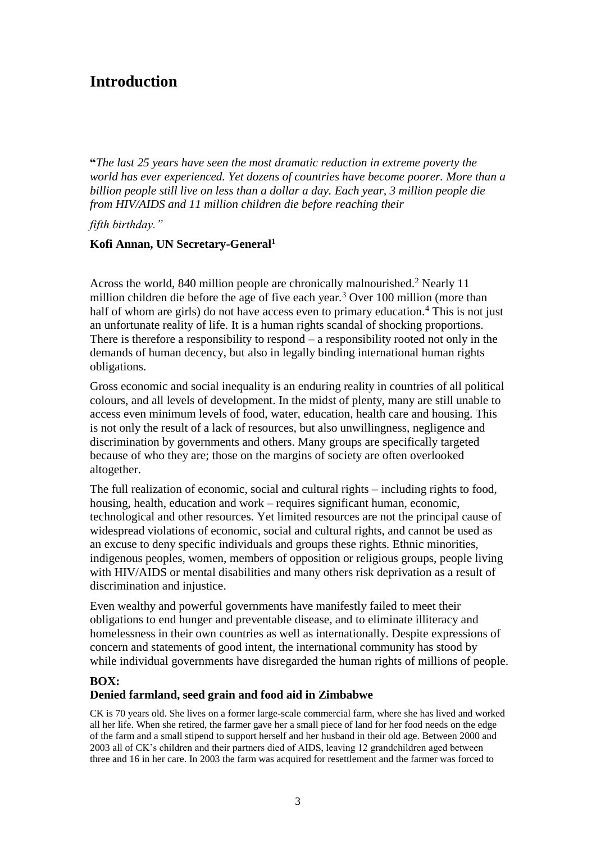## **Introduction**

**"***The last 25 years have seen the most dramatic reduction in extreme poverty the world has ever experienced. Yet dozens of countries have become poorer. More than a billion people still live on less than a dollar a day. Each year, 3 million people die from HIV/AIDS and 11 million children die before reaching their* 

*fifth birthday."*

## **Kofi Annan, UN Secretary-General<sup>1</sup>**

Across the world, 840 million people are chronically malnourished.<sup>2</sup> Nearly 11 million children die before the age of five each year.<sup>3</sup> Over 100 million (more than half of whom are girls) do not have access even to primary education.<sup>4</sup> This is not just an unfortunate reality of life. It is a human rights scandal of shocking proportions. There is therefore a responsibility to respond – a responsibility rooted not only in the demands of human decency, but also in legally binding international human rights obligations.

Gross economic and social inequality is an enduring reality in countries of all political colours, and all levels of development. In the midst of plenty, many are still unable to access even minimum levels of food, water, education, health care and housing. This is not only the result of a lack of resources, but also unwillingness, negligence and discrimination by governments and others. Many groups are specifically targeted because of who they are; those on the margins of society are often overlooked altogether.

The full realization of economic, social and cultural rights – including rights to food, housing, health, education and work – requires significant human, economic, technological and other resources. Yet limited resources are not the principal cause of widespread violations of economic, social and cultural rights, and cannot be used as an excuse to deny specific individuals and groups these rights. Ethnic minorities, indigenous peoples, women, members of opposition or religious groups, people living with HIV/AIDS or mental disabilities and many others risk deprivation as a result of discrimination and injustice.

Even wealthy and powerful governments have manifestly failed to meet their obligations to end hunger and preventable disease, and to eliminate illiteracy and homelessness in their own countries as well as internationally. Despite expressions of concern and statements of good intent, the international community has stood by while individual governments have disregarded the human rights of millions of people.

#### **BOX:**

## **Denied farmland, seed grain and food aid in Zimbabwe**

CK is 70 years old. She lives on a former large-scale commercial farm, where she has lived and worked all her life. When she retired, the farmer gave her a small piece of land for her food needs on the edge of the farm and a small stipend to support herself and her husband in their old age. Between 2000 and 2003 all of CK's children and their partners died of AIDS, leaving 12 grandchildren aged between three and 16 in her care. In 2003 the farm was acquired for resettlement and the farmer was forced to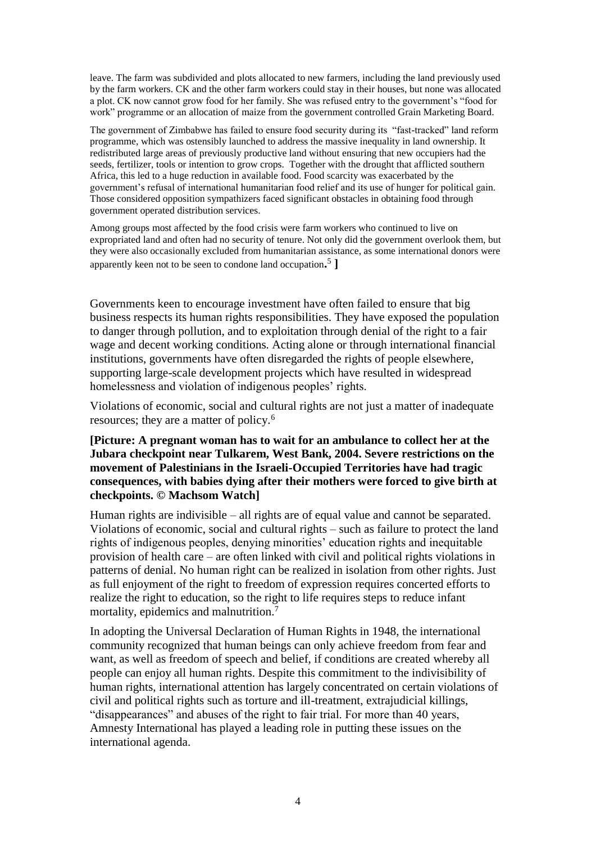leave. The farm was subdivided and plots allocated to new farmers, including the land previously used by the farm workers. CK and the other farm workers could stay in their houses, but none was allocated a plot. CK now cannot grow food for her family. She was refused entry to the government's "food for work" programme or an allocation of maize from the government controlled Grain Marketing Board.

The government of Zimbabwe has failed to ensure food security during its "fast-tracked" land reform programme, which was ostensibly launched to address the massive inequality in land ownership. It redistributed large areas of previously productive land without ensuring that new occupiers had the seeds, fertilizer, tools or intention to grow crops. Together with the drought that afflicted southern Africa, this led to a huge reduction in available food. Food scarcity was exacerbated by the government's refusal of international humanitarian food relief and its use of hunger for political gain. Those considered opposition sympathizers faced significant obstacles in obtaining food through government operated distribution services.

Among groups most affected by the food crisis were farm workers who continued to live on expropriated land and often had no security of tenure. Not only did the government overlook them, but they were also occasionally excluded from humanitarian assistance, as some international donors were apparently keen not to be seen to condone land occupation**.** 5 **]**

Governments keen to encourage investment have often failed to ensure that big business respects its human rights responsibilities. They have exposed the population to danger through pollution, and to exploitation through denial of the right to a fair wage and decent working conditions. Acting alone or through international financial institutions, governments have often disregarded the rights of people elsewhere, supporting large-scale development projects which have resulted in widespread homelessness and violation of indigenous peoples' rights.

Violations of economic, social and cultural rights are not just a matter of inadequate resources; they are a matter of policy.<sup>6</sup>

## **[Picture: A pregnant woman has to wait for an ambulance to collect her at the Jubara checkpoint near Tulkarem, West Bank, 2004. Severe restrictions on the movement of Palestinians in the Israeli-Occupied Territories have had tragic consequences, with babies dying after their mothers were forced to give birth at checkpoints. © Machsom Watch]**

Human rights are indivisible – all rights are of equal value and cannot be separated. Violations of economic, social and cultural rights – such as failure to protect the land rights of indigenous peoples, denying minorities' education rights and inequitable provision of health care – are often linked with civil and political rights violations in patterns of denial. No human right can be realized in isolation from other rights. Just as full enjoyment of the right to freedom of expression requires concerted efforts to realize the right to education, so the right to life requires steps to reduce infant mortality, epidemics and malnutrition.<sup>7</sup>

In adopting the Universal Declaration of Human Rights in 1948, the international community recognized that human beings can only achieve freedom from fear and want, as well as freedom of speech and belief, if conditions are created whereby all people can enjoy all human rights. Despite this commitment to the indivisibility of human rights, international attention has largely concentrated on certain violations of civil and political rights such as torture and ill-treatment, extrajudicial killings, "disappearances" and abuses of the right to fair trial. For more than 40 years, Amnesty International has played a leading role in putting these issues on the international agenda.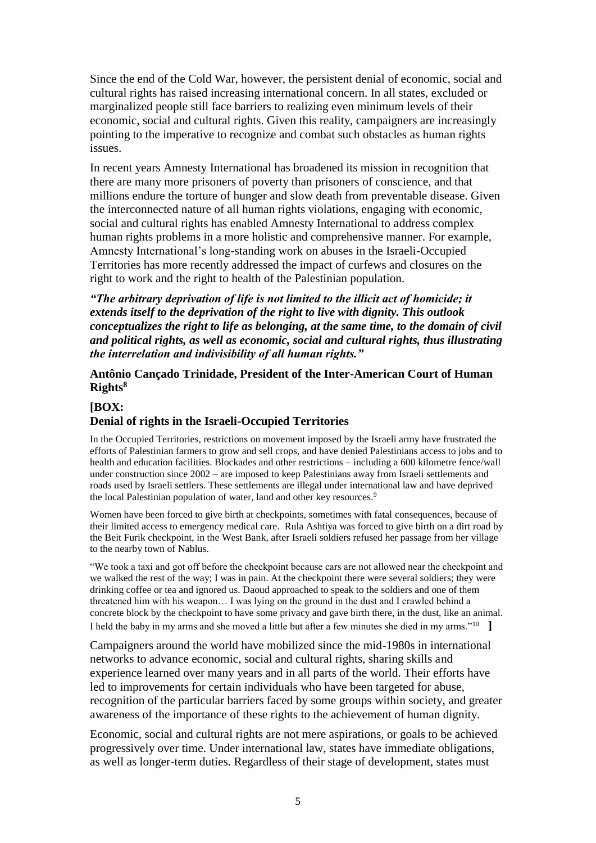Since the end of the Cold War, however, the persistent denial of economic, social and cultural rights has raised increasing international concern. In all states, excluded or marginalized people still face barriers to realizing even minimum levels of their economic, social and cultural rights. Given this reality, campaigners are increasingly pointing to the imperative to recognize and combat such obstacles as human rights issues.

In recent years Amnesty International has broadened its mission in recognition that there are many more prisoners of poverty than prisoners of conscience, and that millions endure the torture of hunger and slow death from preventable disease. Given the interconnected nature of all human rights violations, engaging with economic, social and cultural rights has enabled Amnesty International to address complex human rights problems in a more holistic and comprehensive manner. For example, Amnesty International's long-standing work on abuses in the Israeli-Occupied Territories has more recently addressed the impact of curfews and closures on the right to work and the right to health of the Palestinian population.

*"The arbitrary deprivation of life is not limited to the illicit act of homicide; it extends itself to the deprivation of the right to live with dignity. This outlook conceptualizes the right to life as belonging, at the same time, to the domain of civil and political rights, as well as economic, social and cultural rights, thus illustrating the interrelation and indivisibility of all human rights."* 

**Antônio Cançado Trinidade, President of the Inter-American Court of Human Rights<sup>8</sup>**

#### **[BOX:**

#### **Denial of rights in the Israeli-Occupied Territories**

In the Occupied Territories, restrictions on movement imposed by the Israeli army have frustrated the efforts of Palestinian farmers to grow and sell crops, and have denied Palestinians access to jobs and to health and education facilities. Blockades and other restrictions – including a 600 kilometre fence/wall under construction since 2002 – are imposed to keep Palestinians away from Israeli settlements and roads used by Israeli settlers. These settlements are illegal under international law and have deprived the local Palestinian population of water, land and other key resources.<sup>9</sup>

Women have been forced to give birth at checkpoints, sometimes with fatal consequences, because of their limited access to emergency medical care. Rula Ashtiya was forced to give birth on a dirt road by the Beit Furik checkpoint, in the West Bank, after Israeli soldiers refused her passage from her village to the nearby town of Nablus.

"We took a taxi and got off before the checkpoint because cars are not allowed near the checkpoint and we walked the rest of the way; I was in pain. At the checkpoint there were several soldiers; they were drinking coffee or tea and ignored us. Daoud approached to speak to the soldiers and one of them threatened him with his weapon… I was lying on the ground in the dust and I crawled behind a concrete block by the checkpoint to have some privacy and gave birth there, in the dust, like an animal. I held the baby in my arms and she moved a little but after a few minutes she died in my arms."<sup>10</sup> **]**

Campaigners around the world have mobilized since the mid-1980s in international networks to advance economic, social and cultural rights, sharing skills and experience learned over many years and in all parts of the world. Their efforts have led to improvements for certain individuals who have been targeted for abuse, recognition of the particular barriers faced by some groups within society, and greater awareness of the importance of these rights to the achievement of human dignity.

Economic, social and cultural rights are not mere aspirations, or goals to be achieved progressively over time. Under international law, states have immediate obligations, as well as longer-term duties. Regardless of their stage of development, states must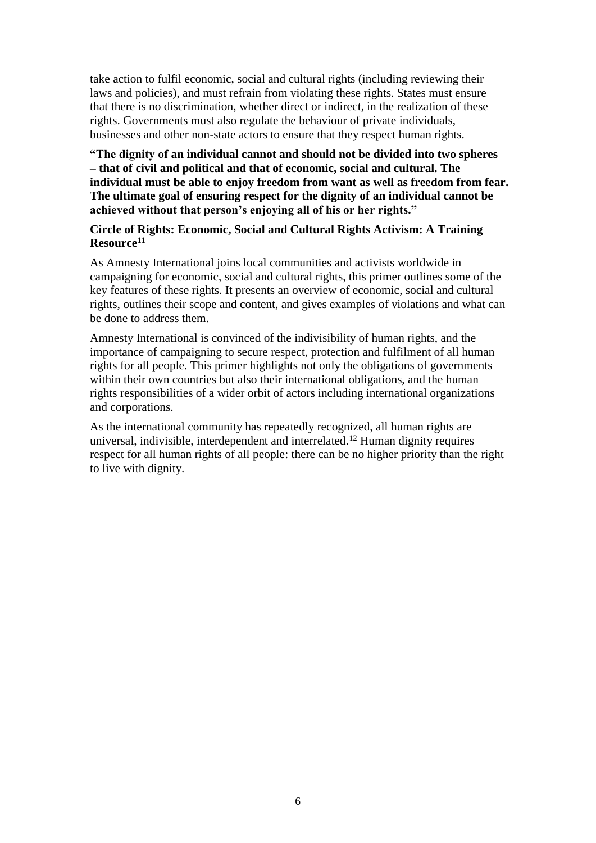take action to fulfil economic, social and cultural rights (including reviewing their laws and policies), and must refrain from violating these rights. States must ensure that there is no discrimination, whether direct or indirect, in the realization of these rights. Governments must also regulate the behaviour of private individuals, businesses and other non-state actors to ensure that they respect human rights.

**"The dignity of an individual cannot and should not be divided into two spheres – that of civil and political and that of economic, social and cultural. The individual must be able to enjoy freedom from want as well as freedom from fear. The ultimate goal of ensuring respect for the dignity of an individual cannot be achieved without that person's enjoying all of his or her rights."**

#### **Circle of Rights: Economic, Social and Cultural Rights Activism: A Training Resource<sup>11</sup>**

As Amnesty International joins local communities and activists worldwide in campaigning for economic, social and cultural rights, this primer outlines some of the key features of these rights. It presents an overview of economic, social and cultural rights, outlines their scope and content, and gives examples of violations and what can be done to address them.

Amnesty International is convinced of the indivisibility of human rights, and the importance of campaigning to secure respect, protection and fulfilment of all human rights for all people. This primer highlights not only the obligations of governments within their own countries but also their international obligations, and the human rights responsibilities of a wider orbit of actors including international organizations and corporations.

As the international community has repeatedly recognized, all human rights are universal, indivisible, interdependent and interrelated.<sup>12</sup> Human dignity requires respect for all human rights of all people: there can be no higher priority than the right to live with dignity.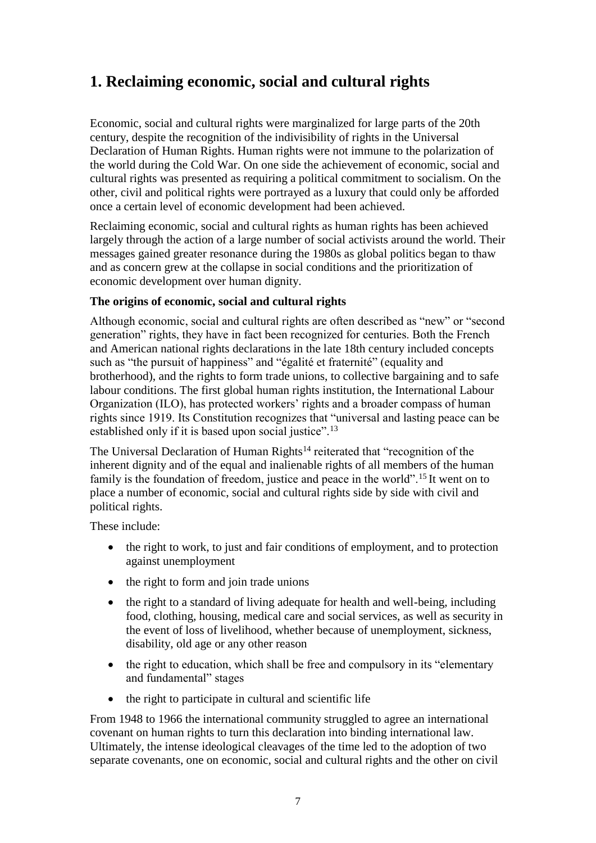## **1. Reclaiming economic, social and cultural rights**

Economic, social and cultural rights were marginalized for large parts of the 20th century, despite the recognition of the indivisibility of rights in the Universal Declaration of Human Rights. Human rights were not immune to the polarization of the world during the Cold War. On one side the achievement of economic, social and cultural rights was presented as requiring a political commitment to socialism. On the other, civil and political rights were portrayed as a luxury that could only be afforded once a certain level of economic development had been achieved.

Reclaiming economic, social and cultural rights as human rights has been achieved largely through the action of a large number of social activists around the world. Their messages gained greater resonance during the 1980s as global politics began to thaw and as concern grew at the collapse in social conditions and the prioritization of economic development over human dignity.

## **The origins of economic, social and cultural rights**

Although economic, social and cultural rights are often described as "new" or "second generation" rights, they have in fact been recognized for centuries. Both the French and American national rights declarations in the late 18th century included concepts such as "the pursuit of happiness" and "égalité et fraternité" (equality and brotherhood), and the rights to form trade unions, to collective bargaining and to safe labour conditions. The first global human rights institution, the International Labour Organization (ILO), has protected workers' rights and a broader compass of human rights since 1919. Its Constitution recognizes that "universal and lasting peace can be established only if it is based upon social justice".<sup>13</sup>

The Universal Declaration of Human Rights<sup>14</sup> reiterated that "recognition of the inherent dignity and of the equal and inalienable rights of all members of the human family is the foundation of freedom, justice and peace in the world".<sup>15</sup> It went on to place a number of economic, social and cultural rights side by side with civil and political rights.

These include:

- the right to work, to just and fair conditions of employment, and to protection against unemployment
- the right to form and join trade unions
- the right to a standard of living adequate for health and well-being, including food, clothing, housing, medical care and social services, as well as security in the event of loss of livelihood, whether because of unemployment, sickness, disability, old age or any other reason
- the right to education, which shall be free and compulsory in its "elementary" and fundamental" stages
- $\bullet$  the right to participate in cultural and scientific life

From 1948 to 1966 the international community struggled to agree an international covenant on human rights to turn this declaration into binding international law. Ultimately, the intense ideological cleavages of the time led to the adoption of two separate covenants, one on economic, social and cultural rights and the other on civil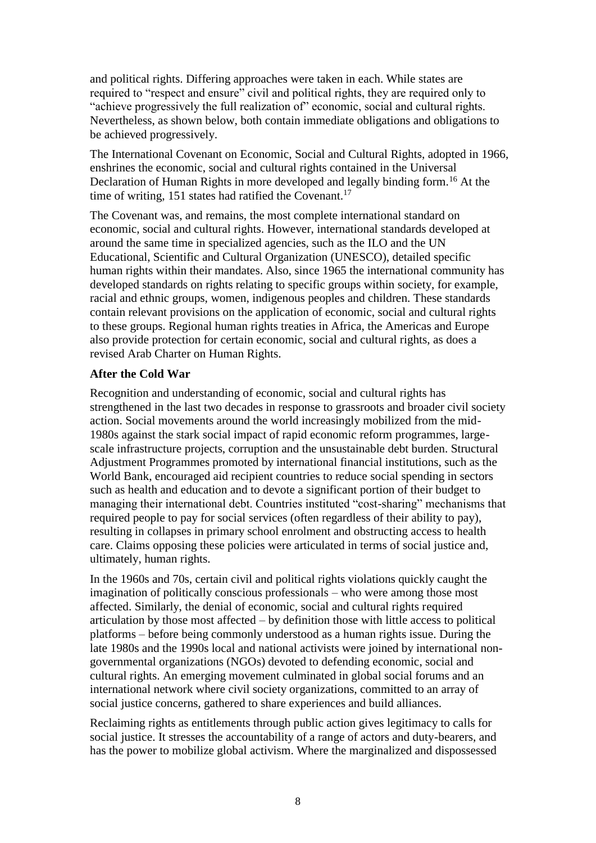and political rights. Differing approaches were taken in each. While states are required to "respect and ensure" civil and political rights, they are required only to "achieve progressively the full realization of" economic, social and cultural rights. Nevertheless, as shown below, both contain immediate obligations and obligations to be achieved progressively.

The International Covenant on Economic, Social and Cultural Rights, adopted in 1966, enshrines the economic, social and cultural rights contained in the Universal Declaration of Human Rights in more developed and legally binding form.<sup>16</sup> At the time of writing, 151 states had ratified the Covenant.<sup>17</sup>

The Covenant was, and remains, the most complete international standard on economic, social and cultural rights. However, international standards developed at around the same time in specialized agencies, such as the ILO and the UN Educational, Scientific and Cultural Organization (UNESCO), detailed specific human rights within their mandates. Also, since 1965 the international community has developed standards on rights relating to specific groups within society, for example, racial and ethnic groups, women, indigenous peoples and children. These standards contain relevant provisions on the application of economic, social and cultural rights to these groups. Regional human rights treaties in Africa, the Americas and Europe also provide protection for certain economic, social and cultural rights, as does a revised Arab Charter on Human Rights.

## **After the Cold War**

Recognition and understanding of economic, social and cultural rights has strengthened in the last two decades in response to grassroots and broader civil society action. Social movements around the world increasingly mobilized from the mid-1980s against the stark social impact of rapid economic reform programmes, largescale infrastructure projects, corruption and the unsustainable debt burden. Structural Adjustment Programmes promoted by international financial institutions, such as the World Bank, encouraged aid recipient countries to reduce social spending in sectors such as health and education and to devote a significant portion of their budget to managing their international debt. Countries instituted "cost-sharing" mechanisms that required people to pay for social services (often regardless of their ability to pay), resulting in collapses in primary school enrolment and obstructing access to health care. Claims opposing these policies were articulated in terms of social justice and, ultimately, human rights.

In the 1960s and 70s, certain civil and political rights violations quickly caught the imagination of politically conscious professionals – who were among those most affected. Similarly, the denial of economic, social and cultural rights required articulation by those most affected – by definition those with little access to political platforms – before being commonly understood as a human rights issue. During the late 1980s and the 1990s local and national activists were joined by international nongovernmental organizations (NGOs) devoted to defending economic, social and cultural rights. An emerging movement culminated in global social forums and an international network where civil society organizations, committed to an array of social justice concerns, gathered to share experiences and build alliances.

Reclaiming rights as entitlements through public action gives legitimacy to calls for social justice. It stresses the accountability of a range of actors and duty-bearers, and has the power to mobilize global activism. Where the marginalized and dispossessed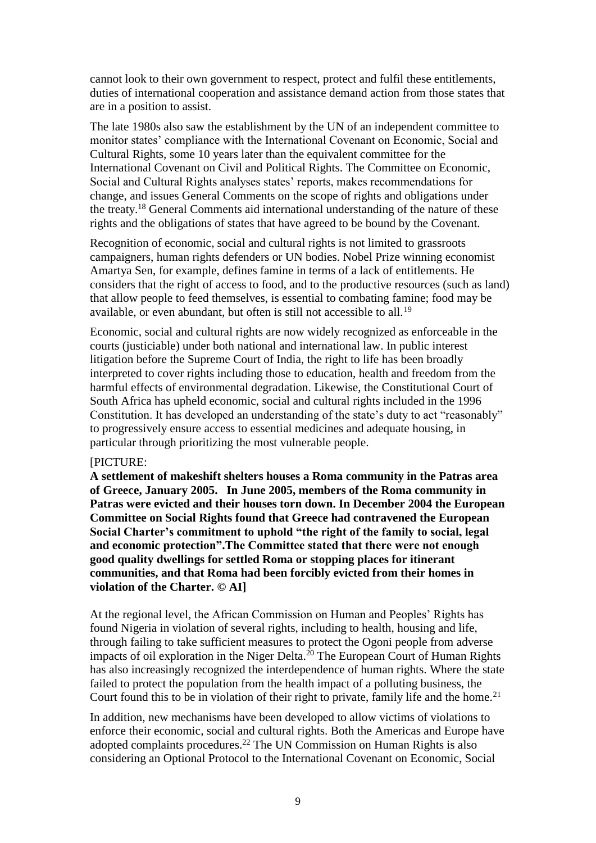cannot look to their own government to respect, protect and fulfil these entitlements, duties of international cooperation and assistance demand action from those states that are in a position to assist.

The late 1980s also saw the establishment by the UN of an independent committee to monitor states' compliance with the International Covenant on Economic, Social and Cultural Rights, some 10 years later than the equivalent committee for the International Covenant on Civil and Political Rights. The Committee on Economic, Social and Cultural Rights analyses states' reports, makes recommendations for change, and issues General Comments on the scope of rights and obligations under the treaty.<sup>18</sup> General Comments aid international understanding of the nature of these rights and the obligations of states that have agreed to be bound by the Covenant.

Recognition of economic, social and cultural rights is not limited to grassroots campaigners, human rights defenders or UN bodies. Nobel Prize winning economist Amartya Sen, for example, defines famine in terms of a lack of entitlements. He considers that the right of access to food, and to the productive resources (such as land) that allow people to feed themselves, is essential to combating famine; food may be available, or even abundant, but often is still not accessible to all.<sup>19</sup>

Economic, social and cultural rights are now widely recognized as enforceable in the courts (justiciable) under both national and international law. In public interest litigation before the Supreme Court of India, the right to life has been broadly interpreted to cover rights including those to education, health and freedom from the harmful effects of environmental degradation. Likewise, the Constitutional Court of South Africa has upheld economic, social and cultural rights included in the 1996 Constitution. It has developed an understanding of the state's duty to act "reasonably" to progressively ensure access to essential medicines and adequate housing, in particular through prioritizing the most vulnerable people.

#### [PICTURE:

**A settlement of makeshift shelters houses a Roma community in the Patras area of Greece, January 2005. In June 2005, members of the Roma community in Patras were evicted and their houses torn down. In December 2004 the European Committee on Social Rights found that Greece had contravened the European Social Charter's commitment to uphold "the right of the family to social, legal and economic protection".The Committee stated that there were not enough good quality dwellings for settled Roma or stopping places for itinerant communities, and that Roma had been forcibly evicted from their homes in violation of the Charter. © AI]**

At the regional level, the African Commission on Human and Peoples' Rights has found Nigeria in violation of several rights, including to health, housing and life, through failing to take sufficient measures to protect the Ogoni people from adverse impacts of oil exploration in the Niger Delta.<sup>20</sup> The European Court of Human Rights has also increasingly recognized the interdependence of human rights. Where the state failed to protect the population from the health impact of a polluting business, the Court found this to be in violation of their right to private, family life and the home.<sup>21</sup>

In addition, new mechanisms have been developed to allow victims of violations to enforce their economic, social and cultural rights. Both the Americas and Europe have adopted complaints procedures.<sup>22</sup> The UN Commission on Human Rights is also considering an Optional Protocol to the International Covenant on Economic, Social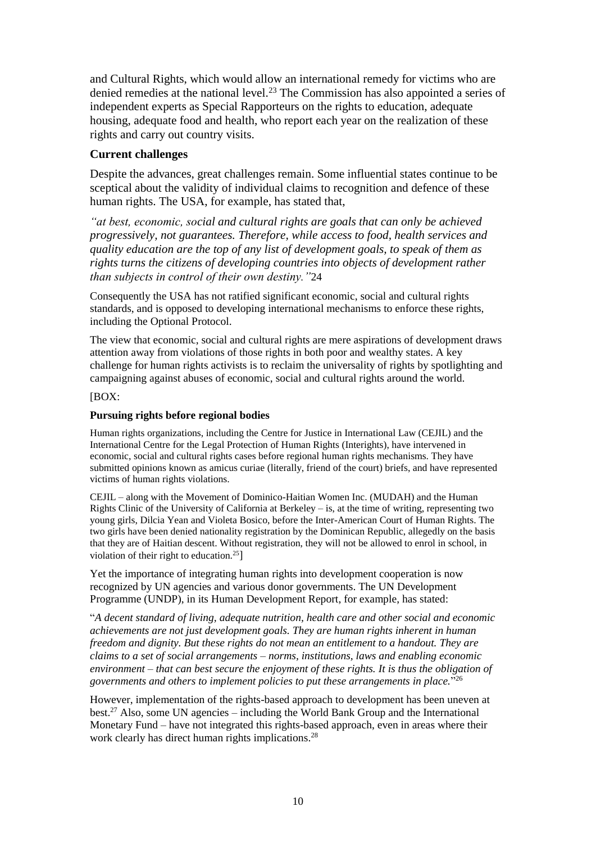and Cultural Rights, which would allow an international remedy for victims who are denied remedies at the national level.<sup>23</sup> The Commission has also appointed a series of independent experts as Special Rapporteurs on the rights to education, adequate housing, adequate food and health, who report each year on the realization of these rights and carry out country visits.

## **Current challenges**

Despite the advances, great challenges remain. Some influential states continue to be sceptical about the validity of individual claims to recognition and defence of these human rights. The USA, for example, has stated that,

*"at best, economic, social and cultural rights are goals that can only be achieved progressively, not guarantees. Therefore, while access to food, health services and quality education are the top of any list of development goals, to speak of them as rights turns the citizens of developing countries into objects of development rather than subjects in control of their own destiny."*24

Consequently the USA has not ratified significant economic, social and cultural rights standards, and is opposed to developing international mechanisms to enforce these rights, including the Optional Protocol.

The view that economic, social and cultural rights are mere aspirations of development draws attention away from violations of those rights in both poor and wealthy states. A key challenge for human rights activists is to reclaim the universality of rights by spotlighting and campaigning against abuses of economic, social and cultural rights around the world.

#### $[ROX]$

#### **Pursuing rights before regional bodies**

Human rights organizations, including the Centre for Justice in International Law (CEJIL) and the International Centre for the Legal Protection of Human Rights (Interights), have intervened in economic, social and cultural rights cases before regional human rights mechanisms. They have submitted opinions known as amicus curiae (literally, friend of the court) briefs, and have represented victims of human rights violations.

CEJIL – along with the Movement of Dominico-Haitian Women Inc. (MUDAH) and the Human Rights Clinic of the University of California at Berkeley – is, at the time of writing, representing two young girls, Dilcia Yean and Violeta Bosico, before the Inter-American Court of Human Rights. The two girls have been denied nationality registration by the Dominican Republic, allegedly on the basis that they are of Haitian descent. Without registration, they will not be allowed to enrol in school, in violation of their right to education.<sup>25</sup>]

Yet the importance of integrating human rights into development cooperation is now recognized by UN agencies and various donor governments. The UN Development Programme (UNDP), in its Human Development Report, for example, has stated:

"*A decent standard of living, adequate nutrition, health care and other social and economic achievements are not just development goals. They are human rights inherent in human freedom and dignity. But these rights do not mean an entitlement to a handout. They are claims to a set of social arrangements – norms, institutions, laws and enabling economic environment – that can best secure the enjoyment of these rights. It is thus the obligation of governments and others to implement policies to put these arrangements in place.*" 26

However, implementation of the rights-based approach to development has been uneven at best.<sup>27</sup> Also, some UN agencies – including the World Bank Group and the International Monetary Fund – have not integrated this rights-based approach, even in areas where their work clearly has direct human rights implications.<sup>28</sup>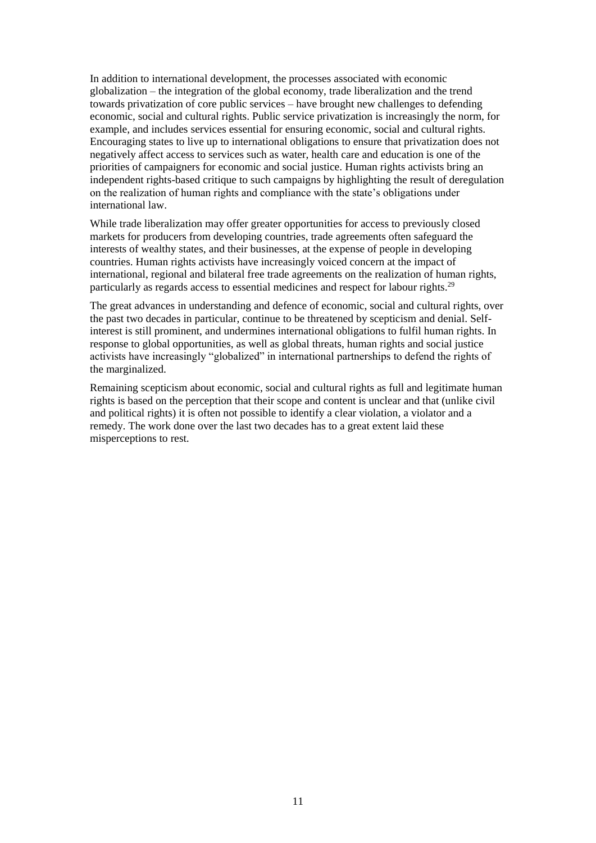In addition to international development, the processes associated with economic globalization – the integration of the global economy, trade liberalization and the trend towards privatization of core public services – have brought new challenges to defending economic, social and cultural rights. Public service privatization is increasingly the norm, for example, and includes services essential for ensuring economic, social and cultural rights. Encouraging states to live up to international obligations to ensure that privatization does not negatively affect access to services such as water, health care and education is one of the priorities of campaigners for economic and social justice. Human rights activists bring an independent rights-based critique to such campaigns by highlighting the result of deregulation on the realization of human rights and compliance with the state's obligations under international law.

While trade liberalization may offer greater opportunities for access to previously closed markets for producers from developing countries, trade agreements often safeguard the interests of wealthy states, and their businesses, at the expense of people in developing countries. Human rights activists have increasingly voiced concern at the impact of international, regional and bilateral free trade agreements on the realization of human rights, particularly as regards access to essential medicines and respect for labour rights.<sup>29</sup>

The great advances in understanding and defence of economic, social and cultural rights, over the past two decades in particular, continue to be threatened by scepticism and denial. Selfinterest is still prominent, and undermines international obligations to fulfil human rights. In response to global opportunities, as well as global threats, human rights and social justice activists have increasingly "globalized" in international partnerships to defend the rights of the marginalized.

Remaining scepticism about economic, social and cultural rights as full and legitimate human rights is based on the perception that their scope and content is unclear and that (unlike civil and political rights) it is often not possible to identify a clear violation, a violator and a remedy. The work done over the last two decades has to a great extent laid these misperceptions to rest.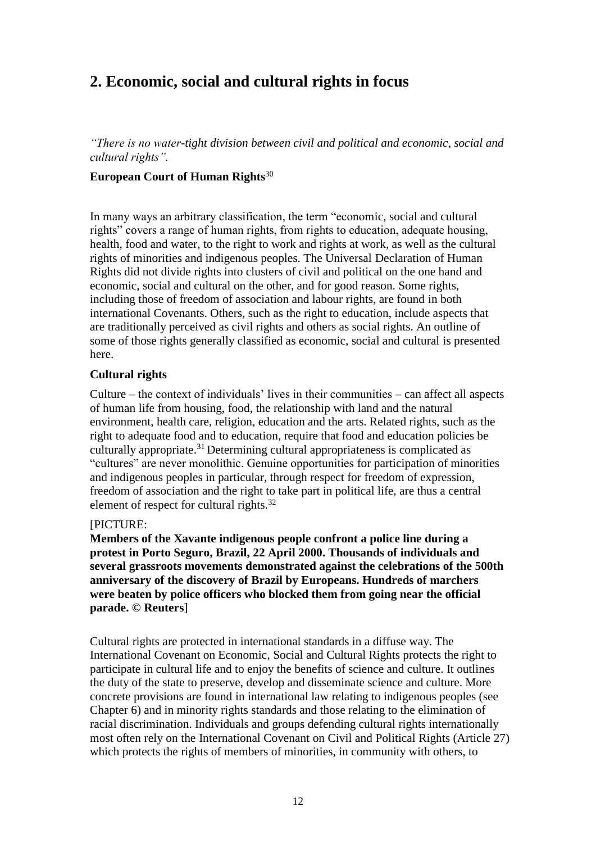## **2. Economic, social and cultural rights in focus**

*"There is no water-tight division between civil and political and economic, social and cultural rights".* 

## **European Court of Human Rights**<sup>30</sup>

In many ways an arbitrary classification, the term "economic, social and cultural rights" covers a range of human rights, from rights to education, adequate housing, health, food and water, to the right to work and rights at work, as well as the cultural rights of minorities and indigenous peoples. The Universal Declaration of Human Rights did not divide rights into clusters of civil and political on the one hand and economic, social and cultural on the other, and for good reason. Some rights, including those of freedom of association and labour rights, are found in both international Covenants. Others, such as the right to education, include aspects that are traditionally perceived as civil rights and others as social rights. An outline of some of those rights generally classified as economic, social and cultural is presented here.

## **Cultural rights**

Culture – the context of individuals' lives in their communities – can affect all aspects of human life from housing, food, the relationship with land and the natural environment, health care, religion, education and the arts. Related rights, such as the right to adequate food and to education, require that food and education policies be culturally appropriate.<sup>31</sup> Determining cultural appropriateness is complicated as "cultures" are never monolithic. Genuine opportunities for participation of minorities and indigenous peoples in particular, through respect for freedom of expression, freedom of association and the right to take part in political life, are thus a central element of respect for cultural rights.<sup>32</sup>

#### [PICTURE:

**Members of the Xavante indigenous people confront a police line during a protest in Porto Seguro, Brazil, 22 April 2000. Thousands of individuals and several grassroots movements demonstrated against the celebrations of the 500th anniversary of the discovery of Brazil by Europeans. Hundreds of marchers were beaten by police officers who blocked them from going near the official parade. © Reuters**]

Cultural rights are protected in international standards in a diffuse way. The International Covenant on Economic, Social and Cultural Rights protects the right to participate in cultural life and to enjoy the benefits of science and culture. It outlines the duty of the state to preserve, develop and disseminate science and culture. More concrete provisions are found in international law relating to indigenous peoples (see Chapter 6) and in minority rights standards and those relating to the elimination of racial discrimination. Individuals and groups defending cultural rights internationally most often rely on the International Covenant on Civil and Political Rights (Article 27) which protects the rights of members of minorities, in community with others, to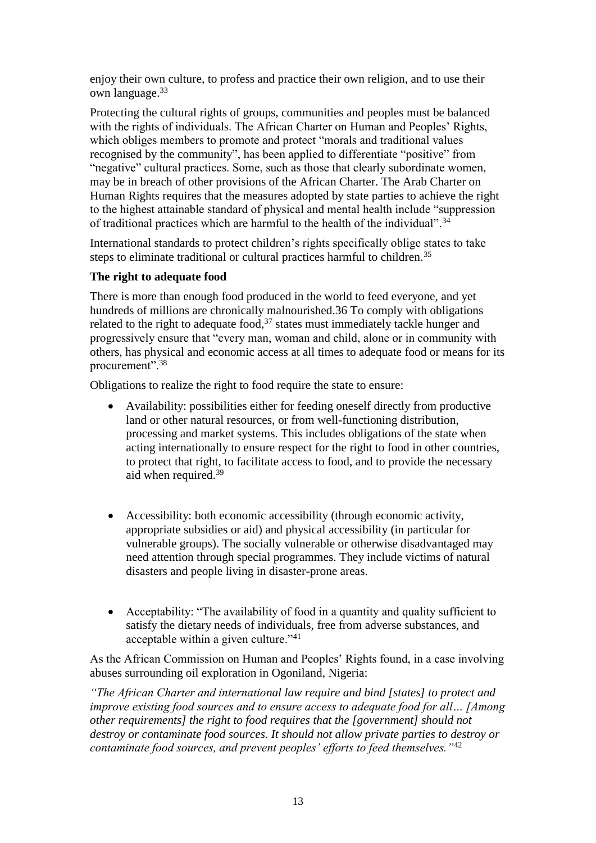enjoy their own culture, to profess and practice their own religion, and to use their own language.<sup>33</sup>

Protecting the cultural rights of groups, communities and peoples must be balanced with the rights of individuals. The African Charter on Human and Peoples' Rights, which obliges members to promote and protect "morals and traditional values recognised by the community", has been applied to differentiate "positive" from "negative" cultural practices. Some, such as those that clearly subordinate women, may be in breach of other provisions of the African Charter. The Arab Charter on Human Rights requires that the measures adopted by state parties to achieve the right to the highest attainable standard of physical and mental health include "suppression of traditional practices which are harmful to the health of the individual".<sup>34</sup>

International standards to protect children's rights specifically oblige states to take steps to eliminate traditional or cultural practices harmful to children.<sup>35</sup>

## **The right to adequate food**

There is more than enough food produced in the world to feed everyone, and yet hundreds of millions are chronically malnourished.36 To comply with obligations related to the right to adequate food,  $37$  states must immediately tackle hunger and progressively ensure that "every man, woman and child, alone or in community with others, has physical and economic access at all times to adequate food or means for its procurement".<sup>38</sup>

Obligations to realize the right to food require the state to ensure:

- Availability: possibilities either for feeding oneself directly from productive land or other natural resources, or from well-functioning distribution, processing and market systems. This includes obligations of the state when acting internationally to ensure respect for the right to food in other countries, to protect that right, to facilitate access to food, and to provide the necessary aid when required.<sup>39</sup>
- Accessibility: both economic accessibility (through economic activity, appropriate subsidies or aid) and physical accessibility (in particular for vulnerable groups). The socially vulnerable or otherwise disadvantaged may need attention through special programmes. They include victims of natural disasters and people living in disaster-prone areas.
- Acceptability: "The availability of food in a quantity and quality sufficient to satisfy the dietary needs of individuals, free from adverse substances, and acceptable within a given culture."<sup>41</sup>

As the African Commission on Human and Peoples' Rights found, in a case involving abuses surrounding oil exploration in Ogoniland, Nigeria:

*"The African Charter and international law require and bind [states] to protect and improve existing food sources and to ensure access to adequate food for all… [Among other requirements] the right to food requires that the [government] should not destroy or contaminate food sources. It should not allow private parties to destroy or contaminate food sources, and prevent peoples' efforts to feed themselves."*42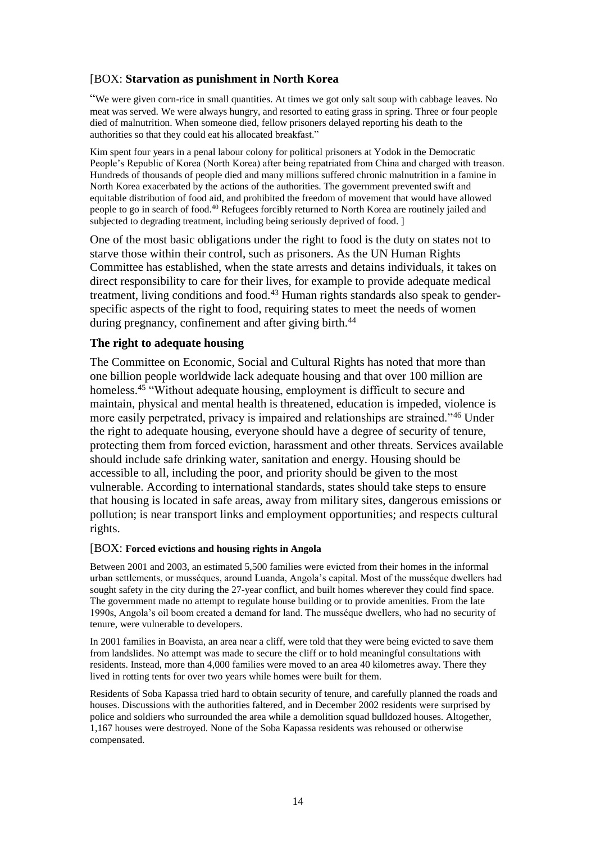## [BOX: **Starvation as punishment in North Korea**

"We were given corn-rice in small quantities. At times we got only salt soup with cabbage leaves. No meat was served. We were always hungry, and resorted to eating grass in spring. Three or four people died of malnutrition. When someone died, fellow prisoners delayed reporting his death to the authorities so that they could eat his allocated breakfast."

Kim spent four years in a penal labour colony for political prisoners at Yodok in the Democratic People's Republic of Korea (North Korea) after being repatriated from China and charged with treason. Hundreds of thousands of people died and many millions suffered chronic malnutrition in a famine in North Korea exacerbated by the actions of the authorities. The government prevented swift and equitable distribution of food aid, and prohibited the freedom of movement that would have allowed people to go in search of food.<sup>40</sup> Refugees forcibly returned to North Korea are routinely jailed and subjected to degrading treatment, including being seriously deprived of food. ]

One of the most basic obligations under the right to food is the duty on states not to starve those within their control, such as prisoners. As the UN Human Rights Committee has established, when the state arrests and detains individuals, it takes on direct responsibility to care for their lives, for example to provide adequate medical treatment, living conditions and food.<sup>43</sup> Human rights standards also speak to genderspecific aspects of the right to food, requiring states to meet the needs of women during pregnancy, confinement and after giving birth.<sup>44</sup>

#### **The right to adequate housing**

The Committee on Economic, Social and Cultural Rights has noted that more than one billion people worldwide lack adequate housing and that over 100 million are homeless.<sup>45</sup> "Without adequate housing, employment is difficult to secure and maintain, physical and mental health is threatened, education is impeded, violence is more easily perpetrated, privacy is impaired and relationships are strained."<sup>46</sup> Under the right to adequate housing, everyone should have a degree of security of tenure, protecting them from forced eviction, harassment and other threats. Services available should include safe drinking water, sanitation and energy. Housing should be accessible to all, including the poor, and priority should be given to the most vulnerable. According to international standards, states should take steps to ensure that housing is located in safe areas, away from military sites, dangerous emissions or pollution; is near transport links and employment opportunities; and respects cultural rights.

#### [BOX: **Forced evictions and housing rights in Angola**

Between 2001 and 2003, an estimated 5,500 families were evicted from their homes in the informal urban settlements, or musséques, around Luanda, Angola's capital. Most of the musséque dwellers had sought safety in the city during the 27-year conflict, and built homes wherever they could find space. The government made no attempt to regulate house building or to provide amenities. From the late 1990s, Angola's oil boom created a demand for land. The musséque dwellers, who had no security of tenure, were vulnerable to developers.

In 2001 families in Boavista, an area near a cliff, were told that they were being evicted to save them from landslides. No attempt was made to secure the cliff or to hold meaningful consultations with residents. Instead, more than 4,000 families were moved to an area 40 kilometres away. There they lived in rotting tents for over two years while homes were built for them.

Residents of Soba Kapassa tried hard to obtain security of tenure, and carefully planned the roads and houses. Discussions with the authorities faltered, and in December 2002 residents were surprised by police and soldiers who surrounded the area while a demolition squad bulldozed houses. Altogether, 1,167 houses were destroyed. None of the Soba Kapassa residents was rehoused or otherwise compensated.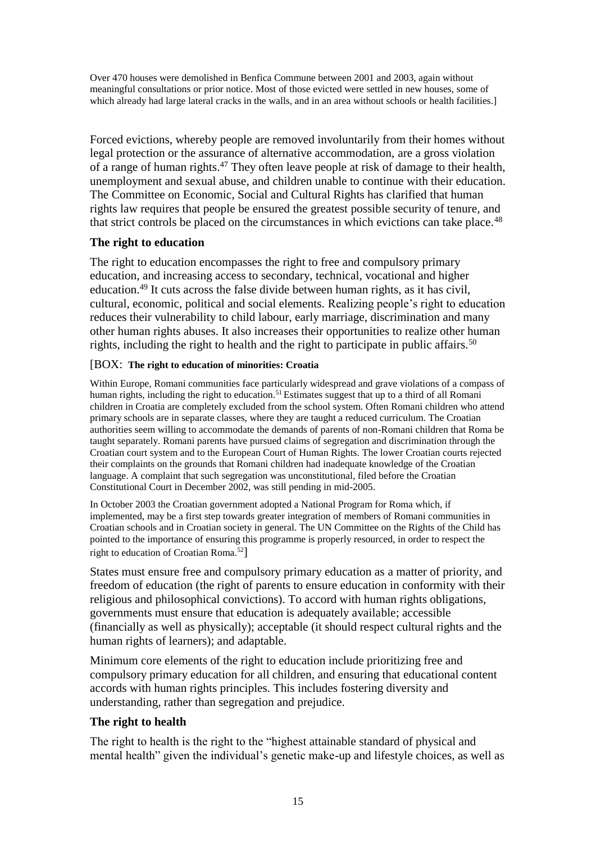Over 470 houses were demolished in Benfica Commune between 2001 and 2003, again without meaningful consultations or prior notice. Most of those evicted were settled in new houses, some of which already had large lateral cracks in the walls, and in an area without schools or health facilities.

Forced evictions, whereby people are removed involuntarily from their homes without legal protection or the assurance of alternative accommodation, are a gross violation of a range of human rights.<sup>47</sup> They often leave people at risk of damage to their health, unemployment and sexual abuse, and children unable to continue with their education. The Committee on Economic, Social and Cultural Rights has clarified that human rights law requires that people be ensured the greatest possible security of tenure, and that strict controls be placed on the circumstances in which evictions can take place.<sup>48</sup>

## **The right to education**

The right to education encompasses the right to free and compulsory primary education, and increasing access to secondary, technical, vocational and higher education.<sup>49</sup> It cuts across the false divide between human rights, as it has civil, cultural, economic, political and social elements. Realizing people's right to education reduces their vulnerability to child labour, early marriage, discrimination and many other human rights abuses. It also increases their opportunities to realize other human rights, including the right to health and the right to participate in public affairs.<sup>50</sup>

## [BOX: **The right to education of minorities: Croatia**

Within Europe, Romani communities face particularly widespread and grave violations of a compass of human rights, including the right to education.<sup>51</sup> Estimates suggest that up to a third of all Romani children in Croatia are completely excluded from the school system. Often Romani children who attend primary schools are in separate classes, where they are taught a reduced curriculum. The Croatian authorities seem willing to accommodate the demands of parents of non-Romani children that Roma be taught separately. Romani parents have pursued claims of segregation and discrimination through the Croatian court system and to the European Court of Human Rights. The lower Croatian courts rejected their complaints on the grounds that Romani children had inadequate knowledge of the Croatian language. A complaint that such segregation was unconstitutional, filed before the Croatian Constitutional Court in December 2002, was still pending in mid-2005.

In October 2003 the Croatian government adopted a National Program for Roma which, if implemented, may be a first step towards greater integration of members of Romani communities in Croatian schools and in Croatian society in general. The UN Committee on the Rights of the Child has pointed to the importance of ensuring this programme is properly resourced, in order to respect the right to education of Croatian Roma.<sup>52</sup>]

States must ensure free and compulsory primary education as a matter of priority, and freedom of education (the right of parents to ensure education in conformity with their religious and philosophical convictions). To accord with human rights obligations, governments must ensure that education is adequately available; accessible (financially as well as physically); acceptable (it should respect cultural rights and the human rights of learners); and adaptable.

Minimum core elements of the right to education include prioritizing free and compulsory primary education for all children, and ensuring that educational content accords with human rights principles. This includes fostering diversity and understanding, rather than segregation and prejudice.

## **The right to health**

The right to health is the right to the "highest attainable standard of physical and mental health" given the individual's genetic make-up and lifestyle choices, as well as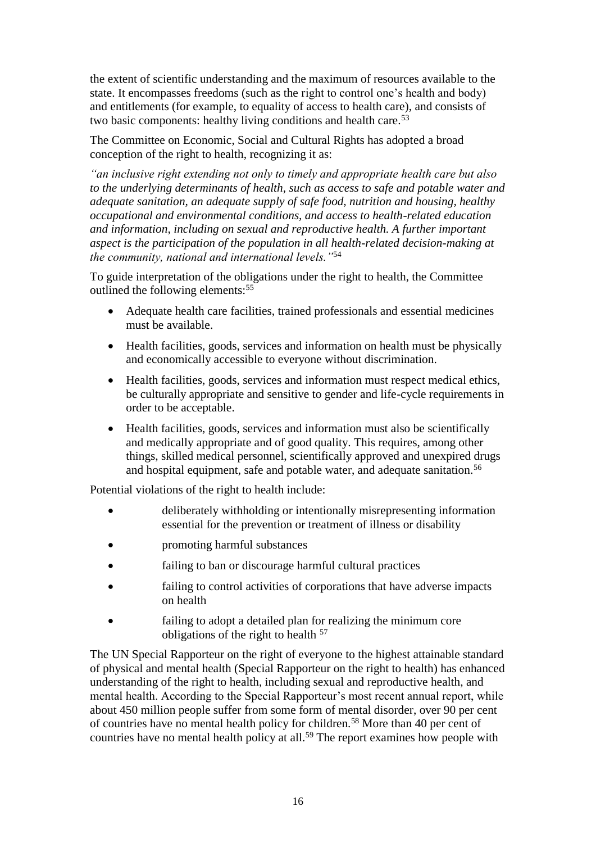the extent of scientific understanding and the maximum of resources available to the state. It encompasses freedoms (such as the right to control one's health and body) and entitlements (for example, to equality of access to health care), and consists of two basic components: healthy living conditions and health care.<sup>53</sup>

The Committee on Economic, Social and Cultural Rights has adopted a broad conception of the right to health, recognizing it as:

*"an inclusive right extending not only to timely and appropriate health care but also to the underlying determinants of health, such as access to safe and potable water and adequate sanitation, an adequate supply of safe food, nutrition and housing, healthy occupational and environmental conditions, and access to health-related education and information, including on sexual and reproductive health. A further important aspect is the participation of the population in all health-related decision-making at the community, national and international levels."*<sup>54</sup>

To guide interpretation of the obligations under the right to health, the Committee outlined the following elements:<sup>55</sup>

- Adequate health care facilities, trained professionals and essential medicines must be available.
- Health facilities, goods, services and information on health must be physically and economically accessible to everyone without discrimination.
- Health facilities, goods, services and information must respect medical ethics, be culturally appropriate and sensitive to gender and life-cycle requirements in order to be acceptable.
- Health facilities, goods, services and information must also be scientifically and medically appropriate and of good quality. This requires, among other things, skilled medical personnel, scientifically approved and unexpired drugs and hospital equipment, safe and potable water, and adequate sanitation.<sup>56</sup>

Potential violations of the right to health include:

- deliberately withholding or intentionally misrepresenting information essential for the prevention or treatment of illness or disability
- promoting harmful substances
- failing to ban or discourage harmful cultural practices
- failing to control activities of corporations that have adverse impacts on health
- failing to adopt a detailed plan for realizing the minimum core obligations of the right to health <sup>57</sup>

The UN Special Rapporteur on the right of everyone to the highest attainable standard of physical and mental health (Special Rapporteur on the right to health) has enhanced understanding of the right to health, including sexual and reproductive health, and mental health. According to the Special Rapporteur's most recent annual report, while about 450 million people suffer from some form of mental disorder, over 90 per cent of countries have no mental health policy for children.<sup>58</sup> More than 40 per cent of countries have no mental health policy at all.<sup>59</sup> The report examines how people with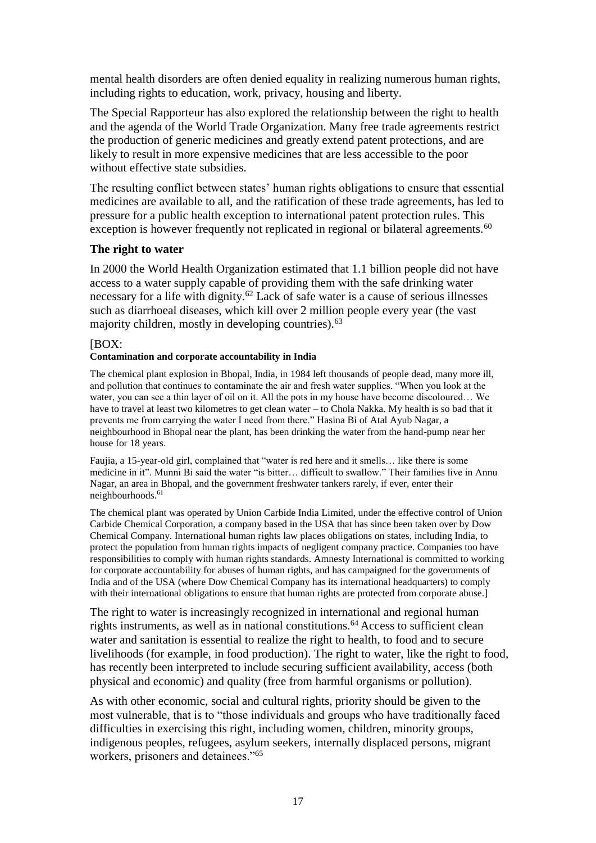mental health disorders are often denied equality in realizing numerous human rights, including rights to education, work, privacy, housing and liberty.

The Special Rapporteur has also explored the relationship between the right to health and the agenda of the World Trade Organization. Many free trade agreements restrict the production of generic medicines and greatly extend patent protections, and are likely to result in more expensive medicines that are less accessible to the poor without effective state subsidies.

The resulting conflict between states' human rights obligations to ensure that essential medicines are available to all, and the ratification of these trade agreements, has led to pressure for a public health exception to international patent protection rules. This exception is however frequently not replicated in regional or bilateral agreements.<sup>60</sup>

## **The right to water**

In 2000 the World Health Organization estimated that 1.1 billion people did not have access to a water supply capable of providing them with the safe drinking water necessary for a life with dignity.<sup>62</sup> Lack of safe water is a cause of serious illnesses such as diarrhoeal diseases, which kill over 2 million people every year (the vast majority children, mostly in developing countries).<sup>63</sup>

#### [BOX:

#### **Contamination and corporate accountability in India**

The chemical plant explosion in Bhopal, India, in 1984 left thousands of people dead, many more ill, and pollution that continues to contaminate the air and fresh water supplies. "When you look at the water, you can see a thin layer of oil on it. All the pots in my house have become discoloured… We have to travel at least two kilometres to get clean water – to Chola Nakka. My health is so bad that it prevents me from carrying the water I need from there." Hasina Bi of Atal Ayub Nagar, a neighbourhood in Bhopal near the plant, has been drinking the water from the hand-pump near her house for 18 years.

Faujia, a 15-year-old girl, complained that "water is red here and it smells… like there is some medicine in it". Munni Bi said the water "is bitter… difficult to swallow." Their families live in Annu Nagar, an area in Bhopal, and the government freshwater tankers rarely, if ever, enter their neighbourhoods.<sup>61</sup>

The chemical plant was operated by Union Carbide India Limited, under the effective control of Union Carbide Chemical Corporation, a company based in the USA that has since been taken over by Dow Chemical Company. International human rights law places obligations on states, including India, to protect the population from human rights impacts of negligent company practice. Companies too have responsibilities to comply with human rights standards. Amnesty International is committed to working for corporate accountability for abuses of human rights, and has campaigned for the governments of India and of the USA (where Dow Chemical Company has its international headquarters) to comply with their international obligations to ensure that human rights are protected from corporate abuse.]

The right to water is increasingly recognized in international and regional human rights instruments, as well as in national constitutions.<sup>64</sup> Access to sufficient clean water and sanitation is essential to realize the right to health, to food and to secure livelihoods (for example, in food production). The right to water, like the right to food, has recently been interpreted to include securing sufficient availability, access (both physical and economic) and quality (free from harmful organisms or pollution).

As with other economic, social and cultural rights, priority should be given to the most vulnerable, that is to "those individuals and groups who have traditionally faced difficulties in exercising this right, including women, children, minority groups, indigenous peoples, refugees, asylum seekers, internally displaced persons, migrant workers, prisoners and detainees."65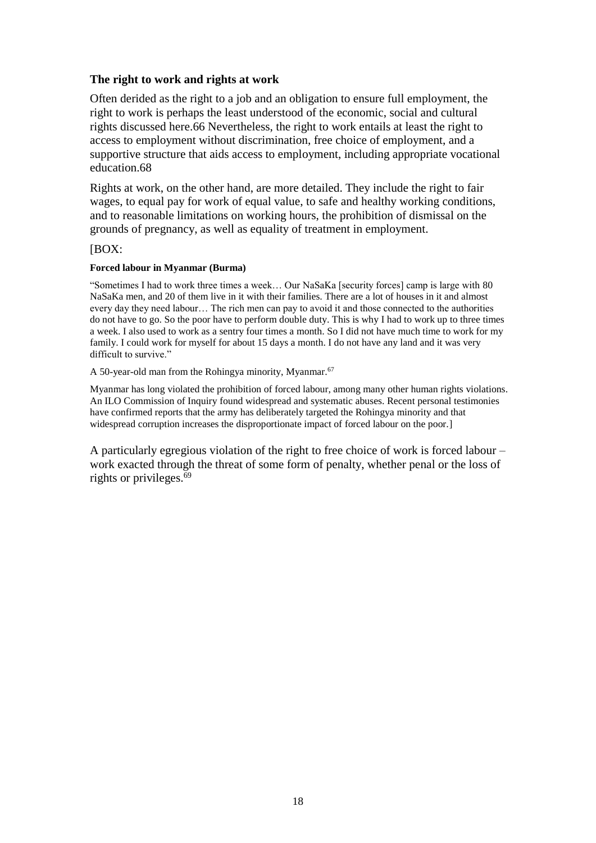### **The right to work and rights at work**

Often derided as the right to a job and an obligation to ensure full employment, the right to work is perhaps the least understood of the economic, social and cultural rights discussed here.66 Nevertheless, the right to work entails at least the right to access to employment without discrimination, free choice of employment, and a supportive structure that aids access to employment, including appropriate vocational education.68

Rights at work, on the other hand, are more detailed. They include the right to fair wages, to equal pay for work of equal value, to safe and healthy working conditions, and to reasonable limitations on working hours, the prohibition of dismissal on the grounds of pregnancy, as well as equality of treatment in employment.

#### [BOX:

#### **Forced labour in Myanmar (Burma)**

"Sometimes I had to work three times a week… Our NaSaKa [security forces] camp is large with 80 NaSaKa men, and 20 of them live in it with their families. There are a lot of houses in it and almost every day they need labour… The rich men can pay to avoid it and those connected to the authorities do not have to go. So the poor have to perform double duty. This is why I had to work up to three times a week. I also used to work as a sentry four times a month. So I did not have much time to work for my family. I could work for myself for about 15 days a month. I do not have any land and it was very difficult to survive."

A 50-year-old man from the Rohingya minority, Myanmar.<sup>67</sup>

Myanmar has long violated the prohibition of forced labour, among many other human rights violations. An ILO Commission of Inquiry found widespread and systematic abuses. Recent personal testimonies have confirmed reports that the army has deliberately targeted the Rohingya minority and that widespread corruption increases the disproportionate impact of forced labour on the poor.]

A particularly egregious violation of the right to free choice of work is forced labour – work exacted through the threat of some form of penalty, whether penal or the loss of rights or privileges.69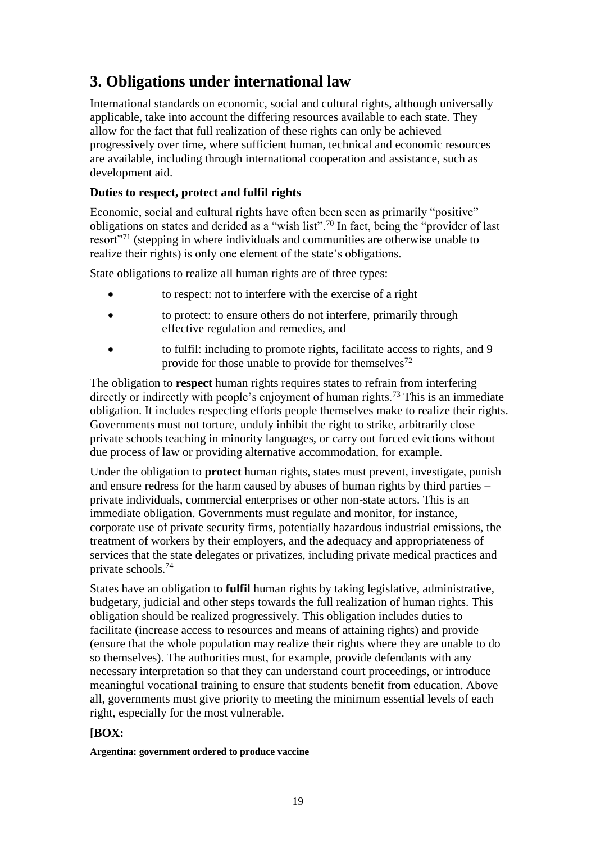## **3. Obligations under international law**

International standards on economic, social and cultural rights, although universally applicable, take into account the differing resources available to each state. They allow for the fact that full realization of these rights can only be achieved progressively over time, where sufficient human, technical and economic resources are available, including through international cooperation and assistance, such as development aid.

## **Duties to respect, protect and fulfil rights**

Economic, social and cultural rights have often been seen as primarily "positive" obligations on states and derided as a "wish list".<sup>70</sup> In fact, being the "provider of last resort<sup>"71</sup> (stepping in where individuals and communities are otherwise unable to realize their rights) is only one element of the state's obligations.

State obligations to realize all human rights are of three types:

- to respect: not to interfere with the exercise of a right
- to protect: to ensure others do not interfere, primarily through effective regulation and remedies, and
- to fulfil: including to promote rights, facilitate access to rights, and 9 provide for those unable to provide for themselves<sup>72</sup>

The obligation to **respect** human rights requires states to refrain from interfering directly or indirectly with people's enjoyment of human rights.<sup>73</sup> This is an immediate obligation. It includes respecting efforts people themselves make to realize their rights. Governments must not torture, unduly inhibit the right to strike, arbitrarily close private schools teaching in minority languages, or carry out forced evictions without due process of law or providing alternative accommodation, for example.

Under the obligation to **protect** human rights, states must prevent, investigate, punish and ensure redress for the harm caused by abuses of human rights by third parties – private individuals, commercial enterprises or other non-state actors. This is an immediate obligation. Governments must regulate and monitor, for instance, corporate use of private security firms, potentially hazardous industrial emissions, the treatment of workers by their employers, and the adequacy and appropriateness of services that the state delegates or privatizes, including private medical practices and private schools.<sup>74</sup>

States have an obligation to **fulfil** human rights by taking legislative, administrative, budgetary, judicial and other steps towards the full realization of human rights. This obligation should be realized progressively. This obligation includes duties to facilitate (increase access to resources and means of attaining rights) and provide (ensure that the whole population may realize their rights where they are unable to do so themselves). The authorities must, for example, provide defendants with any necessary interpretation so that they can understand court proceedings, or introduce meaningful vocational training to ensure that students benefit from education. Above all, governments must give priority to meeting the minimum essential levels of each right, especially for the most vulnerable.

## **[BOX:**

**Argentina: government ordered to produce vaccine**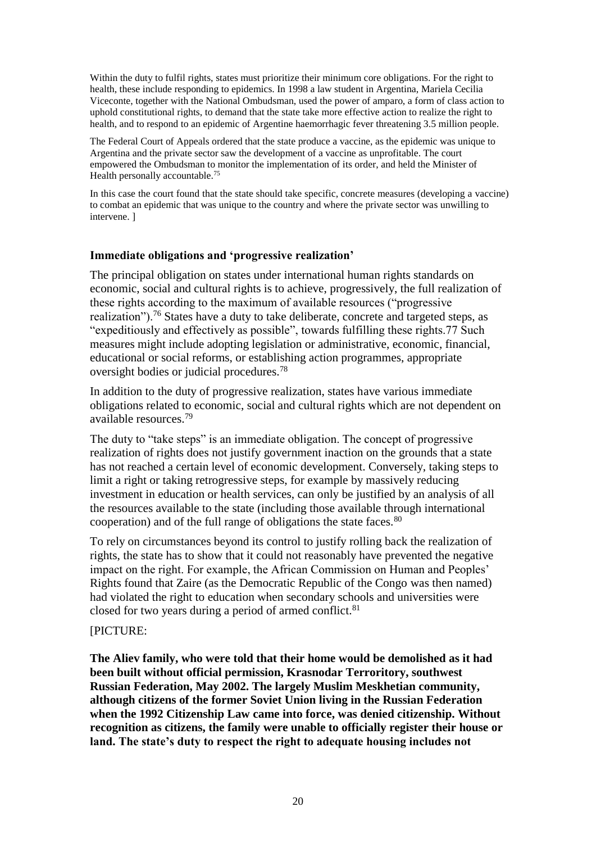Within the duty to fulfil rights, states must prioritize their minimum core obligations. For the right to health, these include responding to epidemics. In 1998 a law student in Argentina, Mariela Cecilia Viceconte, together with the National Ombudsman, used the power of amparo, a form of class action to uphold constitutional rights, to demand that the state take more effective action to realize the right to health, and to respond to an epidemic of Argentine haemorrhagic fever threatening 3.5 million people.

The Federal Court of Appeals ordered that the state produce a vaccine, as the epidemic was unique to Argentina and the private sector saw the development of a vaccine as unprofitable. The court empowered the Ombudsman to monitor the implementation of its order, and held the Minister of Health personally accountable.<sup>75</sup>

In this case the court found that the state should take specific, concrete measures (developing a vaccine) to combat an epidemic that was unique to the country and where the private sector was unwilling to intervene. ]

#### **Immediate obligations and 'progressive realization'**

The principal obligation on states under international human rights standards on economic, social and cultural rights is to achieve, progressively, the full realization of these rights according to the maximum of available resources ("progressive realization").<sup>76</sup> States have a duty to take deliberate, concrete and targeted steps, as "expeditiously and effectively as possible", towards fulfilling these rights.77 Such measures might include adopting legislation or administrative, economic, financial, educational or social reforms, or establishing action programmes, appropriate oversight bodies or judicial procedures.<sup>78</sup>

In addition to the duty of progressive realization, states have various immediate obligations related to economic, social and cultural rights which are not dependent on available resources.<sup>79</sup>

The duty to "take steps" is an immediate obligation. The concept of progressive realization of rights does not justify government inaction on the grounds that a state has not reached a certain level of economic development. Conversely, taking steps to limit a right or taking retrogressive steps, for example by massively reducing investment in education or health services, can only be justified by an analysis of all the resources available to the state (including those available through international cooperation) and of the full range of obligations the state faces.<sup>80</sup>

To rely on circumstances beyond its control to justify rolling back the realization of rights, the state has to show that it could not reasonably have prevented the negative impact on the right. For example, the African Commission on Human and Peoples' Rights found that Zaire (as the Democratic Republic of the Congo was then named) had violated the right to education when secondary schools and universities were closed for two years during a period of armed conflict. $81$ 

#### [PICTURE:

**The Aliev family, who were told that their home would be demolished as it had been built without official permission, Krasnodar Terroritory, southwest Russian Federation, May 2002. The largely Muslim Meskhetian community, although citizens of the former Soviet Union living in the Russian Federation when the 1992 Citizenship Law came into force, was denied citizenship. Without recognition as citizens, the family were unable to officially register their house or land. The state's duty to respect the right to adequate housing includes not**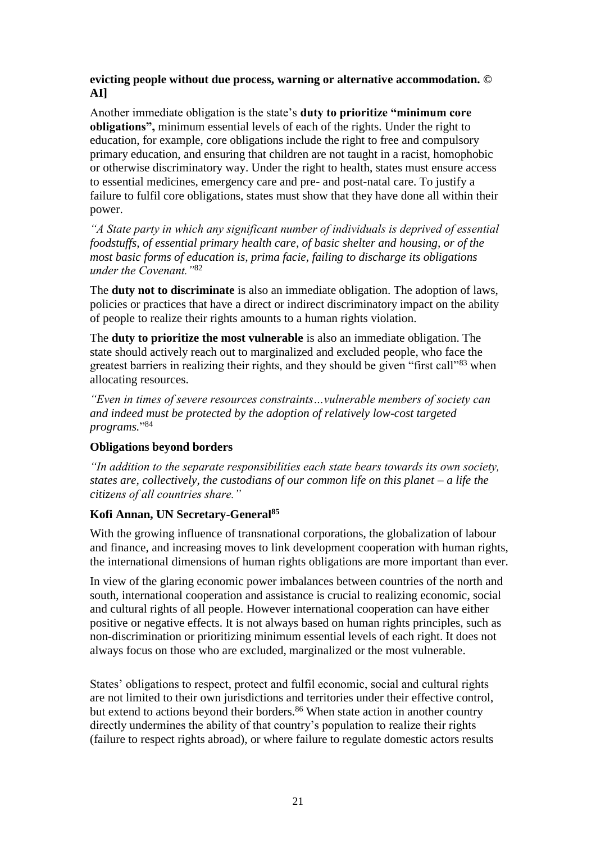## **evicting people without due process, warning or alternative accommodation. © AI]**

Another immediate obligation is the state's **duty to prioritize "minimum core obligations",** minimum essential levels of each of the rights. Under the right to education, for example, core obligations include the right to free and compulsory primary education, and ensuring that children are not taught in a racist, homophobic or otherwise discriminatory way. Under the right to health, states must ensure access to essential medicines, emergency care and pre- and post-natal care. To justify a failure to fulfil core obligations, states must show that they have done all within their power.

*"A State party in which any significant number of individuals is deprived of essential foodstuffs, of essential primary health care, of basic shelter and housing, or of the most basic forms of education is, prima facie, failing to discharge its obligations under the Covenant."*<sup>82</sup>

The **duty not to discriminate** is also an immediate obligation. The adoption of laws, policies or practices that have a direct or indirect discriminatory impact on the ability of people to realize their rights amounts to a human rights violation.

The **duty to prioritize the most vulnerable** is also an immediate obligation. The state should actively reach out to marginalized and excluded people, who face the greatest barriers in realizing their rights, and they should be given "first call"<sup>83</sup> when allocating resources.

*"Even in times of severe resources constraints…vulnerable members of society can and indeed must be protected by the adoption of relatively low-cost targeted programs.*" 84

## **Obligations beyond borders**

*"In addition to the separate responsibilities each state bears towards its own society, states are, collectively, the custodians of our common life on this planet – a life the citizens of all countries share."* 

## **Kofi Annan, UN Secretary-General<sup>85</sup>**

With the growing influence of transnational corporations, the globalization of labour and finance, and increasing moves to link development cooperation with human rights, the international dimensions of human rights obligations are more important than ever.

In view of the glaring economic power imbalances between countries of the north and south, international cooperation and assistance is crucial to realizing economic, social and cultural rights of all people. However international cooperation can have either positive or negative effects. It is not always based on human rights principles, such as non-discrimination or prioritizing minimum essential levels of each right. It does not always focus on those who are excluded, marginalized or the most vulnerable.

States' obligations to respect, protect and fulfil economic, social and cultural rights are not limited to their own jurisdictions and territories under their effective control, but extend to actions beyond their borders.<sup>86</sup> When state action in another country directly undermines the ability of that country's population to realize their rights (failure to respect rights abroad), or where failure to regulate domestic actors results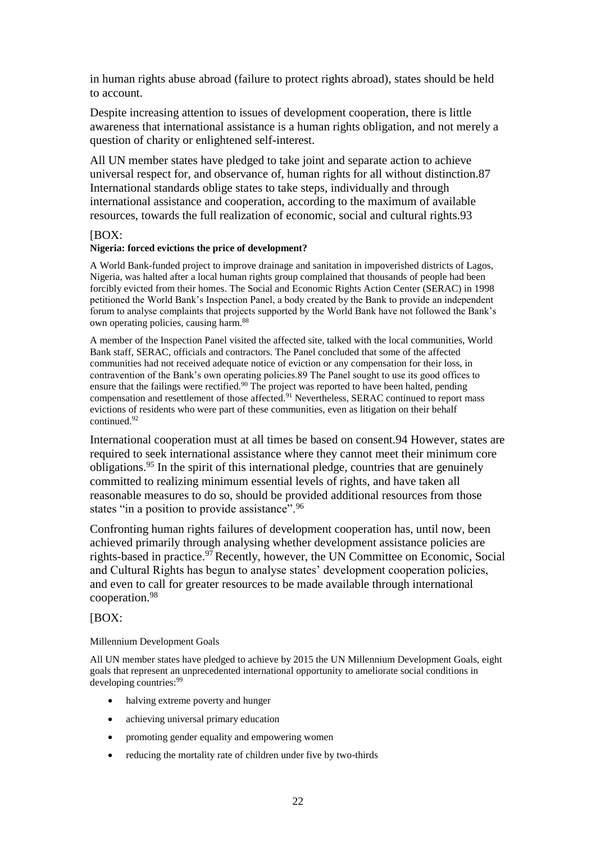in human rights abuse abroad (failure to protect rights abroad), states should be held to account.

Despite increasing attention to issues of development cooperation, there is little awareness that international assistance is a human rights obligation, and not merely a question of charity or enlightened self-interest.

All UN member states have pledged to take joint and separate action to achieve universal respect for, and observance of, human rights for all without distinction.87 International standards oblige states to take steps, individually and through international assistance and cooperation, according to the maximum of available resources, towards the full realization of economic, social and cultural rights.93

#### [BOX:

#### **Nigeria: forced evictions the price of development?**

A World Bank-funded project to improve drainage and sanitation in impoverished districts of Lagos, Nigeria, was halted after a local human rights group complained that thousands of people had been forcibly evicted from their homes. The Social and Economic Rights Action Center (SERAC) in 1998 petitioned the World Bank's Inspection Panel, a body created by the Bank to provide an independent forum to analyse complaints that projects supported by the World Bank have not followed the Bank's own operating policies, causing harm.<sup>88</sup>

A member of the Inspection Panel visited the affected site, talked with the local communities, World Bank staff, SERAC, officials and contractors. The Panel concluded that some of the affected communities had not received adequate notice of eviction or any compensation for their loss, in contravention of the Bank's own operating policies.89 The Panel sought to use its good offices to ensure that the failings were rectified.<sup>90</sup> The project was reported to have been halted, pending compensation and resettlement of those affected.<sup>91</sup> Nevertheless, SERAC continued to report mass evictions of residents who were part of these communities, even as litigation on their behalf continued.<sup>92</sup>

International cooperation must at all times be based on consent.94 However, states are required to seek international assistance where they cannot meet their minimum core obligations.<sup>95</sup> In the spirit of this international pledge, countries that are genuinely committed to realizing minimum essential levels of rights, and have taken all reasonable measures to do so, should be provided additional resources from those states "in a position to provide assistance".<sup>96</sup>

Confronting human rights failures of development cooperation has, until now, been achieved primarily through analysing whether development assistance policies are rights-based in practice.<sup>97</sup> Recently, however, the UN Committee on Economic, Social and Cultural Rights has begun to analyse states' development cooperation policies, and even to call for greater resources to be made available through international cooperation.<sup>98</sup>

#### [BOX:

#### Millennium Development Goals

All UN member states have pledged to achieve by 2015 the UN Millennium Development Goals, eight goals that represent an unprecedented international opportunity to ameliorate social conditions in developing countries:<sup>99</sup>

- halving extreme poverty and hunger
- achieving universal primary education
- promoting gender equality and empowering women
- reducing the mortality rate of children under five by two-thirds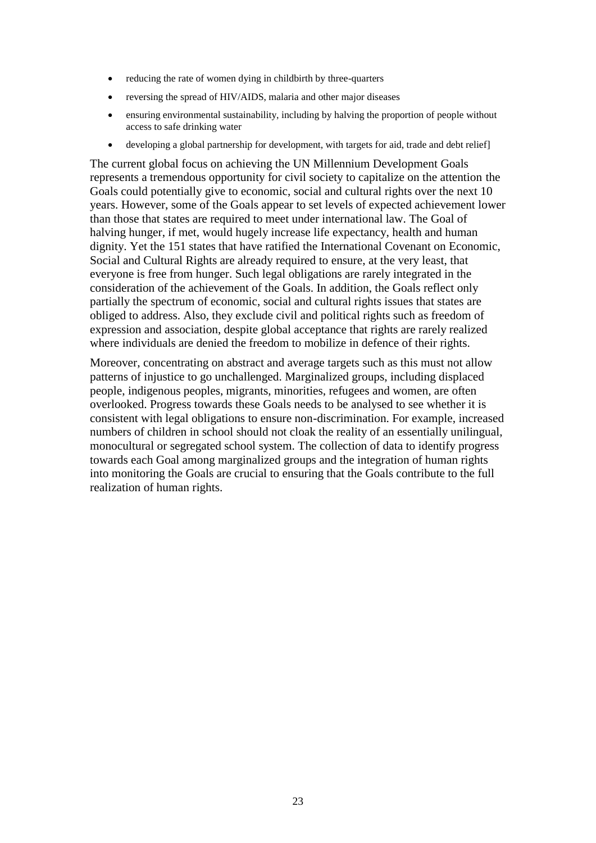- reducing the rate of women dying in childbirth by three-quarters
- reversing the spread of HIV/AIDS, malaria and other major diseases
- ensuring environmental sustainability, including by halving the proportion of people without access to safe drinking water
- developing a global partnership for development, with targets for aid, trade and debt relief]

The current global focus on achieving the UN Millennium Development Goals represents a tremendous opportunity for civil society to capitalize on the attention the Goals could potentially give to economic, social and cultural rights over the next 10 years. However, some of the Goals appear to set levels of expected achievement lower than those that states are required to meet under international law. The Goal of halving hunger, if met, would hugely increase life expectancy, health and human dignity. Yet the 151 states that have ratified the International Covenant on Economic, Social and Cultural Rights are already required to ensure, at the very least, that everyone is free from hunger. Such legal obligations are rarely integrated in the consideration of the achievement of the Goals. In addition, the Goals reflect only partially the spectrum of economic, social and cultural rights issues that states are obliged to address. Also, they exclude civil and political rights such as freedom of expression and association, despite global acceptance that rights are rarely realized where individuals are denied the freedom to mobilize in defence of their rights.

Moreover, concentrating on abstract and average targets such as this must not allow patterns of injustice to go unchallenged. Marginalized groups, including displaced people, indigenous peoples, migrants, minorities, refugees and women, are often overlooked. Progress towards these Goals needs to be analysed to see whether it is consistent with legal obligations to ensure non-discrimination. For example, increased numbers of children in school should not cloak the reality of an essentially unilingual, monocultural or segregated school system. The collection of data to identify progress towards each Goal among marginalized groups and the integration of human rights into monitoring the Goals are crucial to ensuring that the Goals contribute to the full realization of human rights.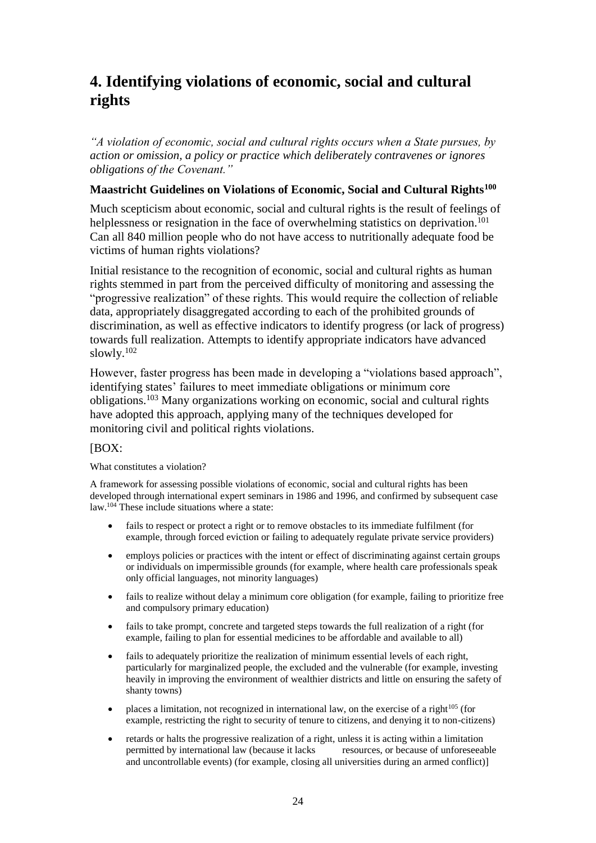## **4. Identifying violations of economic, social and cultural rights**

*"A violation of economic, social and cultural rights occurs when a State pursues, by action or omission, a policy or practice which deliberately contravenes or ignores obligations of the Covenant."* 

## **Maastricht Guidelines on Violations of Economic, Social and Cultural Rights<sup>100</sup>**

Much scepticism about economic, social and cultural rights is the result of feelings of helplessness or resignation in the face of overwhelming statistics on deprivation.<sup>101</sup> Can all 840 million people who do not have access to nutritionally adequate food be victims of human rights violations?

Initial resistance to the recognition of economic, social and cultural rights as human rights stemmed in part from the perceived difficulty of monitoring and assessing the "progressive realization" of these rights. This would require the collection of reliable data, appropriately disaggregated according to each of the prohibited grounds of discrimination, as well as effective indicators to identify progress (or lack of progress) towards full realization. Attempts to identify appropriate indicators have advanced slowly.<sup>102</sup>

However, faster progress has been made in developing a "violations based approach", identifying states' failures to meet immediate obligations or minimum core obligations.<sup>103</sup> Many organizations working on economic, social and cultural rights have adopted this approach, applying many of the techniques developed for monitoring civil and political rights violations.

#### [BOX:

What constitutes a violation?

A framework for assessing possible violations of economic, social and cultural rights has been developed through international expert seminars in 1986 and 1996, and confirmed by subsequent case law.<sup>104</sup> These include situations where a state:

- fails to respect or protect a right or to remove obstacles to its immediate fulfilment (for example, through forced eviction or failing to adequately regulate private service providers)
- employs policies or practices with the intent or effect of discriminating against certain groups or individuals on impermissible grounds (for example, where health care professionals speak only official languages, not minority languages)
- fails to realize without delay a minimum core obligation (for example, failing to prioritize free and compulsory primary education)
- fails to take prompt, concrete and targeted steps towards the full realization of a right (for example, failing to plan for essential medicines to be affordable and available to all)
- fails to adequately prioritize the realization of minimum essential levels of each right, particularly for marginalized people, the excluded and the vulnerable (for example, investing heavily in improving the environment of wealthier districts and little on ensuring the safety of shanty towns)
- places a limitation, not recognized in international law, on the exercise of a right $105$  (for example, restricting the right to security of tenure to citizens, and denying it to non-citizens)
- retards or halts the progressive realization of a right, unless it is acting within a limitation permitted by international law (because it lacks resources, or because of unforeseeable and uncontrollable events) (for example, closing all universities during an armed conflict)]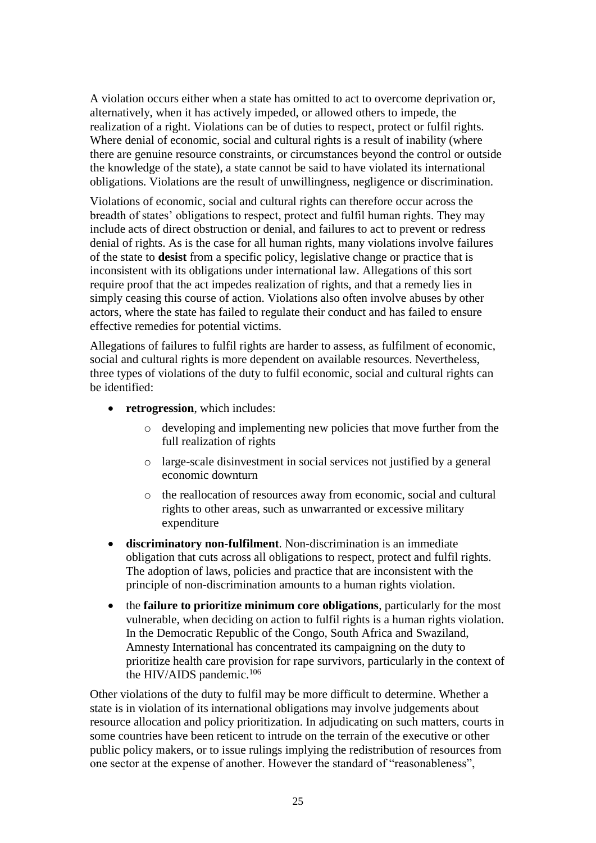A violation occurs either when a state has omitted to act to overcome deprivation or, alternatively, when it has actively impeded, or allowed others to impede, the realization of a right. Violations can be of duties to respect, protect or fulfil rights. Where denial of economic, social and cultural rights is a result of inability (where there are genuine resource constraints, or circumstances beyond the control or outside the knowledge of the state), a state cannot be said to have violated its international obligations. Violations are the result of unwillingness, negligence or discrimination.

Violations of economic, social and cultural rights can therefore occur across the breadth of states' obligations to respect, protect and fulfil human rights. They may include acts of direct obstruction or denial, and failures to act to prevent or redress denial of rights. As is the case for all human rights, many violations involve failures of the state to **desist** from a specific policy, legislative change or practice that is inconsistent with its obligations under international law. Allegations of this sort require proof that the act impedes realization of rights, and that a remedy lies in simply ceasing this course of action. Violations also often involve abuses by other actors, where the state has failed to regulate their conduct and has failed to ensure effective remedies for potential victims.

Allegations of failures to fulfil rights are harder to assess, as fulfilment of economic, social and cultural rights is more dependent on available resources. Nevertheless, three types of violations of the duty to fulfil economic, social and cultural rights can be identified:

- **retrogression**, which includes:
	- o developing and implementing new policies that move further from the full realization of rights
	- o large-scale disinvestment in social services not justified by a general economic downturn
	- o the reallocation of resources away from economic, social and cultural rights to other areas, such as unwarranted or excessive military expenditure
- **discriminatory non-fulfilment**. Non-discrimination is an immediate obligation that cuts across all obligations to respect, protect and fulfil rights. The adoption of laws, policies and practice that are inconsistent with the principle of non-discrimination amounts to a human rights violation.
- the **failure to prioritize minimum core obligations**, particularly for the most vulnerable, when deciding on action to fulfil rights is a human rights violation. In the Democratic Republic of the Congo, South Africa and Swaziland, Amnesty International has concentrated its campaigning on the duty to prioritize health care provision for rape survivors, particularly in the context of the HIV/AIDS pandemic.<sup>106</sup>

Other violations of the duty to fulfil may be more difficult to determine. Whether a state is in violation of its international obligations may involve judgements about resource allocation and policy prioritization. In adjudicating on such matters, courts in some countries have been reticent to intrude on the terrain of the executive or other public policy makers, or to issue rulings implying the redistribution of resources from one sector at the expense of another. However the standard of "reasonableness",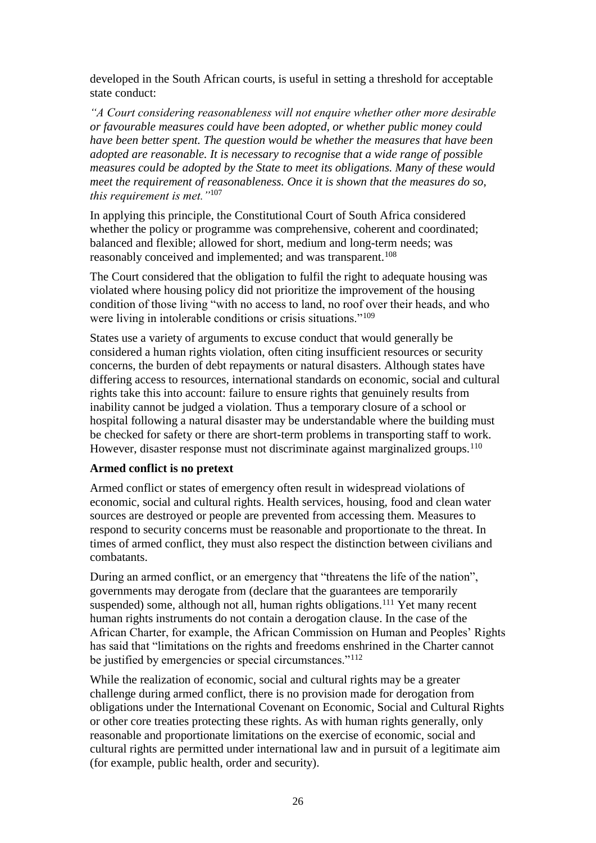developed in the South African courts, is useful in setting a threshold for acceptable state conduct:

*"A Court considering reasonableness will not enquire whether other more desirable or favourable measures could have been adopted, or whether public money could have been better spent. The question would be whether the measures that have been adopted are reasonable. It is necessary to recognise that a wide range of possible measures could be adopted by the State to meet its obligations. Many of these would meet the requirement of reasonableness. Once it is shown that the measures do so, this requirement is met."*<sup>107</sup>

In applying this principle, the Constitutional Court of South Africa considered whether the policy or programme was comprehensive, coherent and coordinated; balanced and flexible; allowed for short, medium and long-term needs; was reasonably conceived and implemented; and was transparent.<sup>108</sup>

The Court considered that the obligation to fulfil the right to adequate housing was violated where housing policy did not prioritize the improvement of the housing condition of those living "with no access to land, no roof over their heads, and who were living in intolerable conditions or crisis situations."<sup>109</sup>

States use a variety of arguments to excuse conduct that would generally be considered a human rights violation, often citing insufficient resources or security concerns, the burden of debt repayments or natural disasters. Although states have differing access to resources, international standards on economic, social and cultural rights take this into account: failure to ensure rights that genuinely results from inability cannot be judged a violation. Thus a temporary closure of a school or hospital following a natural disaster may be understandable where the building must be checked for safety or there are short-term problems in transporting staff to work. However, disaster response must not discriminate against marginalized groups.<sup>110</sup>

#### **Armed conflict is no pretext**

Armed conflict or states of emergency often result in widespread violations of economic, social and cultural rights. Health services, housing, food and clean water sources are destroyed or people are prevented from accessing them. Measures to respond to security concerns must be reasonable and proportionate to the threat. In times of armed conflict, they must also respect the distinction between civilians and combatants.

During an armed conflict, or an emergency that "threatens the life of the nation", governments may derogate from (declare that the guarantees are temporarily suspended) some, although not all, human rights obligations.<sup>111</sup> Yet many recent human rights instruments do not contain a derogation clause. In the case of the African Charter, for example, the African Commission on Human and Peoples' Rights has said that "limitations on the rights and freedoms enshrined in the Charter cannot be justified by emergencies or special circumstances."<sup>112</sup>

While the realization of economic, social and cultural rights may be a greater challenge during armed conflict, there is no provision made for derogation from obligations under the International Covenant on Economic, Social and Cultural Rights or other core treaties protecting these rights. As with human rights generally, only reasonable and proportionate limitations on the exercise of economic, social and cultural rights are permitted under international law and in pursuit of a legitimate aim (for example, public health, order and security).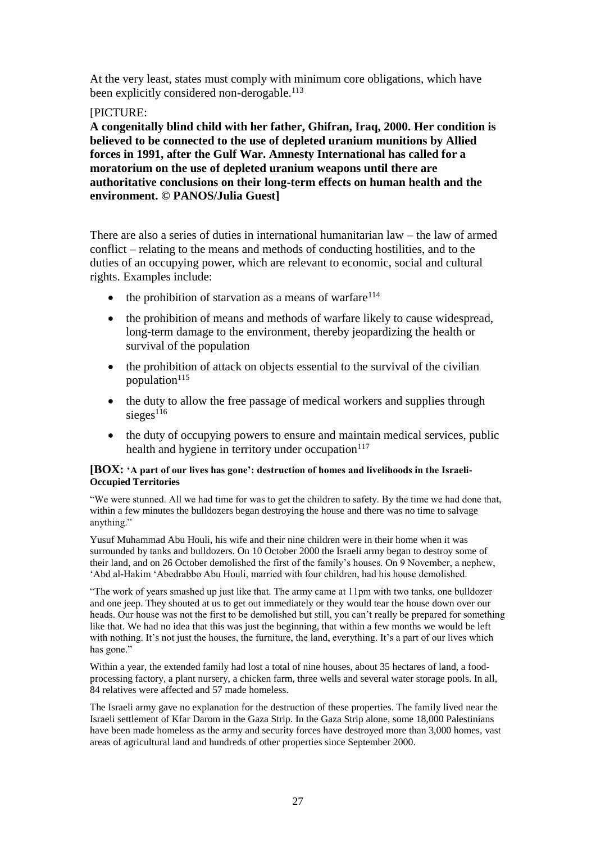At the very least, states must comply with minimum core obligations, which have been explicitly considered non-derogable.<sup>113</sup>

#### [PICTURE:

**A congenitally blind child with her father, Ghifran, Iraq, 2000. Her condition is believed to be connected to the use of depleted uranium munitions by Allied forces in 1991, after the Gulf War. Amnesty International has called for a moratorium on the use of depleted uranium weapons until there are authoritative conclusions on their long-term effects on human health and the environment. © PANOS/Julia Guest]** 

There are also a series of duties in international humanitarian law – the law of armed conflict – relating to the means and methods of conducting hostilities, and to the duties of an occupying power, which are relevant to economic, social and cultural rights. Examples include:

- $\bullet$  the prohibition of starvation as a means of warfare<sup>114</sup>
- the prohibition of means and methods of warfare likely to cause widespread, long-term damage to the environment, thereby jeopardizing the health or survival of the population
- the prohibition of attack on objects essential to the survival of the civilian population $115$
- the duty to allow the free passage of medical workers and supplies through sieges $116$
- the duty of occupying powers to ensure and maintain medical services, public health and hygiene in territory under occupation $117$

#### **[BOX: 'A part of our lives has gone': destruction of homes and livelihoods in the Israeli-Occupied Territories**

"We were stunned. All we had time for was to get the children to safety. By the time we had done that, within a few minutes the bulldozers began destroying the house and there was no time to salvage anything."

Yusuf Muhammad Abu Houli, his wife and their nine children were in their home when it was surrounded by tanks and bulldozers. On 10 October 2000 the Israeli army began to destroy some of their land, and on 26 October demolished the first of the family's houses. On 9 November, a nephew, 'Abd al-Hakim 'Abedrabbo Abu Houli, married with four children, had his house demolished.

"The work of years smashed up just like that. The army came at 11pm with two tanks, one bulldozer and one jeep. They shouted at us to get out immediately or they would tear the house down over our heads. Our house was not the first to be demolished but still, you can't really be prepared for something like that. We had no idea that this was just the beginning, that within a few months we would be left with nothing. It's not just the houses, the furniture, the land, everything. It's a part of our lives which has gone."

Within a year, the extended family had lost a total of nine houses, about 35 hectares of land, a foodprocessing factory, a plant nursery, a chicken farm, three wells and several water storage pools. In all, 84 relatives were affected and 57 made homeless.

The Israeli army gave no explanation for the destruction of these properties. The family lived near the Israeli settlement of Kfar Darom in the Gaza Strip. In the Gaza Strip alone, some 18,000 Palestinians have been made homeless as the army and security forces have destroyed more than 3,000 homes, vast areas of agricultural land and hundreds of other properties since September 2000.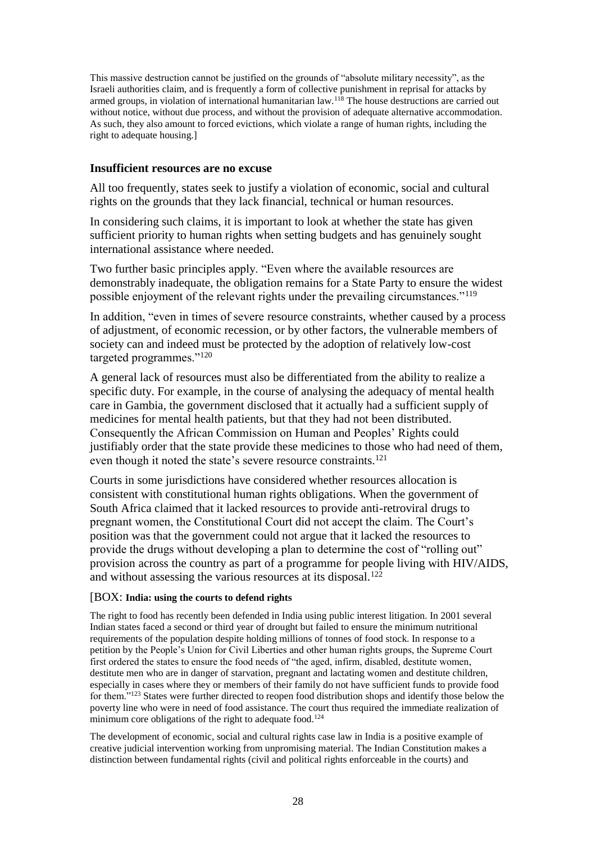This massive destruction cannot be justified on the grounds of "absolute military necessity", as the Israeli authorities claim, and is frequently a form of collective punishment in reprisal for attacks by armed groups, in violation of international humanitarian law.<sup>118</sup> The house destructions are carried out without notice, without due process, and without the provision of adequate alternative accommodation. As such, they also amount to forced evictions, which violate a range of human rights, including the right to adequate housing.]

#### **Insufficient resources are no excuse**

All too frequently, states seek to justify a violation of economic, social and cultural rights on the grounds that they lack financial, technical or human resources.

In considering such claims, it is important to look at whether the state has given sufficient priority to human rights when setting budgets and has genuinely sought international assistance where needed.

Two further basic principles apply. "Even where the available resources are demonstrably inadequate, the obligation remains for a State Party to ensure the widest possible enjoyment of the relevant rights under the prevailing circumstances."<sup>119</sup>

In addition, "even in times of severe resource constraints, whether caused by a process of adjustment, of economic recession, or by other factors, the vulnerable members of society can and indeed must be protected by the adoption of relatively low-cost targeted programmes."<sup>120</sup>

A general lack of resources must also be differentiated from the ability to realize a specific duty. For example, in the course of analysing the adequacy of mental health care in Gambia, the government disclosed that it actually had a sufficient supply of medicines for mental health patients, but that they had not been distributed. Consequently the African Commission on Human and Peoples' Rights could justifiably order that the state provide these medicines to those who had need of them, even though it noted the state's severe resource constraints.<sup>121</sup>

Courts in some jurisdictions have considered whether resources allocation is consistent with constitutional human rights obligations. When the government of South Africa claimed that it lacked resources to provide anti-retroviral drugs to pregnant women, the Constitutional Court did not accept the claim. The Court's position was that the government could not argue that it lacked the resources to provide the drugs without developing a plan to determine the cost of "rolling out" provision across the country as part of a programme for people living with HIV/AIDS, and without assessing the various resources at its disposal.<sup>122</sup>

#### [BOX: **India: using the courts to defend rights**

The right to food has recently been defended in India using public interest litigation. In 2001 several Indian states faced a second or third year of drought but failed to ensure the minimum nutritional requirements of the population despite holding millions of tonnes of food stock. In response to a petition by the People's Union for Civil Liberties and other human rights groups, the Supreme Court first ordered the states to ensure the food needs of "the aged, infirm, disabled, destitute women, destitute men who are in danger of starvation, pregnant and lactating women and destitute children, especially in cases where they or members of their family do not have sufficient funds to provide food for them."<sup>123</sup> States were further directed to reopen food distribution shops and identify those below the poverty line who were in need of food assistance. The court thus required the immediate realization of minimum core obligations of the right to adequate food.<sup>124</sup>

The development of economic, social and cultural rights case law in India is a positive example of creative judicial intervention working from unpromising material. The Indian Constitution makes a distinction between fundamental rights (civil and political rights enforceable in the courts) and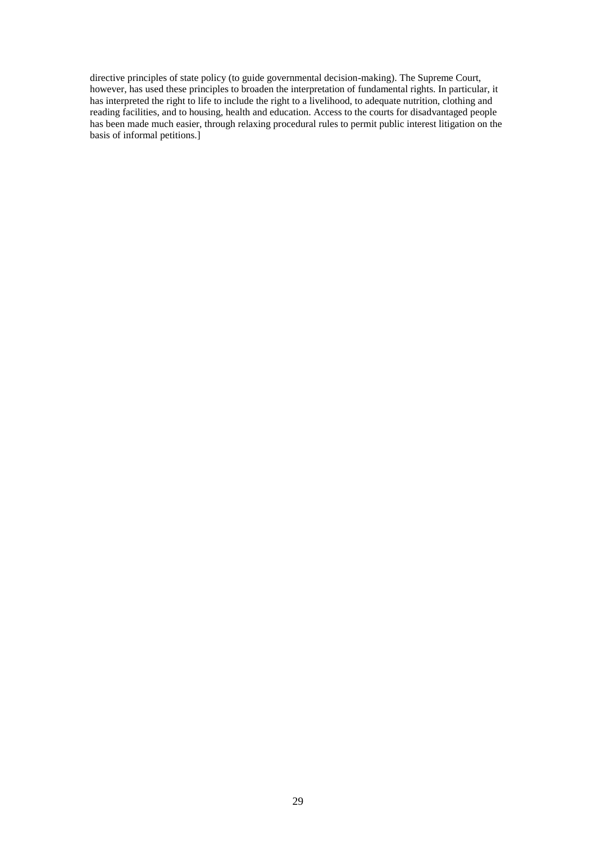directive principles of state policy (to guide governmental decision-making). The Supreme Court, however, has used these principles to broaden the interpretation of fundamental rights. In particular, it has interpreted the right to life to include the right to a livelihood, to adequate nutrition, clothing and reading facilities, and to housing, health and education. Access to the courts for disadvantaged people has been made much easier, through relaxing procedural rules to permit public interest litigation on the basis of informal petitions.]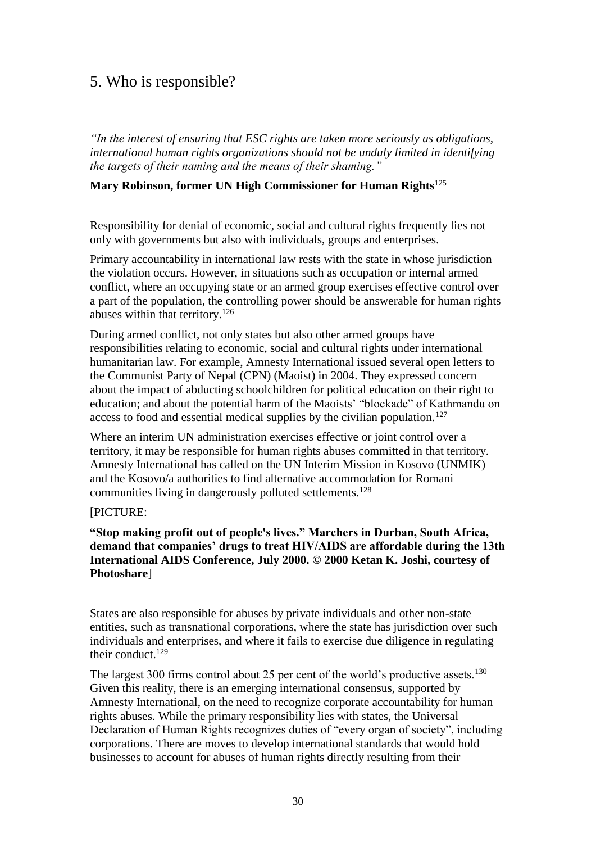## 5. Who is responsible?

*"In the interest of ensuring that ESC rights are taken more seriously as obligations, international human rights organizations should not be unduly limited in identifying the targets of their naming and the means of their shaming."* 

### **Mary Robinson, former UN High Commissioner for Human Rights**<sup>125</sup>

Responsibility for denial of economic, social and cultural rights frequently lies not only with governments but also with individuals, groups and enterprises.

Primary accountability in international law rests with the state in whose jurisdiction the violation occurs. However, in situations such as occupation or internal armed conflict, where an occupying state or an armed group exercises effective control over a part of the population, the controlling power should be answerable for human rights abuses within that territory.<sup>126</sup>

During armed conflict, not only states but also other armed groups have responsibilities relating to economic, social and cultural rights under international humanitarian law. For example, Amnesty International issued several open letters to the Communist Party of Nepal (CPN) (Maoist) in 2004. They expressed concern about the impact of abducting schoolchildren for political education on their right to education; and about the potential harm of the Maoists' "blockade" of Kathmandu on access to food and essential medical supplies by the civilian population.<sup>127</sup>

Where an interim UN administration exercises effective or joint control over a territory, it may be responsible for human rights abuses committed in that territory. Amnesty International has called on the UN Interim Mission in Kosovo (UNMIK) and the Kosovo/a authorities to find alternative accommodation for Romani communities living in dangerously polluted settlements.<sup>128</sup>

#### [PICTURE:

## **"Stop making profit out of people's lives." Marchers in Durban, South Africa, demand that companies' drugs to treat HIV/AIDS are affordable during the 13th International AIDS Conference, July 2000. © 2000 Ketan K. Joshi, courtesy of Photoshare**]

States are also responsible for abuses by private individuals and other non-state entities, such as transnational corporations, where the state has jurisdiction over such individuals and enterprises, and where it fails to exercise due diligence in regulating their conduct.<sup>129</sup>

The largest 300 firms control about 25 per cent of the world's productive assets.<sup>130</sup> Given this reality, there is an emerging international consensus, supported by Amnesty International, on the need to recognize corporate accountability for human rights abuses. While the primary responsibility lies with states, the Universal Declaration of Human Rights recognizes duties of "every organ of society", including corporations. There are moves to develop international standards that would hold businesses to account for abuses of human rights directly resulting from their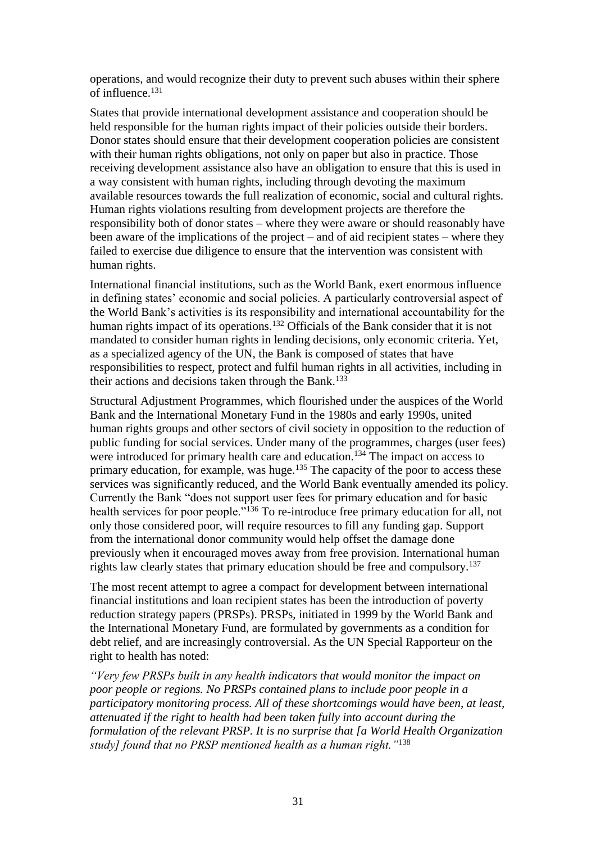operations, and would recognize their duty to prevent such abuses within their sphere of influence.<sup>131</sup>

States that provide international development assistance and cooperation should be held responsible for the human rights impact of their policies outside their borders. Donor states should ensure that their development cooperation policies are consistent with their human rights obligations, not only on paper but also in practice. Those receiving development assistance also have an obligation to ensure that this is used in a way consistent with human rights, including through devoting the maximum available resources towards the full realization of economic, social and cultural rights. Human rights violations resulting from development projects are therefore the responsibility both of donor states – where they were aware or should reasonably have been aware of the implications of the project – and of aid recipient states – where they failed to exercise due diligence to ensure that the intervention was consistent with human rights.

International financial institutions, such as the World Bank, exert enormous influence in defining states' economic and social policies. A particularly controversial aspect of the World Bank's activities is its responsibility and international accountability for the human rights impact of its operations.<sup>132</sup> Officials of the Bank consider that it is not mandated to consider human rights in lending decisions, only economic criteria. Yet, as a specialized agency of the UN, the Bank is composed of states that have responsibilities to respect, protect and fulfil human rights in all activities, including in their actions and decisions taken through the Bank.<sup>133</sup>

Structural Adjustment Programmes, which flourished under the auspices of the World Bank and the International Monetary Fund in the 1980s and early 1990s, united human rights groups and other sectors of civil society in opposition to the reduction of public funding for social services. Under many of the programmes, charges (user fees) were introduced for primary health care and education.<sup>134</sup> The impact on access to primary education, for example, was huge.<sup>135</sup> The capacity of the poor to access these services was significantly reduced, and the World Bank eventually amended its policy. Currently the Bank "does not support user fees for primary education and for basic health services for poor people."<sup>136</sup> To re-introduce free primary education for all, not only those considered poor, will require resources to fill any funding gap. Support from the international donor community would help offset the damage done previously when it encouraged moves away from free provision. International human rights law clearly states that primary education should be free and compulsory.<sup>137</sup>

The most recent attempt to agree a compact for development between international financial institutions and loan recipient states has been the introduction of poverty reduction strategy papers (PRSPs). PRSPs, initiated in 1999 by the World Bank and the International Monetary Fund, are formulated by governments as a condition for debt relief, and are increasingly controversial. As the UN Special Rapporteur on the right to health has noted:

*"Very few PRSPs built in any health indicators that would monitor the impact on poor people or regions. No PRSPs contained plans to include poor people in a participatory monitoring process. All of these shortcomings would have been, at least, attenuated if the right to health had been taken fully into account during the formulation of the relevant PRSP. It is no surprise that [a World Health Organization study] found that no PRSP mentioned health as a human right."*138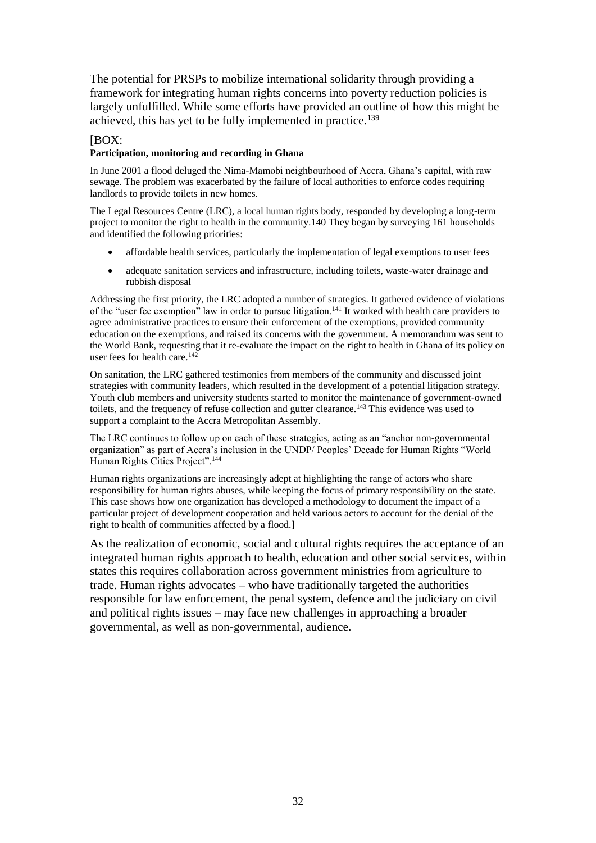The potential for PRSPs to mobilize international solidarity through providing a framework for integrating human rights concerns into poverty reduction policies is largely unfulfilled. While some efforts have provided an outline of how this might be achieved, this has yet to be fully implemented in practice.<sup>139</sup>

#### [BOX:

#### **Participation, monitoring and recording in Ghana**

In June 2001 a flood deluged the Nima-Mamobi neighbourhood of Accra, Ghana's capital, with raw sewage. The problem was exacerbated by the failure of local authorities to enforce codes requiring landlords to provide toilets in new homes.

The Legal Resources Centre (LRC), a local human rights body, responded by developing a long-term project to monitor the right to health in the community.140 They began by surveying 161 households and identified the following priorities:

- affordable health services, particularly the implementation of legal exemptions to user fees
- adequate sanitation services and infrastructure, including toilets, waste-water drainage and rubbish disposal

Addressing the first priority, the LRC adopted a number of strategies. It gathered evidence of violations of the "user fee exemption" law in order to pursue litigation.<sup>141</sup> It worked with health care providers to agree administrative practices to ensure their enforcement of the exemptions, provided community education on the exemptions, and raised its concerns with the government. A memorandum was sent to the World Bank, requesting that it re-evaluate the impact on the right to health in Ghana of its policy on user fees for health care.<sup>142</sup>

On sanitation, the LRC gathered testimonies from members of the community and discussed joint strategies with community leaders, which resulted in the development of a potential litigation strategy. Youth club members and university students started to monitor the maintenance of government-owned toilets, and the frequency of refuse collection and gutter clearance.<sup>143</sup> This evidence was used to support a complaint to the Accra Metropolitan Assembly.

The LRC continues to follow up on each of these strategies, acting as an "anchor non-governmental organization" as part of Accra's inclusion in the UNDP/ Peoples' Decade for Human Rights "World Human Rights Cities Project".<sup>144</sup>

Human rights organizations are increasingly adept at highlighting the range of actors who share responsibility for human rights abuses, while keeping the focus of primary responsibility on the state. This case shows how one organization has developed a methodology to document the impact of a particular project of development cooperation and held various actors to account for the denial of the right to health of communities affected by a flood.]

As the realization of economic, social and cultural rights requires the acceptance of an integrated human rights approach to health, education and other social services, within states this requires collaboration across government ministries from agriculture to trade. Human rights advocates – who have traditionally targeted the authorities responsible for law enforcement, the penal system, defence and the judiciary on civil and political rights issues – may face new challenges in approaching a broader governmental, as well as non-governmental, audience.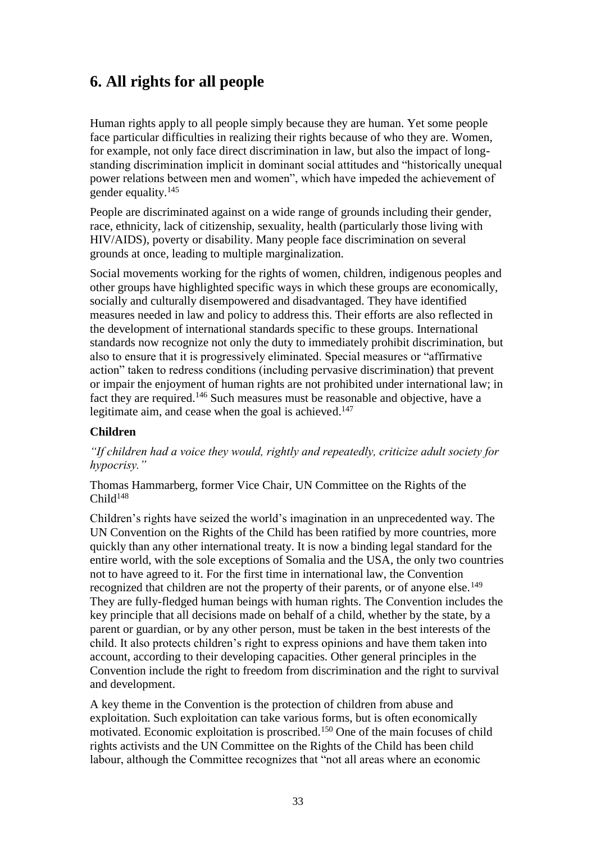## **6. All rights for all people**

Human rights apply to all people simply because they are human. Yet some people face particular difficulties in realizing their rights because of who they are. Women, for example, not only face direct discrimination in law, but also the impact of longstanding discrimination implicit in dominant social attitudes and "historically unequal power relations between men and women", which have impeded the achievement of gender equality.<sup>145</sup>

People are discriminated against on a wide range of grounds including their gender, race, ethnicity, lack of citizenship, sexuality, health (particularly those living with HIV/AIDS), poverty or disability. Many people face discrimination on several grounds at once, leading to multiple marginalization.

Social movements working for the rights of women, children, indigenous peoples and other groups have highlighted specific ways in which these groups are economically, socially and culturally disempowered and disadvantaged. They have identified measures needed in law and policy to address this. Their efforts are also reflected in the development of international standards specific to these groups. International standards now recognize not only the duty to immediately prohibit discrimination, but also to ensure that it is progressively eliminated. Special measures or "affirmative action" taken to redress conditions (including pervasive discrimination) that prevent or impair the enjoyment of human rights are not prohibited under international law; in fact they are required.<sup>146</sup> Such measures must be reasonable and objective, have a legitimate aim, and cease when the goal is achieved.<sup>147</sup>

## **Children**

*"If children had a voice they would, rightly and repeatedly, criticize adult society for hypocrisy."*

Thomas Hammarberg, former Vice Chair, UN Committee on the Rights of the Child<sup>148</sup>

Children's rights have seized the world's imagination in an unprecedented way. The UN Convention on the Rights of the Child has been ratified by more countries, more quickly than any other international treaty. It is now a binding legal standard for the entire world, with the sole exceptions of Somalia and the USA, the only two countries not to have agreed to it. For the first time in international law, the Convention recognized that children are not the property of their parents, or of anyone else.<sup>149</sup> They are fully-fledged human beings with human rights. The Convention includes the key principle that all decisions made on behalf of a child, whether by the state, by a parent or guardian, or by any other person, must be taken in the best interests of the child. It also protects children's right to express opinions and have them taken into account, according to their developing capacities. Other general principles in the Convention include the right to freedom from discrimination and the right to survival and development.

A key theme in the Convention is the protection of children from abuse and exploitation. Such exploitation can take various forms, but is often economically motivated. Economic exploitation is proscribed.<sup>150</sup> One of the main focuses of child rights activists and the UN Committee on the Rights of the Child has been child labour, although the Committee recognizes that "not all areas where an economic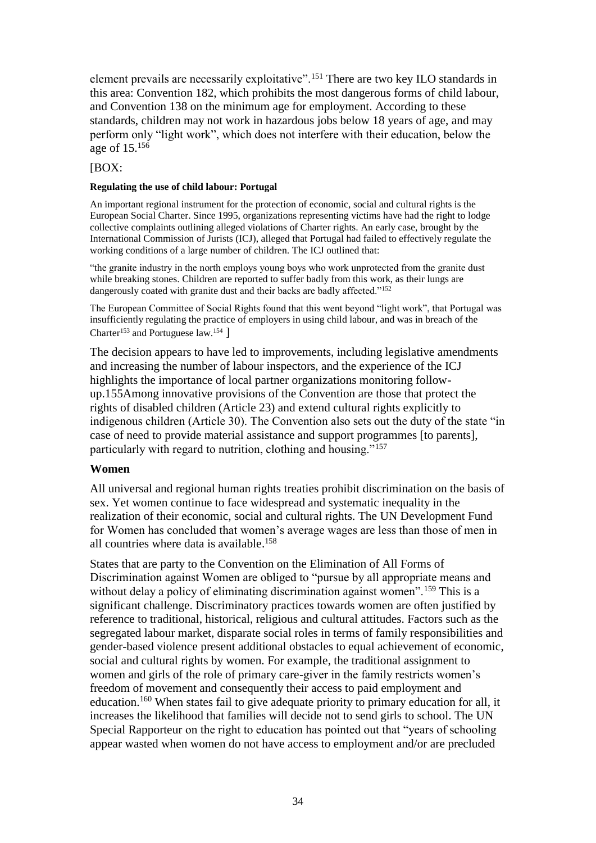element prevails are necessarily exploitative".<sup>151</sup> There are two key ILO standards in this area: Convention 182, which prohibits the most dangerous forms of child labour, and Convention 138 on the minimum age for employment. According to these standards, children may not work in hazardous jobs below 18 years of age, and may perform only "light work", which does not interfere with their education, below the age of 15.<sup>156</sup>

### [BOX:

#### **Regulating the use of child labour: Portugal**

An important regional instrument for the protection of economic, social and cultural rights is the European Social Charter. Since 1995, organizations representing victims have had the right to lodge collective complaints outlining alleged violations of Charter rights. An early case, brought by the International Commission of Jurists (ICJ), alleged that Portugal had failed to effectively regulate the working conditions of a large number of children. The ICJ outlined that:

"the granite industry in the north employs young boys who work unprotected from the granite dust while breaking stones. Children are reported to suffer badly from this work, as their lungs are dangerously coated with granite dust and their backs are badly affected."<sup>152</sup>

The European Committee of Social Rights found that this went beyond "light work", that Portugal was insufficiently regulating the practice of employers in using child labour, and was in breach of the Charter<sup>153</sup> and Portuguese law.<sup>154</sup> ]

The decision appears to have led to improvements, including legislative amendments and increasing the number of labour inspectors, and the experience of the ICJ highlights the importance of local partner organizations monitoring followup.155Among innovative provisions of the Convention are those that protect the rights of disabled children (Article 23) and extend cultural rights explicitly to indigenous children (Article 30). The Convention also sets out the duty of the state "in case of need to provide material assistance and support programmes [to parents], particularly with regard to nutrition, clothing and housing."<sup>157</sup>

#### **Women**

All universal and regional human rights treaties prohibit discrimination on the basis of sex. Yet women continue to face widespread and systematic inequality in the realization of their economic, social and cultural rights. The UN Development Fund for Women has concluded that women's average wages are less than those of men in all countries where data is available. 158

States that are party to the Convention on the Elimination of All Forms of Discrimination against Women are obliged to "pursue by all appropriate means and without delay a policy of eliminating discrimination against women".<sup>159</sup> This is a significant challenge. Discriminatory practices towards women are often justified by reference to traditional, historical, religious and cultural attitudes. Factors such as the segregated labour market, disparate social roles in terms of family responsibilities and gender-based violence present additional obstacles to equal achievement of economic, social and cultural rights by women. For example, the traditional assignment to women and girls of the role of primary care-giver in the family restricts women's freedom of movement and consequently their access to paid employment and education.<sup>160</sup> When states fail to give adequate priority to primary education for all, it increases the likelihood that families will decide not to send girls to school. The UN Special Rapporteur on the right to education has pointed out that "years of schooling appear wasted when women do not have access to employment and/or are precluded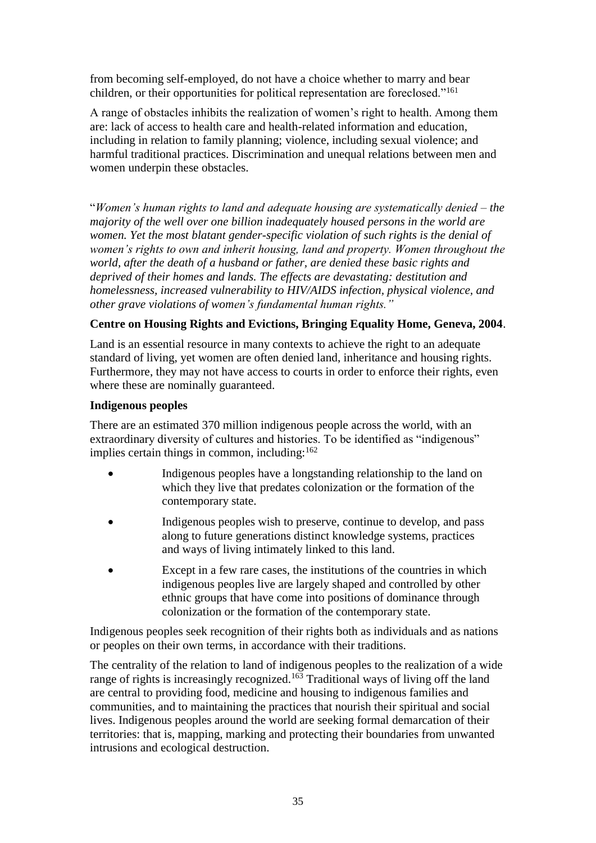from becoming self-employed, do not have a choice whether to marry and bear children, or their opportunities for political representation are foreclosed."<sup>161</sup>

A range of obstacles inhibits the realization of women's right to health. Among them are: lack of access to health care and health-related information and education, including in relation to family planning; violence, including sexual violence; and harmful traditional practices. Discrimination and unequal relations between men and women underpin these obstacles.

"*Women's human rights to land and adequate housing are systematically denied – the majority of the well over one billion inadequately housed persons in the world are women. Yet the most blatant gender-specific violation of such rights is the denial of women's rights to own and inherit housing, land and property. Women throughout the world, after the death of a husband or father, are denied these basic rights and deprived of their homes and lands. The effects are devastating: destitution and homelessness, increased vulnerability to HIV/AIDS infection, physical violence, and other grave violations of women's fundamental human rights."*

## **Centre on Housing Rights and Evictions, Bringing Equality Home, Geneva, 2004**.

Land is an essential resource in many contexts to achieve the right to an adequate standard of living, yet women are often denied land, inheritance and housing rights. Furthermore, they may not have access to courts in order to enforce their rights, even where these are nominally guaranteed.

## **Indigenous peoples**

There are an estimated 370 million indigenous people across the world, with an extraordinary diversity of cultures and histories. To be identified as "indigenous" implies certain things in common, including: $162$ 

- Indigenous peoples have a longstanding relationship to the land on which they live that predates colonization or the formation of the contemporary state.
- Indigenous peoples wish to preserve, continue to develop, and pass along to future generations distinct knowledge systems, practices and ways of living intimately linked to this land.
- Except in a few rare cases, the institutions of the countries in which indigenous peoples live are largely shaped and controlled by other ethnic groups that have come into positions of dominance through colonization or the formation of the contemporary state.

Indigenous peoples seek recognition of their rights both as individuals and as nations or peoples on their own terms, in accordance with their traditions.

The centrality of the relation to land of indigenous peoples to the realization of a wide range of rights is increasingly recognized.<sup>163</sup> Traditional ways of living off the land are central to providing food, medicine and housing to indigenous families and communities, and to maintaining the practices that nourish their spiritual and social lives. Indigenous peoples around the world are seeking formal demarcation of their territories: that is, mapping, marking and protecting their boundaries from unwanted intrusions and ecological destruction.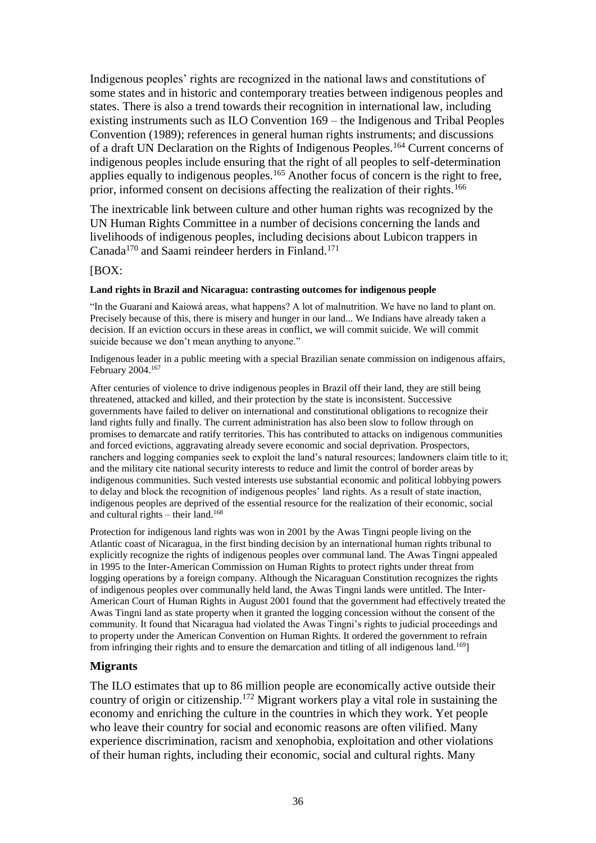Indigenous peoples' rights are recognized in the national laws and constitutions of some states and in historic and contemporary treaties between indigenous peoples and states. There is also a trend towards their recognition in international law, including existing instruments such as ILO Convention 169 – the Indigenous and Tribal Peoples Convention (1989); references in general human rights instruments; and discussions of a draft UN Declaration on the Rights of Indigenous Peoples.<sup>164</sup> Current concerns of indigenous peoples include ensuring that the right of all peoples to self-determination applies equally to indigenous peoples.<sup>165</sup> Another focus of concern is the right to free, prior, informed consent on decisions affecting the realization of their rights.<sup>166</sup>

The inextricable link between culture and other human rights was recognized by the UN Human Rights Committee in a number of decisions concerning the lands and livelihoods of indigenous peoples, including decisions about Lubicon trappers in Canada<sup>170</sup> and Saami reindeer herders in Finland.<sup>171</sup>

#### [BOX:

#### **Land rights in Brazil and Nicaragua: contrasting outcomes for indigenous people**

"In the Guarani and Kaiowá areas, what happens? A lot of malnutrition. We have no land to plant on. Precisely because of this, there is misery and hunger in our land... We Indians have already taken a decision. If an eviction occurs in these areas in conflict, we will commit suicide. We will commit suicide because we don't mean anything to anyone."

Indigenous leader in a public meeting with a special Brazilian senate commission on indigenous affairs, February 2004.<sup>167</sup>

After centuries of violence to drive indigenous peoples in Brazil off their land, they are still being threatened, attacked and killed, and their protection by the state is inconsistent. Successive governments have failed to deliver on international and constitutional obligations to recognize their land rights fully and finally. The current administration has also been slow to follow through on promises to demarcate and ratify territories. This has contributed to attacks on indigenous communities and forced evictions, aggravating already severe economic and social deprivation. Prospectors, ranchers and logging companies seek to exploit the land's natural resources; landowners claim title to it; and the military cite national security interests to reduce and limit the control of border areas by indigenous communities. Such vested interests use substantial economic and political lobbying powers to delay and block the recognition of indigenous peoples' land rights. As a result of state inaction, indigenous peoples are deprived of the essential resource for the realization of their economic, social and cultural rights – their land.<sup>168</sup>

Protection for indigenous land rights was won in 2001 by the Awas Tingni people living on the Atlantic coast of Nicaragua, in the first binding decision by an international human rights tribunal to explicitly recognize the rights of indigenous peoples over communal land. The Awas Tingni appealed in 1995 to the Inter-American Commission on Human Rights to protect rights under threat from logging operations by a foreign company. Although the Nicaraguan Constitution recognizes the rights of indigenous peoples over communally held land, the Awas Tingni lands were untitled. The Inter-American Court of Human Rights in August 2001 found that the government had effectively treated the Awas Tingni land as state property when it granted the logging concession without the consent of the community. It found that Nicaragua had violated the Awas Tingni's rights to judicial proceedings and to property under the American Convention on Human Rights. It ordered the government to refrain from infringing their rights and to ensure the demarcation and titling of all indigenous land.<sup>169</sup>]

#### **Migrants**

The ILO estimates that up to 86 million people are economically active outside their country of origin or citizenship.<sup>172</sup> Migrant workers play a vital role in sustaining the economy and enriching the culture in the countries in which they work. Yet people who leave their country for social and economic reasons are often vilified. Many experience discrimination, racism and xenophobia, exploitation and other violations of their human rights, including their economic, social and cultural rights. Many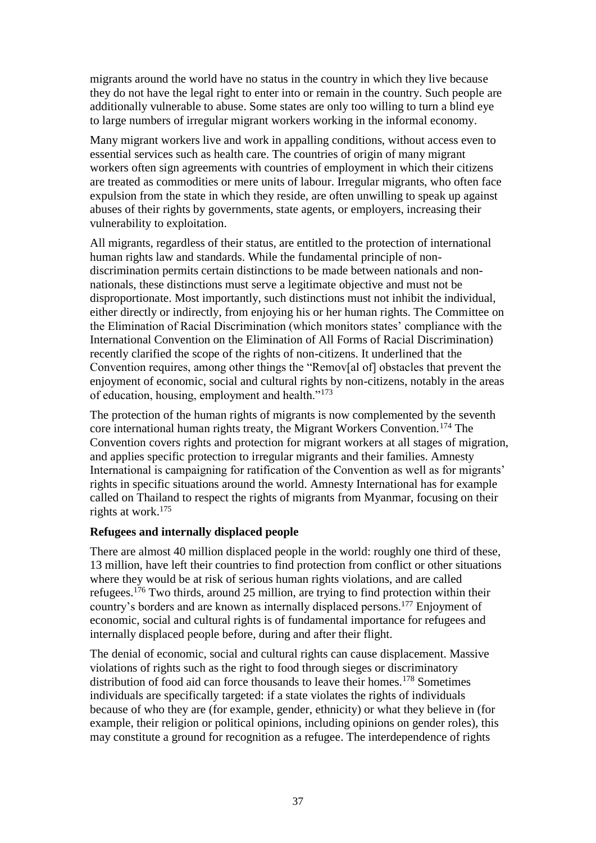migrants around the world have no status in the country in which they live because they do not have the legal right to enter into or remain in the country. Such people are additionally vulnerable to abuse. Some states are only too willing to turn a blind eye to large numbers of irregular migrant workers working in the informal economy.

Many migrant workers live and work in appalling conditions, without access even to essential services such as health care. The countries of origin of many migrant workers often sign agreements with countries of employment in which their citizens are treated as commodities or mere units of labour. Irregular migrants, who often face expulsion from the state in which they reside, are often unwilling to speak up against abuses of their rights by governments, state agents, or employers, increasing their vulnerability to exploitation.

All migrants, regardless of their status, are entitled to the protection of international human rights law and standards. While the fundamental principle of nondiscrimination permits certain distinctions to be made between nationals and nonnationals, these distinctions must serve a legitimate objective and must not be disproportionate. Most importantly, such distinctions must not inhibit the individual, either directly or indirectly, from enjoying his or her human rights. The Committee on the Elimination of Racial Discrimination (which monitors states' compliance with the International Convention on the Elimination of All Forms of Racial Discrimination) recently clarified the scope of the rights of non-citizens. It underlined that the Convention requires, among other things the "Remov[al of] obstacles that prevent the enjoyment of economic, social and cultural rights by non-citizens, notably in the areas of education, housing, employment and health."<sup>173</sup>

The protection of the human rights of migrants is now complemented by the seventh core international human rights treaty, the Migrant Workers Convention.<sup>174</sup> The Convention covers rights and protection for migrant workers at all stages of migration, and applies specific protection to irregular migrants and their families. Amnesty International is campaigning for ratification of the Convention as well as for migrants' rights in specific situations around the world. Amnesty International has for example called on Thailand to respect the rights of migrants from Myanmar, focusing on their rights at work.<sup>175</sup>

#### **Refugees and internally displaced people**

There are almost 40 million displaced people in the world: roughly one third of these, 13 million, have left their countries to find protection from conflict or other situations where they would be at risk of serious human rights violations, and are called refugees.<sup>176</sup> Two thirds, around 25 million, are trying to find protection within their country's borders and are known as internally displaced persons.<sup>177</sup> Enjoyment of economic, social and cultural rights is of fundamental importance for refugees and internally displaced people before, during and after their flight.

The denial of economic, social and cultural rights can cause displacement. Massive violations of rights such as the right to food through sieges or discriminatory distribution of food aid can force thousands to leave their homes.<sup>178</sup> Sometimes individuals are specifically targeted: if a state violates the rights of individuals because of who they are (for example, gender, ethnicity) or what they believe in (for example, their religion or political opinions, including opinions on gender roles), this may constitute a ground for recognition as a refugee. The interdependence of rights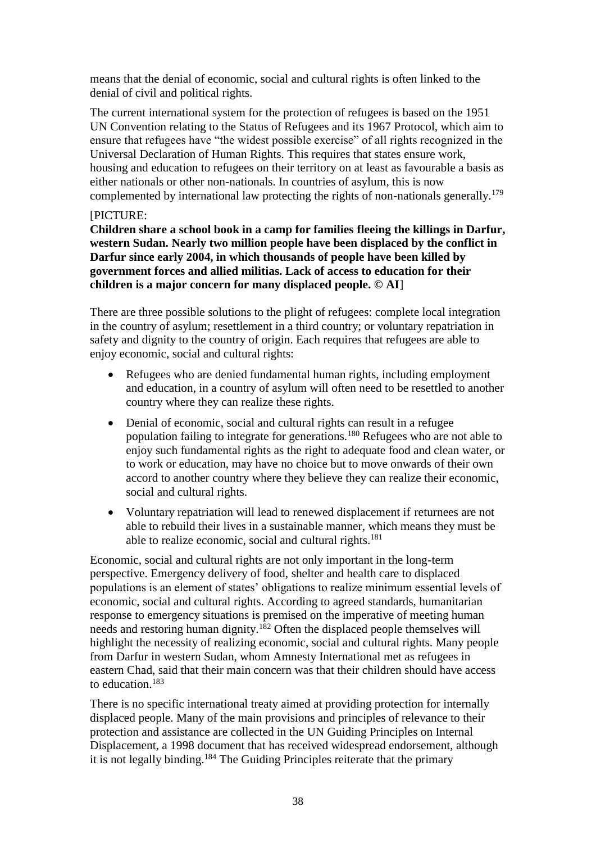means that the denial of economic, social and cultural rights is often linked to the denial of civil and political rights.

The current international system for the protection of refugees is based on the 1951 UN Convention relating to the Status of Refugees and its 1967 Protocol, which aim to ensure that refugees have "the widest possible exercise" of all rights recognized in the Universal Declaration of Human Rights. This requires that states ensure work, housing and education to refugees on their territory on at least as favourable a basis as either nationals or other non-nationals. In countries of asylum, this is now complemented by international law protecting the rights of non-nationals generally.<sup>179</sup>

## [PICTURE:

**Children share a school book in a camp for families fleeing the killings in Darfur, western Sudan. Nearly two million people have been displaced by the conflict in Darfur since early 2004, in which thousands of people have been killed by government forces and allied militias. Lack of access to education for their children is a major concern for many displaced people. © AI**]

There are three possible solutions to the plight of refugees: complete local integration in the country of asylum; resettlement in a third country; or voluntary repatriation in safety and dignity to the country of origin. Each requires that refugees are able to enjoy economic, social and cultural rights:

- Refugees who are denied fundamental human rights, including employment and education, in a country of asylum will often need to be resettled to another country where they can realize these rights.
- Denial of economic, social and cultural rights can result in a refugee population failing to integrate for generations.<sup>180</sup> Refugees who are not able to enjoy such fundamental rights as the right to adequate food and clean water, or to work or education, may have no choice but to move onwards of their own accord to another country where they believe they can realize their economic, social and cultural rights.
- Voluntary repatriation will lead to renewed displacement if returnees are not able to rebuild their lives in a sustainable manner, which means they must be able to realize economic, social and cultural rights.<sup>181</sup>

Economic, social and cultural rights are not only important in the long-term perspective. Emergency delivery of food, shelter and health care to displaced populations is an element of states' obligations to realize minimum essential levels of economic, social and cultural rights. According to agreed standards, humanitarian response to emergency situations is premised on the imperative of meeting human needs and restoring human dignity.<sup>182</sup> Often the displaced people themselves will highlight the necessity of realizing economic, social and cultural rights. Many people from Darfur in western Sudan, whom Amnesty International met as refugees in eastern Chad, said that their main concern was that their children should have access to education.<sup>183</sup>

There is no specific international treaty aimed at providing protection for internally displaced people. Many of the main provisions and principles of relevance to their protection and assistance are collected in the UN Guiding Principles on Internal Displacement, a 1998 document that has received widespread endorsement, although it is not legally binding.<sup>184</sup> The Guiding Principles reiterate that the primary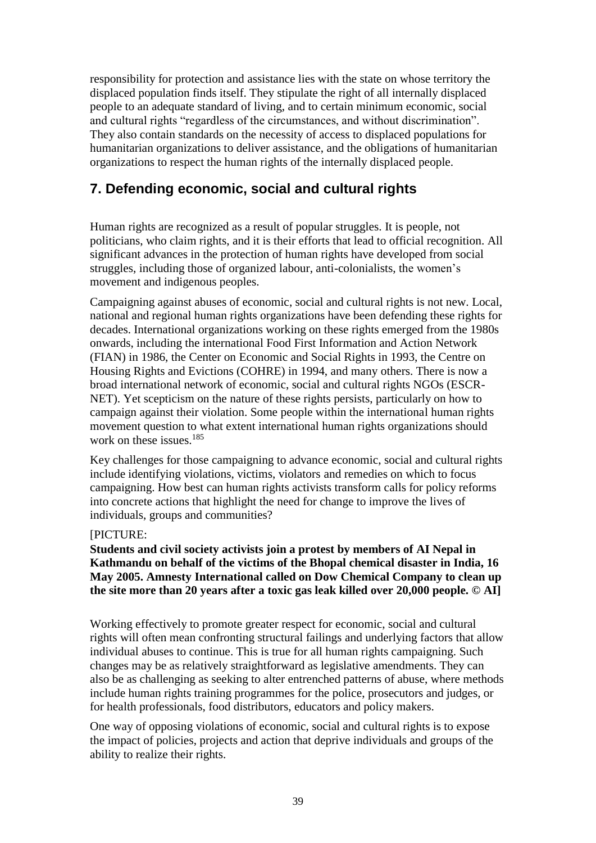responsibility for protection and assistance lies with the state on whose territory the displaced population finds itself. They stipulate the right of all internally displaced people to an adequate standard of living, and to certain minimum economic, social and cultural rights "regardless of the circumstances, and without discrimination". They also contain standards on the necessity of access to displaced populations for humanitarian organizations to deliver assistance, and the obligations of humanitarian organizations to respect the human rights of the internally displaced people.

## **7. Defending economic, social and cultural rights**

Human rights are recognized as a result of popular struggles. It is people, not politicians, who claim rights, and it is their efforts that lead to official recognition. All significant advances in the protection of human rights have developed from social struggles, including those of organized labour, anti-colonialists, the women's movement and indigenous peoples.

Campaigning against abuses of economic, social and cultural rights is not new. Local, national and regional human rights organizations have been defending these rights for decades. International organizations working on these rights emerged from the 1980s onwards, including the international Food First Information and Action Network (FIAN) in 1986, the Center on Economic and Social Rights in 1993, the Centre on Housing Rights and Evictions (COHRE) in 1994, and many others. There is now a broad international network of economic, social and cultural rights NGOs (ESCR-NET). Yet scepticism on the nature of these rights persists, particularly on how to campaign against their violation. Some people within the international human rights movement question to what extent international human rights organizations should work on these issues.<sup>185</sup>

Key challenges for those campaigning to advance economic, social and cultural rights include identifying violations, victims, violators and remedies on which to focus campaigning. How best can human rights activists transform calls for policy reforms into concrete actions that highlight the need for change to improve the lives of individuals, groups and communities?

#### [PICTURE:

## **Students and civil society activists join a protest by members of AI Nepal in Kathmandu on behalf of the victims of the Bhopal chemical disaster in India, 16 May 2005. Amnesty International called on Dow Chemical Company to clean up the site more than 20 years after a toxic gas leak killed over 20,000 people. © AI]**

Working effectively to promote greater respect for economic, social and cultural rights will often mean confronting structural failings and underlying factors that allow individual abuses to continue. This is true for all human rights campaigning. Such changes may be as relatively straightforward as legislative amendments. They can also be as challenging as seeking to alter entrenched patterns of abuse, where methods include human rights training programmes for the police, prosecutors and judges, or for health professionals, food distributors, educators and policy makers.

One way of opposing violations of economic, social and cultural rights is to expose the impact of policies, projects and action that deprive individuals and groups of the ability to realize their rights.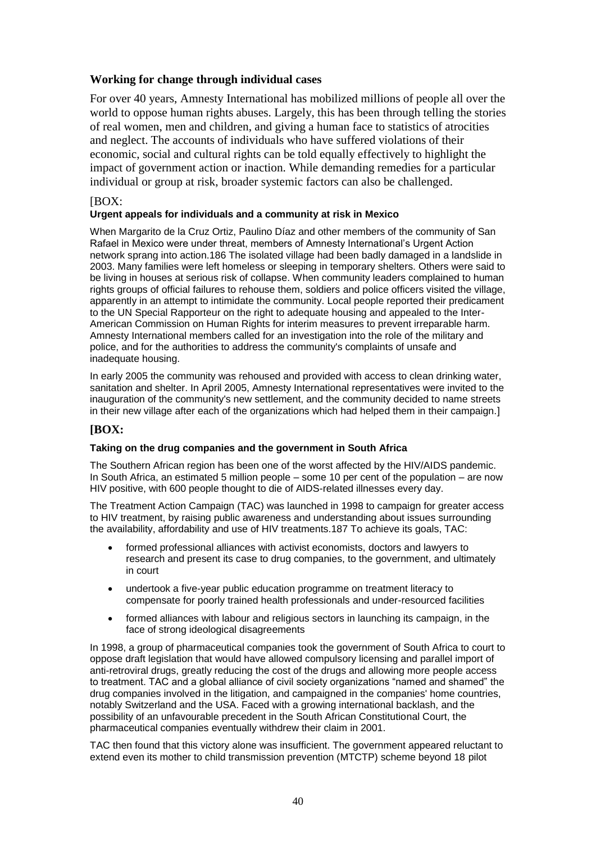## **Working for change through individual cases**

For over 40 years, Amnesty International has mobilized millions of people all over the world to oppose human rights abuses. Largely, this has been through telling the stories of real women, men and children, and giving a human face to statistics of atrocities and neglect. The accounts of individuals who have suffered violations of their economic, social and cultural rights can be told equally effectively to highlight the impact of government action or inaction. While demanding remedies for a particular individual or group at risk, broader systemic factors can also be challenged.

#### $IBOX$ :

#### **Urgent appeals for individuals and a community at risk in Mexico**

When Margarito de la Cruz Ortiz, Paulino Díaz and other members of the community of San Rafael in Mexico were under threat, members of Amnesty International's Urgent Action network sprang into action.186 The isolated village had been badly damaged in a landslide in 2003. Many families were left homeless or sleeping in temporary shelters. Others were said to be living in houses at serious risk of collapse. When community leaders complained to human rights groups of official failures to rehouse them, soldiers and police officers visited the village, apparently in an attempt to intimidate the community. Local people reported their predicament to the UN Special Rapporteur on the right to adequate housing and appealed to the Inter-American Commission on Human Rights for interim measures to prevent irreparable harm. Amnesty International members called for an investigation into the role of the military and police, and for the authorities to address the community's complaints of unsafe and inadequate housing.

In early 2005 the community was rehoused and provided with access to clean drinking water, sanitation and shelter. In April 2005, Amnesty International representatives were invited to the inauguration of the community's new settlement, and the community decided to name streets in their new village after each of the organizations which had helped them in their campaign.]

#### **[BOX:**

#### **Taking on the drug companies and the government in South Africa**

The Southern African region has been one of the worst affected by the HIV/AIDS pandemic. In South Africa, an estimated 5 million people – some 10 per cent of the population – are now HIV positive, with 600 people thought to die of AIDS-related illnesses every day.

The Treatment Action Campaign (TAC) was launched in 1998 to campaign for greater access to HIV treatment, by raising public awareness and understanding about issues surrounding the availability, affordability and use of HIV treatments.187 To achieve its goals, TAC:

- formed professional alliances with activist economists, doctors and lawyers to research and present its case to drug companies, to the government, and ultimately in court
- undertook a five-year public education programme on treatment literacy to compensate for poorly trained health professionals and under-resourced facilities
- formed alliances with labour and religious sectors in launching its campaign, in the face of strong ideological disagreements

In 1998, a group of pharmaceutical companies took the government of South Africa to court to oppose draft legislation that would have allowed compulsory licensing and parallel import of anti-retroviral drugs, greatly reducing the cost of the drugs and allowing more people access to treatment. TAC and a global alliance of civil society organizations "named and shamed" the drug companies involved in the litigation, and campaigned in the companies' home countries, notably Switzerland and the USA. Faced with a growing international backlash, and the possibility of an unfavourable precedent in the South African Constitutional Court, the pharmaceutical companies eventually withdrew their claim in 2001.

TAC then found that this victory alone was insufficient. The government appeared reluctant to extend even its mother to child transmission prevention (MTCTP) scheme beyond 18 pilot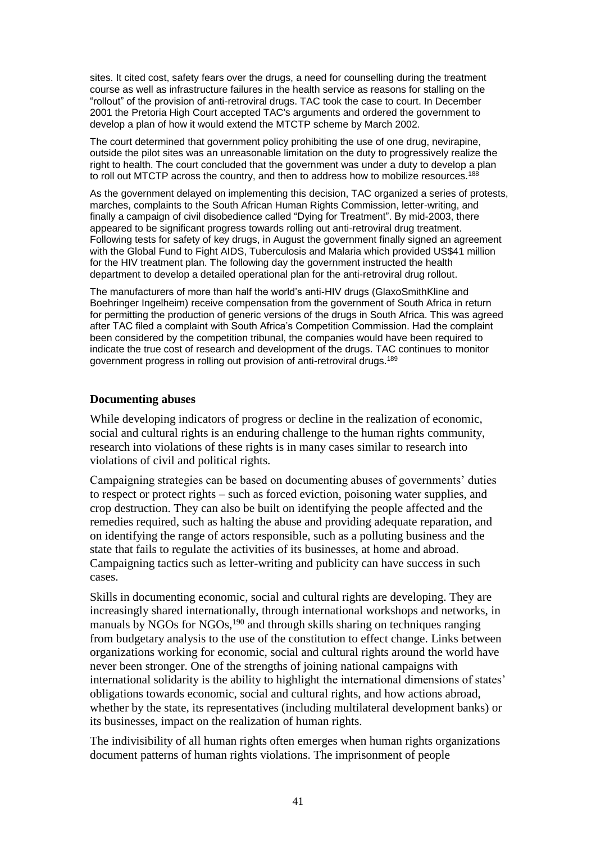sites. It cited cost, safety fears over the drugs, a need for counselling during the treatment course as well as infrastructure failures in the health service as reasons for stalling on the "rollout" of the provision of anti-retroviral drugs. TAC took the case to court. In December 2001 the Pretoria High Court accepted TAC's arguments and ordered the government to develop a plan of how it would extend the MTCTP scheme by March 2002.

The court determined that government policy prohibiting the use of one drug, nevirapine, outside the pilot sites was an unreasonable limitation on the duty to progressively realize the right to health. The court concluded that the government was under a duty to develop a plan to roll out MTCTP across the country, and then to address how to mobilize resources.<sup>188</sup>

As the government delayed on implementing this decision, TAC organized a series of protests, marches, complaints to the South African Human Rights Commission, letter-writing, and finally a campaign of civil disobedience called "Dying for Treatment". By mid-2003, there appeared to be significant progress towards rolling out anti-retroviral drug treatment. Following tests for safety of key drugs, in August the government finally signed an agreement with the Global Fund to Fight AIDS, Tuberculosis and Malaria which provided US\$41 million for the HIV treatment plan. The following day the government instructed the health department to develop a detailed operational plan for the anti-retroviral drug rollout.

The manufacturers of more than half the world's anti-HIV drugs (GlaxoSmithKline and Boehringer Ingelheim) receive compensation from the government of South Africa in return for permitting the production of generic versions of the drugs in South Africa. This was agreed after TAC filed a complaint with South Africa's Competition Commission. Had the complaint been considered by the competition tribunal, the companies would have been required to indicate the true cost of research and development of the drugs. TAC continues to monitor government progress in rolling out provision of anti-retroviral drugs.<sup>189</sup>

#### **Documenting abuses**

While developing indicators of progress or decline in the realization of economic, social and cultural rights is an enduring challenge to the human rights community, research into violations of these rights is in many cases similar to research into violations of civil and political rights.

Campaigning strategies can be based on documenting abuses of governments' duties to respect or protect rights – such as forced eviction, poisoning water supplies, and crop destruction. They can also be built on identifying the people affected and the remedies required, such as halting the abuse and providing adequate reparation, and on identifying the range of actors responsible, such as a polluting business and the state that fails to regulate the activities of its businesses, at home and abroad. Campaigning tactics such as letter-writing and publicity can have success in such cases.

Skills in documenting economic, social and cultural rights are developing. They are increasingly shared internationally, through international workshops and networks, in manuals by NGOs for NGOs,<sup>190</sup> and through skills sharing on techniques ranging from budgetary analysis to the use of the constitution to effect change. Links between organizations working for economic, social and cultural rights around the world have never been stronger. One of the strengths of joining national campaigns with international solidarity is the ability to highlight the international dimensions of states' obligations towards economic, social and cultural rights, and how actions abroad, whether by the state, its representatives (including multilateral development banks) or its businesses, impact on the realization of human rights.

The indivisibility of all human rights often emerges when human rights organizations document patterns of human rights violations. The imprisonment of people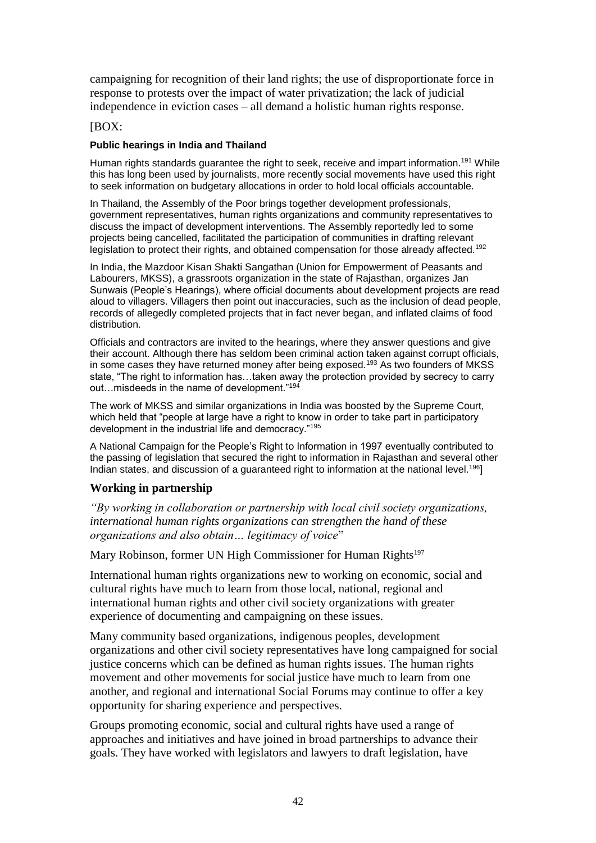campaigning for recognition of their land rights; the use of disproportionate force in response to protests over the impact of water privatization; the lack of judicial independence in eviction cases – all demand a holistic human rights response.

#### [BOX:

#### **Public hearings in India and Thailand**

Human rights standards guarantee the right to seek, receive and impart information.<sup>191</sup> While this has long been used by journalists, more recently social movements have used this right to seek information on budgetary allocations in order to hold local officials accountable.

In Thailand, the Assembly of the Poor brings together development professionals, government representatives, human rights organizations and community representatives to discuss the impact of development interventions. The Assembly reportedly led to some projects being cancelled, facilitated the participation of communities in drafting relevant legislation to protect their rights, and obtained compensation for those already affected.<sup>192</sup>

In India, the Mazdoor Kisan Shakti Sangathan (Union for Empowerment of Peasants and Labourers, MKSS), a grassroots organization in the state of Rajasthan, organizes Jan Sunwais (People's Hearings), where official documents about development projects are read aloud to villagers. Villagers then point out inaccuracies, such as the inclusion of dead people, records of allegedly completed projects that in fact never began, and inflated claims of food distribution.

Officials and contractors are invited to the hearings, where they answer questions and give their account. Although there has seldom been criminal action taken against corrupt officials, in some cases they have returned money after being exposed.<sup>193</sup> As two founders of MKSS state, "The right to information has…taken away the protection provided by secrecy to carry out...misdeeds in the name of development."<sup>194</sup>

The work of MKSS and similar organizations in India was boosted by the Supreme Court, which held that "people at large have a right to know in order to take part in participatory development in the industrial life and democracy."<sup>195</sup>

A National Campaign for the People's Right to Information in 1997 eventually contributed to the passing of legislation that secured the right to information in Rajasthan and several other Indian states, and discussion of a quaranteed right to information at the national level.<sup>196</sup>]

#### **Working in partnership**

*"By working in collaboration or partnership with local civil society organizations, international human rights organizations can strengthen the hand of these organizations and also obtain… legitimacy of voice*"

Mary Robinson, former UN High Commissioner for Human Rights<sup>197</sup>

International human rights organizations new to working on economic, social and cultural rights have much to learn from those local, national, regional and international human rights and other civil society organizations with greater experience of documenting and campaigning on these issues.

Many community based organizations, indigenous peoples, development organizations and other civil society representatives have long campaigned for social justice concerns which can be defined as human rights issues. The human rights movement and other movements for social justice have much to learn from one another, and regional and international Social Forums may continue to offer a key opportunity for sharing experience and perspectives.

Groups promoting economic, social and cultural rights have used a range of approaches and initiatives and have joined in broad partnerships to advance their goals. They have worked with legislators and lawyers to draft legislation, have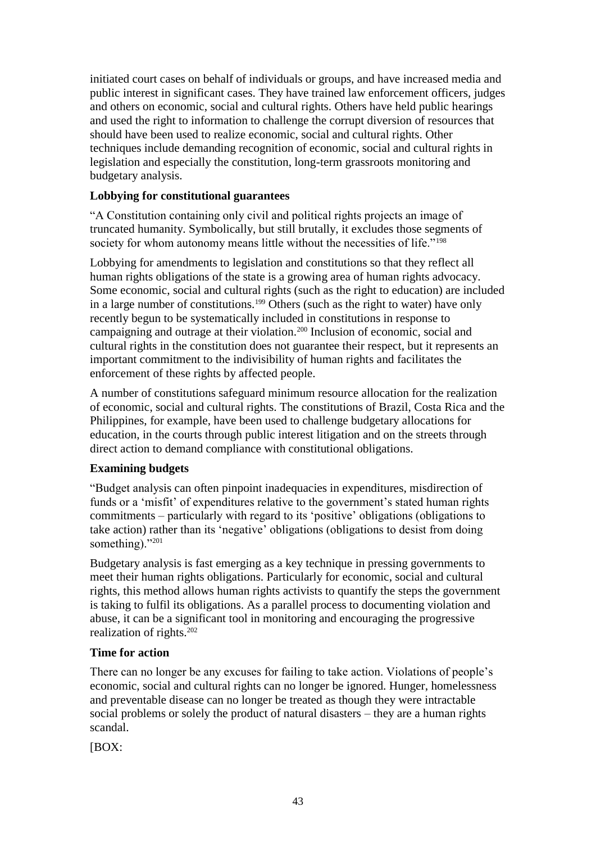initiated court cases on behalf of individuals or groups, and have increased media and public interest in significant cases. They have trained law enforcement officers, judges and others on economic, social and cultural rights. Others have held public hearings and used the right to information to challenge the corrupt diversion of resources that should have been used to realize economic, social and cultural rights. Other techniques include demanding recognition of economic, social and cultural rights in legislation and especially the constitution, long-term grassroots monitoring and budgetary analysis.

## **Lobbying for constitutional guarantees**

"A Constitution containing only civil and political rights projects an image of truncated humanity. Symbolically, but still brutally, it excludes those segments of society for whom autonomy means little without the necessities of life."<sup>198</sup>

Lobbying for amendments to legislation and constitutions so that they reflect all human rights obligations of the state is a growing area of human rights advocacy. Some economic, social and cultural rights (such as the right to education) are included in a large number of constitutions.<sup>199</sup> Others (such as the right to water) have only recently begun to be systematically included in constitutions in response to campaigning and outrage at their violation.<sup>200</sup> Inclusion of economic, social and cultural rights in the constitution does not guarantee their respect, but it represents an important commitment to the indivisibility of human rights and facilitates the enforcement of these rights by affected people.

A number of constitutions safeguard minimum resource allocation for the realization of economic, social and cultural rights. The constitutions of Brazil, Costa Rica and the Philippines, for example, have been used to challenge budgetary allocations for education, in the courts through public interest litigation and on the streets through direct action to demand compliance with constitutional obligations.

## **Examining budgets**

"Budget analysis can often pinpoint inadequacies in expenditures, misdirection of funds or a 'misfit' of expenditures relative to the government's stated human rights commitments – particularly with regard to its 'positive' obligations (obligations to take action) rather than its 'negative' obligations (obligations to desist from doing something)<sup>"201</sup>

Budgetary analysis is fast emerging as a key technique in pressing governments to meet their human rights obligations. Particularly for economic, social and cultural rights, this method allows human rights activists to quantify the steps the government is taking to fulfil its obligations. As a parallel process to documenting violation and abuse, it can be a significant tool in monitoring and encouraging the progressive realization of rights.<sup>202</sup>

## **Time for action**

There can no longer be any excuses for failing to take action. Violations of people's economic, social and cultural rights can no longer be ignored. Hunger, homelessness and preventable disease can no longer be treated as though they were intractable social problems or solely the product of natural disasters – they are a human rights scandal.

[BOX: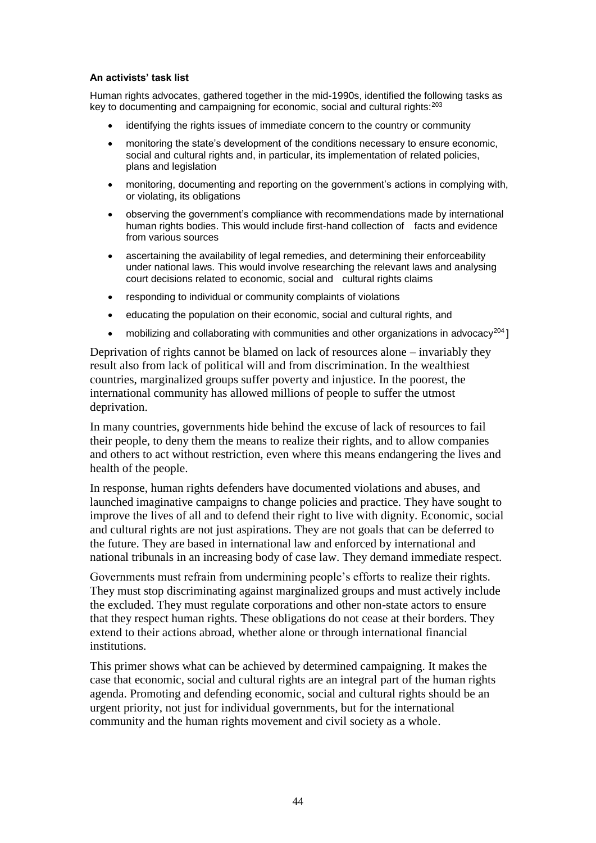#### **An activists' task list**

Human rights advocates, gathered together in the mid-1990s, identified the following tasks as key to documenting and campaigning for economic, social and cultural rights:<sup>203</sup>

- identifying the rights issues of immediate concern to the country or community
- monitoring the state's development of the conditions necessary to ensure economic, social and cultural rights and, in particular, its implementation of related policies, plans and legislation
- monitoring, documenting and reporting on the government's actions in complying with, or violating, its obligations
- observing the government's compliance with recommendations made by international human rights bodies. This would include first-hand collection of facts and evidence from various sources
- ascertaining the availability of legal remedies, and determining their enforceability under national laws. This would involve researching the relevant laws and analysing court decisions related to economic, social and cultural rights claims
- responding to individual or community complaints of violations
- educating the population on their economic, social and cultural rights, and
- mobilizing and collaborating with communities and other organizations in advocacy<sup>204</sup>]

Deprivation of rights cannot be blamed on lack of resources alone – invariably they result also from lack of political will and from discrimination. In the wealthiest countries, marginalized groups suffer poverty and injustice. In the poorest, the international community has allowed millions of people to suffer the utmost deprivation.

In many countries, governments hide behind the excuse of lack of resources to fail their people, to deny them the means to realize their rights, and to allow companies and others to act without restriction, even where this means endangering the lives and health of the people.

In response, human rights defenders have documented violations and abuses, and launched imaginative campaigns to change policies and practice. They have sought to improve the lives of all and to defend their right to live with dignity. Economic, social and cultural rights are not just aspirations. They are not goals that can be deferred to the future. They are based in international law and enforced by international and national tribunals in an increasing body of case law. They demand immediate respect.

Governments must refrain from undermining people's efforts to realize their rights. They must stop discriminating against marginalized groups and must actively include the excluded. They must regulate corporations and other non-state actors to ensure that they respect human rights. These obligations do not cease at their borders. They extend to their actions abroad, whether alone or through international financial institutions.

This primer shows what can be achieved by determined campaigning. It makes the case that economic, social and cultural rights are an integral part of the human rights agenda. Promoting and defending economic, social and cultural rights should be an urgent priority, not just for individual governments, but for the international community and the human rights movement and civil society as a whole.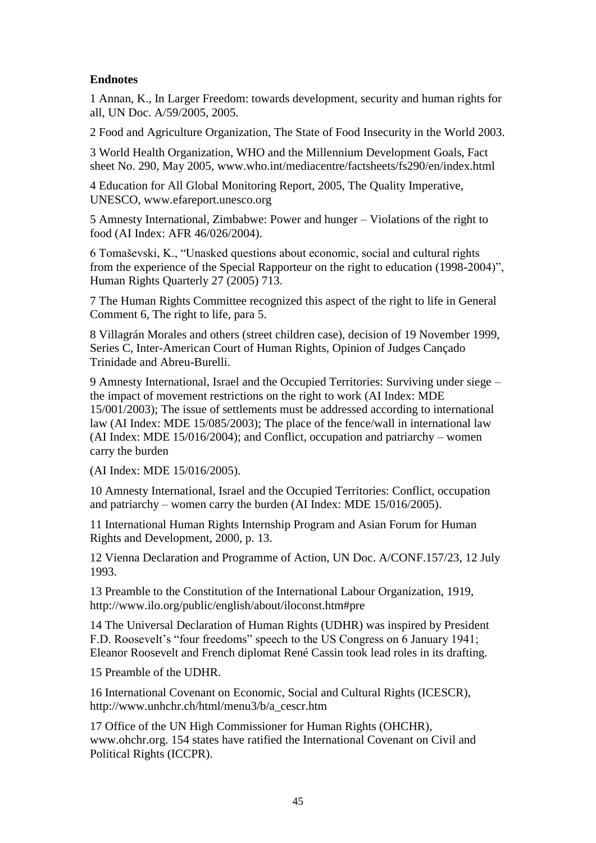## **Endnotes**

1 Annan, K., In Larger Freedom: towards development, security and human rights for all, UN Doc. A/59/2005, 2005.

2 Food and Agriculture Organization, The State of Food Insecurity in the World 2003.

3 World Health Organization, WHO and the Millennium Development Goals, Fact sheet No. 290, May 2005, www.who.int/mediacentre/factsheets/fs290/en/index.html

4 Education for All Global Monitoring Report, 2005, The Quality Imperative, UNESCO, www.efareport.unesco.org

5 Amnesty International, Zimbabwe: Power and hunger – Violations of the right to food (AI Index: AFR 46/026/2004).

6 Tomaševski, K., "Unasked questions about economic, social and cultural rights from the experience of the Special Rapporteur on the right to education (1998-2004)", Human Rights Quarterly 27 (2005) 713.

7 The Human Rights Committee recognized this aspect of the right to life in General Comment 6, The right to life, para 5.

8 Villagrán Morales and others (street children case), decision of 19 November 1999, Series C, Inter-American Court of Human Rights, Opinion of Judges Cançado Trinidade and Abreu-Burelli.

9 Amnesty International, Israel and the Occupied Territories: Surviving under siege – the impact of movement restrictions on the right to work (AI Index: MDE 15/001/2003); The issue of settlements must be addressed according to international law (AI Index: MDE 15/085/2003); The place of the fence/wall in international law (AI Index: MDE 15/016/2004); and Conflict, occupation and patriarchy – women carry the burden

(AI Index: MDE 15/016/2005).

10 Amnesty International, Israel and the Occupied Territories: Conflict, occupation and patriarchy – women carry the burden (AI Index: MDE 15/016/2005).

11 International Human Rights Internship Program and Asian Forum for Human Rights and Development, 2000, p. 13.

12 Vienna Declaration and Programme of Action, UN Doc. A/CONF.157/23, 12 July 1993.

13 Preamble to the Constitution of the International Labour Organization, 1919, http://www.ilo.org/public/english/about/iloconst.htm#pre

14 The Universal Declaration of Human Rights (UDHR) was inspired by President F.D. Roosevelt's "four freedoms" speech to the US Congress on 6 January 1941; Eleanor Roosevelt and French diplomat René Cassin took lead roles in its drafting.

15 Preamble of the UDHR.

16 International Covenant on Economic, Social and Cultural Rights (ICESCR), http://www.unhchr.ch/html/menu3/b/a\_cescr.htm

17 Office of the UN High Commissioner for Human Rights (OHCHR), www.ohchr.org. 154 states have ratified the International Covenant on Civil and Political Rights (ICCPR).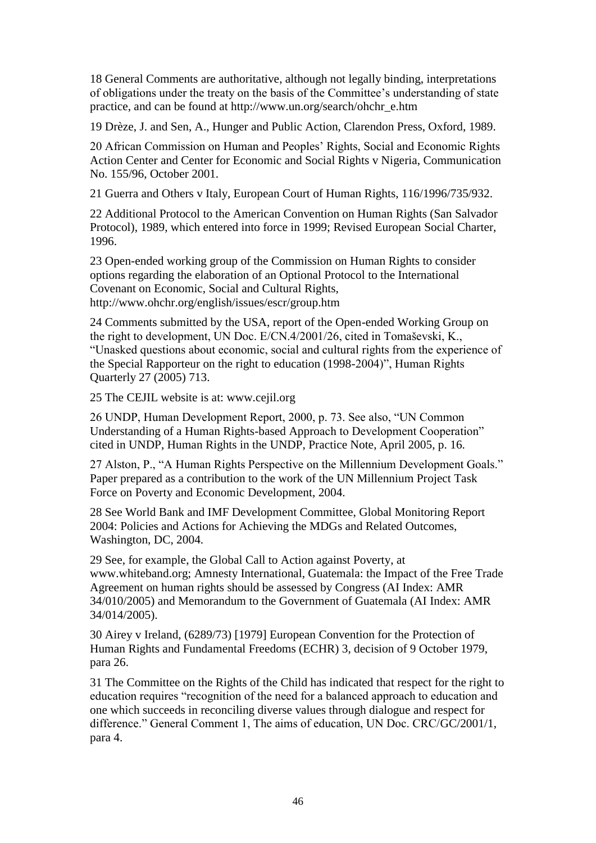18 General Comments are authoritative, although not legally binding, interpretations of obligations under the treaty on the basis of the Committee's understanding of state practice, and can be found at http://www.un.org/search/ohchr\_e.htm

19 Drèze, J. and Sen, A., Hunger and Public Action, Clarendon Press, Oxford, 1989.

20 African Commission on Human and Peoples' Rights, Social and Economic Rights Action Center and Center for Economic and Social Rights v Nigeria, Communication No. 155/96, October 2001.

21 Guerra and Others v Italy, European Court of Human Rights, 116/1996/735/932.

22 Additional Protocol to the American Convention on Human Rights (San Salvador Protocol), 1989, which entered into force in 1999; Revised European Social Charter, 1996.

23 Open-ended working group of the Commission on Human Rights to consider options regarding the elaboration of an Optional Protocol to the International Covenant on Economic, Social and Cultural Rights, http://www.ohchr.org/english/issues/escr/group.htm

24 Comments submitted by the USA, report of the Open-ended Working Group on the right to development, UN Doc. E/CN.4/2001/26, cited in Tomaševski, K., "Unasked questions about economic, social and cultural rights from the experience of the Special Rapporteur on the right to education (1998-2004)", Human Rights Quarterly 27 (2005) 713.

25 The CEJIL website is at: www.cejil.org

26 UNDP, Human Development Report, 2000, p. 73. See also, "UN Common Understanding of a Human Rights-based Approach to Development Cooperation" cited in UNDP, Human Rights in the UNDP, Practice Note, April 2005, p. 16.

27 Alston, P., "A Human Rights Perspective on the Millennium Development Goals." Paper prepared as a contribution to the work of the UN Millennium Project Task Force on Poverty and Economic Development, 2004.

28 See World Bank and IMF Development Committee, Global Monitoring Report 2004: Policies and Actions for Achieving the MDGs and Related Outcomes, Washington, DC, 2004.

29 See, for example, the Global Call to Action against Poverty, at www.whiteband.org; Amnesty International, Guatemala: the Impact of the Free Trade Agreement on human rights should be assessed by Congress (AI Index: AMR 34/010/2005) and Memorandum to the Government of Guatemala (AI Index: AMR 34/014/2005).

30 Airey v Ireland, (6289/73) [1979] European Convention for the Protection of Human Rights and Fundamental Freedoms (ECHR) 3, decision of 9 October 1979, para 26.

31 The Committee on the Rights of the Child has indicated that respect for the right to education requires "recognition of the need for a balanced approach to education and one which succeeds in reconciling diverse values through dialogue and respect for difference." General Comment 1, The aims of education, UN Doc. CRC/GC/2001/1, para 4.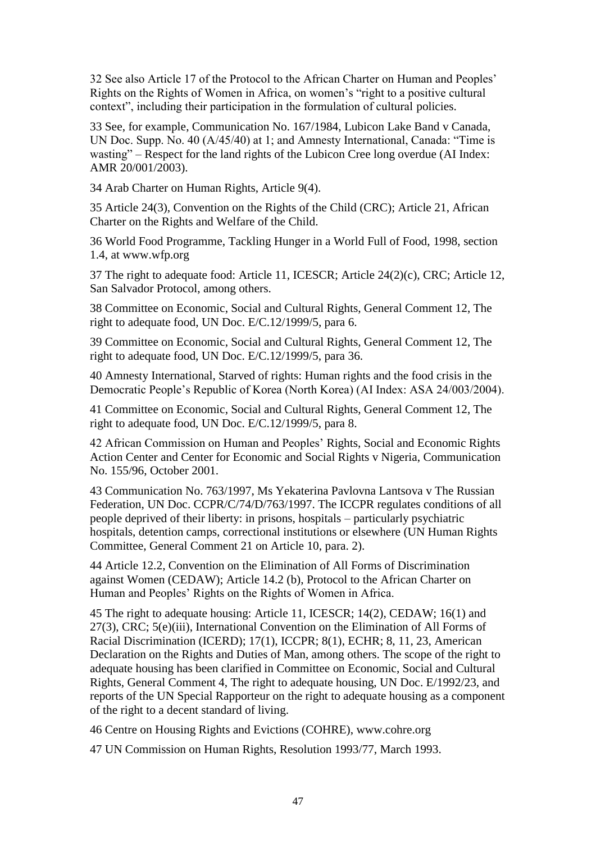32 See also Article 17 of the Protocol to the African Charter on Human and Peoples' Rights on the Rights of Women in Africa, on women's "right to a positive cultural context", including their participation in the formulation of cultural policies.

33 See, for example, Communication No. 167/1984, Lubicon Lake Band v Canada, UN Doc. Supp. No. 40 (A/45/40) at 1; and Amnesty International, Canada: "Time is wasting" – Respect for the land rights of the Lubicon Cree long overdue (AI Index: AMR 20/001/2003).

34 Arab Charter on Human Rights, Article 9(4).

35 Article 24(3), Convention on the Rights of the Child (CRC); Article 21, African Charter on the Rights and Welfare of the Child.

36 World Food Programme, Tackling Hunger in a World Full of Food, 1998, section 1.4, at www.wfp.org

37 The right to adequate food: Article 11, ICESCR; Article 24(2)(c), CRC; Article 12, San Salvador Protocol, among others.

38 Committee on Economic, Social and Cultural Rights, General Comment 12, The right to adequate food, UN Doc. E/C.12/1999/5, para 6.

39 Committee on Economic, Social and Cultural Rights, General Comment 12, The right to adequate food, UN Doc. E/C.12/1999/5, para 36.

40 Amnesty International, Starved of rights: Human rights and the food crisis in the Democratic People's Republic of Korea (North Korea) (AI Index: ASA 24/003/2004).

41 Committee on Economic, Social and Cultural Rights, General Comment 12, The right to adequate food, UN Doc. E/C.12/1999/5, para 8.

42 African Commission on Human and Peoples' Rights, Social and Economic Rights Action Center and Center for Economic and Social Rights v Nigeria, Communication No. 155/96, October 2001.

43 Communication No. 763/1997, Ms Yekaterina Pavlovna Lantsova v The Russian Federation, UN Doc. CCPR/C/74/D/763/1997. The ICCPR regulates conditions of all people deprived of their liberty: in prisons, hospitals – particularly psychiatric hospitals, detention camps, correctional institutions or elsewhere (UN Human Rights Committee, General Comment 21 on Article 10, para. 2).

44 Article 12.2, Convention on the Elimination of All Forms of Discrimination against Women (CEDAW); Article 14.2 (b), Protocol to the African Charter on Human and Peoples' Rights on the Rights of Women in Africa.

45 The right to adequate housing: Article 11, ICESCR; 14(2), CEDAW; 16(1) and 27(3), CRC; 5(e)(iii), International Convention on the Elimination of All Forms of Racial Discrimination (ICERD); 17(1), ICCPR; 8(1), ECHR; 8, 11, 23, American Declaration on the Rights and Duties of Man, among others. The scope of the right to adequate housing has been clarified in Committee on Economic, Social and Cultural Rights, General Comment 4, The right to adequate housing, UN Doc. E/1992/23, and reports of the UN Special Rapporteur on the right to adequate housing as a component of the right to a decent standard of living.

46 Centre on Housing Rights and Evictions (COHRE), www.cohre.org

47 UN Commission on Human Rights, Resolution 1993/77, March 1993.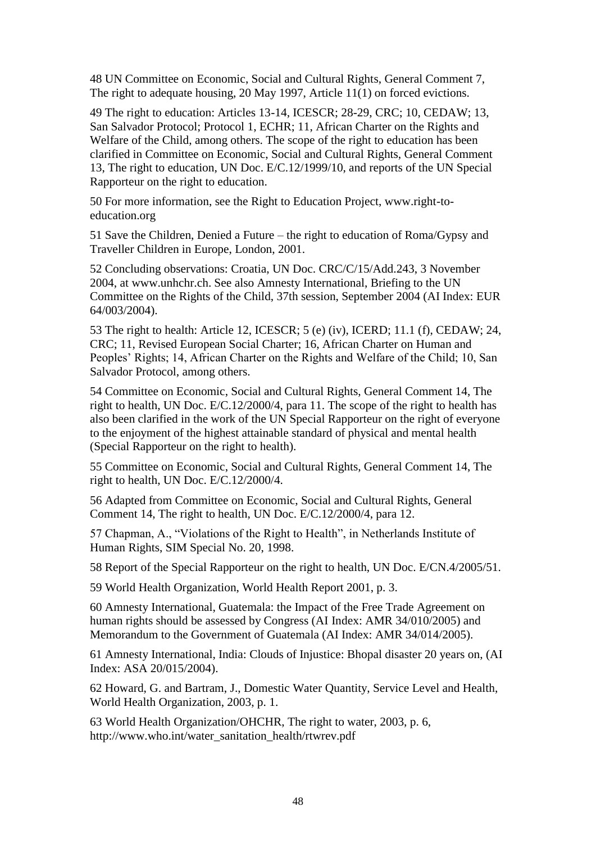48 UN Committee on Economic, Social and Cultural Rights, General Comment 7, The right to adequate housing, 20 May 1997, Article 11(1) on forced evictions.

49 The right to education: Articles 13-14, ICESCR; 28-29, CRC; 10, CEDAW; 13, San Salvador Protocol; Protocol 1, ECHR; 11, African Charter on the Rights and Welfare of the Child, among others. The scope of the right to education has been clarified in Committee on Economic, Social and Cultural Rights, General Comment 13, The right to education, UN Doc. E/C.12/1999/10, and reports of the UN Special Rapporteur on the right to education.

50 For more information, see the Right to Education Project, www.right-toeducation.org

51 Save the Children, Denied a Future – the right to education of Roma/Gypsy and Traveller Children in Europe, London, 2001.

52 Concluding observations: Croatia, UN Doc. CRC/C/15/Add.243, 3 November 2004, at www.unhchr.ch. See also Amnesty International, Briefing to the UN Committee on the Rights of the Child, 37th session, September 2004 (AI Index: EUR 64/003/2004).

53 The right to health: Article 12, ICESCR; 5 (e) (iv), ICERD; 11.1 (f), CEDAW; 24, CRC; 11, Revised European Social Charter; 16, African Charter on Human and Peoples' Rights; 14, African Charter on the Rights and Welfare of the Child; 10, San Salvador Protocol, among others.

54 Committee on Economic, Social and Cultural Rights, General Comment 14, The right to health, UN Doc. E/C.12/2000/4, para 11. The scope of the right to health has also been clarified in the work of the UN Special Rapporteur on the right of everyone to the enjoyment of the highest attainable standard of physical and mental health (Special Rapporteur on the right to health).

55 Committee on Economic, Social and Cultural Rights, General Comment 14, The right to health, UN Doc. E/C.12/2000/4.

56 Adapted from Committee on Economic, Social and Cultural Rights, General Comment 14, The right to health, UN Doc. E/C.12/2000/4, para 12.

57 Chapman, A., "Violations of the Right to Health", in Netherlands Institute of Human Rights, SIM Special No. 20, 1998.

58 Report of the Special Rapporteur on the right to health, UN Doc. E/CN.4/2005/51.

59 World Health Organization, World Health Report 2001, p. 3.

60 Amnesty International, Guatemala: the Impact of the Free Trade Agreement on human rights should be assessed by Congress (AI Index: AMR 34/010/2005) and Memorandum to the Government of Guatemala (AI Index: AMR 34/014/2005).

61 Amnesty International, India: Clouds of Injustice: Bhopal disaster 20 years on, (AI Index: ASA 20/015/2004).

62 Howard, G. and Bartram, J., Domestic Water Quantity, Service Level and Health, World Health Organization, 2003, p. 1.

63 World Health Organization/OHCHR, The right to water, 2003, p. 6, http://www.who.int/water\_sanitation\_health/rtwrev.pdf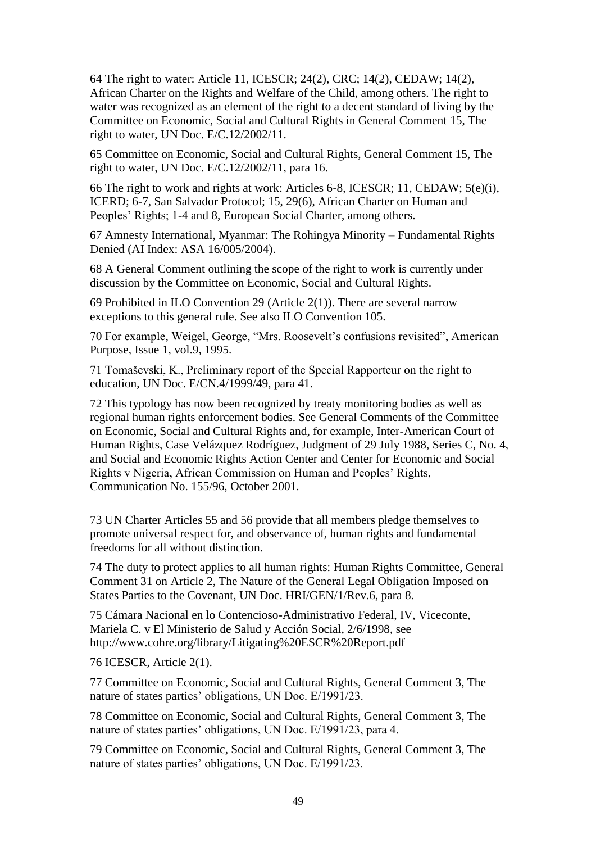64 The right to water: Article 11, ICESCR; 24(2), CRC; 14(2), CEDAW; 14(2), African Charter on the Rights and Welfare of the Child, among others. The right to water was recognized as an element of the right to a decent standard of living by the Committee on Economic, Social and Cultural Rights in General Comment 15, The right to water, UN Doc. E/C.12/2002/11.

65 Committee on Economic, Social and Cultural Rights, General Comment 15, The right to water, UN Doc. E/C.12/2002/11, para 16.

66 The right to work and rights at work: Articles 6-8, ICESCR; 11, CEDAW; 5(e)(i), ICERD; 6-7, San Salvador Protocol; 15, 29(6), African Charter on Human and Peoples' Rights; 1-4 and 8, European Social Charter, among others.

67 Amnesty International, Myanmar: The Rohingya Minority – Fundamental Rights Denied (AI Index: ASA 16/005/2004).

68 A General Comment outlining the scope of the right to work is currently under discussion by the Committee on Economic, Social and Cultural Rights.

69 Prohibited in ILO Convention 29 (Article 2(1)). There are several narrow exceptions to this general rule. See also ILO Convention 105.

70 For example, Weigel, George, "Mrs. Roosevelt's confusions revisited", American Purpose, Issue 1, vol.9, 1995.

71 Tomaševski, K., Preliminary report of the Special Rapporteur on the right to education, UN Doc. E/CN.4/1999/49, para 41.

72 This typology has now been recognized by treaty monitoring bodies as well as regional human rights enforcement bodies. See General Comments of the Committee on Economic, Social and Cultural Rights and, for example, Inter-American Court of Human Rights, Case Velázquez Rodríguez, Judgment of 29 July 1988, Series C, No. 4, and Social and Economic Rights Action Center and Center for Economic and Social Rights v Nigeria, African Commission on Human and Peoples' Rights, Communication No. 155/96, October 2001.

73 UN Charter Articles 55 and 56 provide that all members pledge themselves to promote universal respect for, and observance of, human rights and fundamental freedoms for all without distinction.

74 The duty to protect applies to all human rights: Human Rights Committee, General Comment 31 on Article 2, The Nature of the General Legal Obligation Imposed on States Parties to the Covenant, UN Doc. HRI/GEN/1/Rev.6, para 8.

75 Cámara Nacional en lo Contencioso-Administrativo Federal, IV, Viceconte, Mariela C. v El Ministerio de Salud y Acción Social, 2/6/1998, see http://www.cohre.org/library/Litigating%20ESCR%20Report.pdf

76 ICESCR, Article 2(1).

77 Committee on Economic, Social and Cultural Rights, General Comment 3, The nature of states parties' obligations, UN Doc. E/1991/23.

78 Committee on Economic, Social and Cultural Rights, General Comment 3, The nature of states parties' obligations, UN Doc. E/1991/23, para 4.

79 Committee on Economic, Social and Cultural Rights, General Comment 3, The nature of states parties' obligations, UN Doc. E/1991/23.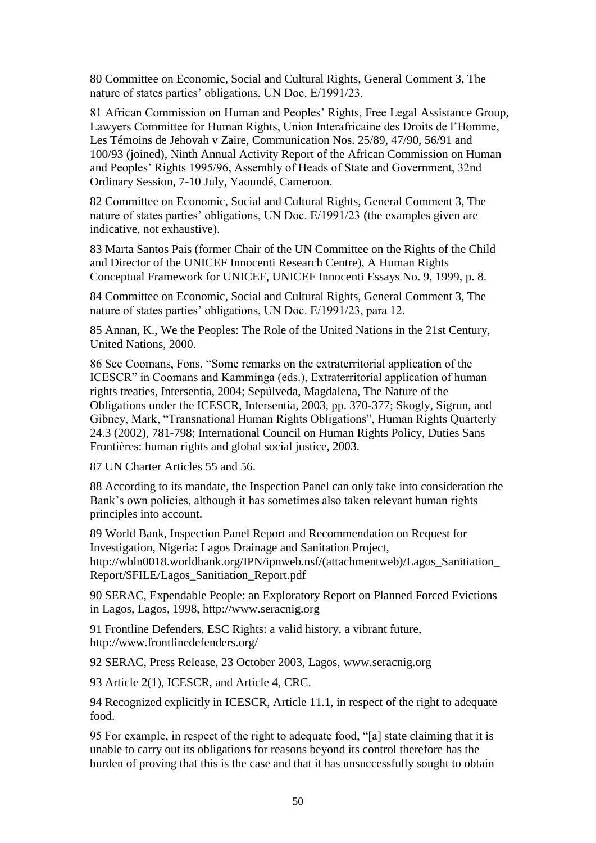80 Committee on Economic, Social and Cultural Rights, General Comment 3, The nature of states parties' obligations, UN Doc. E/1991/23.

81 African Commission on Human and Peoples' Rights, Free Legal Assistance Group, Lawyers Committee for Human Rights, Union Interafricaine des Droits de l'Homme, Les Témoins de Jehovah v Zaire, Communication Nos. 25/89, 47/90, 56/91 and 100/93 (joined), Ninth Annual Activity Report of the African Commission on Human and Peoples' Rights 1995/96, Assembly of Heads of State and Government, 32nd Ordinary Session, 7-10 July, Yaoundé, Cameroon.

82 Committee on Economic, Social and Cultural Rights, General Comment 3, The nature of states parties' obligations, UN Doc. E/1991/23 (the examples given are indicative, not exhaustive).

83 Marta Santos Pais (former Chair of the UN Committee on the Rights of the Child and Director of the UNICEF Innocenti Research Centre), A Human Rights Conceptual Framework for UNICEF, UNICEF Innocenti Essays No. 9, 1999, p. 8.

84 Committee on Economic, Social and Cultural Rights, General Comment 3, The nature of states parties' obligations, UN Doc. E/1991/23, para 12.

85 Annan, K., We the Peoples: The Role of the United Nations in the 21st Century, United Nations, 2000.

86 See Coomans, Fons, "Some remarks on the extraterritorial application of the ICESCR" in Coomans and Kamminga (eds.), Extraterritorial application of human rights treaties, Intersentia, 2004; Sepúlveda, Magdalena, The Nature of the Obligations under the ICESCR, Intersentia, 2003, pp. 370-377; Skogly, Sigrun, and Gibney, Mark, "Transnational Human Rights Obligations", Human Rights Quarterly 24.3 (2002), 781-798; International Council on Human Rights Policy, Duties Sans Frontières: human rights and global social justice, 2003.

87 UN Charter Articles 55 and 56.

88 According to its mandate, the Inspection Panel can only take into consideration the Bank's own policies, although it has sometimes also taken relevant human rights principles into account.

89 World Bank, Inspection Panel Report and Recommendation on Request for Investigation, Nigeria: Lagos Drainage and Sanitation Project, http://wbln0018.worldbank.org/IPN/ipnweb.nsf/(attachmentweb)/Lagos\_Sanitiation\_

Report/\$FILE/Lagos\_Sanitiation\_Report.pdf

90 SERAC, Expendable People: an Exploratory Report on Planned Forced Evictions in Lagos, Lagos, 1998, http://www.seracnig.org

91 Frontline Defenders, ESC Rights: a valid history, a vibrant future, http://www.frontlinedefenders.org/

92 SERAC, Press Release, 23 October 2003, Lagos, www.seracnig.org

93 Article 2(1), ICESCR, and Article 4, CRC.

94 Recognized explicitly in ICESCR, Article 11.1, in respect of the right to adequate food.

95 For example, in respect of the right to adequate food, "[a] state claiming that it is unable to carry out its obligations for reasons beyond its control therefore has the burden of proving that this is the case and that it has unsuccessfully sought to obtain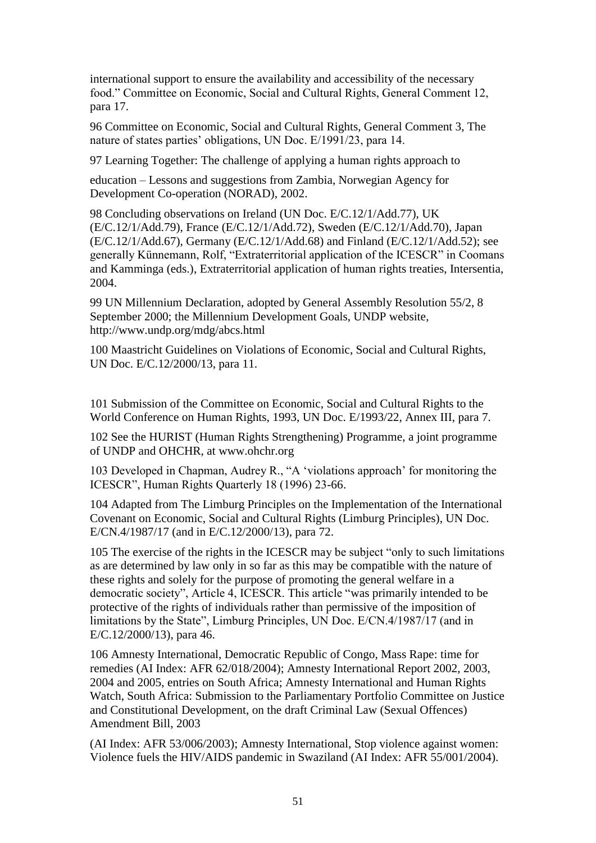international support to ensure the availability and accessibility of the necessary food." Committee on Economic, Social and Cultural Rights, General Comment 12, para 17.

96 Committee on Economic, Social and Cultural Rights, General Comment 3, The nature of states parties' obligations, UN Doc. E/1991/23, para 14.

97 Learning Together: The challenge of applying a human rights approach to

education – Lessons and suggestions from Zambia, Norwegian Agency for Development Co-operation (NORAD), 2002.

98 Concluding observations on Ireland (UN Doc. E/C.12/1/Add.77), UK (E/C.12/1/Add.79), France (E/C.12/1/Add.72), Sweden (E/C.12/1/Add.70), Japan (E/C.12/1/Add.67), Germany (E/C.12/1/Add.68) and Finland (E/C.12/1/Add.52); see generally Künnemann, Rolf, "Extraterritorial application of the ICESCR" in Coomans and Kamminga (eds.), Extraterritorial application of human rights treaties, Intersentia, 2004.

99 UN Millennium Declaration, adopted by General Assembly Resolution 55/2, 8 September 2000; the Millennium Development Goals, UNDP website, http://www.undp.org/mdg/abcs.html

100 Maastricht Guidelines on Violations of Economic, Social and Cultural Rights, UN Doc. E/C.12/2000/13, para 11.

101 Submission of the Committee on Economic, Social and Cultural Rights to the World Conference on Human Rights, 1993, UN Doc. E/1993/22, Annex III, para 7.

102 See the HURIST (Human Rights Strengthening) Programme, a joint programme of UNDP and OHCHR, at www.ohchr.org

103 Developed in Chapman, Audrey R., "A 'violations approach' for monitoring the ICESCR", Human Rights Quarterly 18 (1996) 23-66.

104 Adapted from The Limburg Principles on the Implementation of the International Covenant on Economic, Social and Cultural Rights (Limburg Principles), UN Doc. E/CN.4/1987/17 (and in E/C.12/2000/13), para 72.

105 The exercise of the rights in the ICESCR may be subject "only to such limitations as are determined by law only in so far as this may be compatible with the nature of these rights and solely for the purpose of promoting the general welfare in a democratic society", Article 4, ICESCR. This article "was primarily intended to be protective of the rights of individuals rather than permissive of the imposition of limitations by the State", Limburg Principles, UN Doc. E/CN.4/1987/17 (and in E/C.12/2000/13), para 46.

106 Amnesty International, Democratic Republic of Congo, Mass Rape: time for remedies (AI Index: AFR 62/018/2004); Amnesty International Report 2002, 2003, 2004 and 2005, entries on South Africa; Amnesty International and Human Rights Watch, South Africa: Submission to the Parliamentary Portfolio Committee on Justice and Constitutional Development, on the draft Criminal Law (Sexual Offences) Amendment Bill, 2003

(AI Index: AFR 53/006/2003); Amnesty International, Stop violence against women: Violence fuels the HIV/AIDS pandemic in Swaziland (AI Index: AFR 55/001/2004).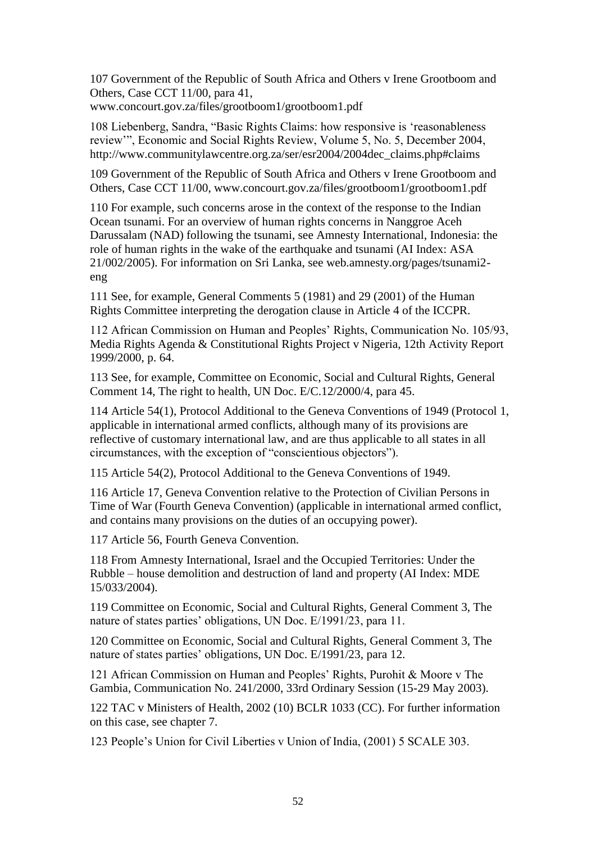107 Government of the Republic of South Africa and Others v Irene Grootboom and Others, Case CCT 11/00, para 41, www.concourt.gov.za/files/grootboom1/grootboom1.pdf

108 Liebenberg, Sandra, "Basic Rights Claims: how responsive is 'reasonableness review'", Economic and Social Rights Review, Volume 5, No. 5, December 2004, http://www.communitylawcentre.org.za/ser/esr2004/2004dec\_claims.php#claims

109 Government of the Republic of South Africa and Others v Irene Grootboom and Others, Case CCT 11/00, www.concourt.gov.za/files/grootboom1/grootboom1.pdf

110 For example, such concerns arose in the context of the response to the Indian Ocean tsunami. For an overview of human rights concerns in Nanggroe Aceh Darussalam (NAD) following the tsunami, see Amnesty International, Indonesia: the role of human rights in the wake of the earthquake and tsunami (AI Index: ASA 21/002/2005). For information on Sri Lanka, see web.amnesty.org/pages/tsunami2 eng

111 See, for example, General Comments 5 (1981) and 29 (2001) of the Human Rights Committee interpreting the derogation clause in Article 4 of the ICCPR.

112 African Commission on Human and Peoples' Rights, Communication No. 105/93, Media Rights Agenda & Constitutional Rights Project v Nigeria, 12th Activity Report 1999/2000, p. 64.

113 See, for example, Committee on Economic, Social and Cultural Rights, General Comment 14, The right to health, UN Doc. E/C.12/2000/4, para 45.

114 Article 54(1), Protocol Additional to the Geneva Conventions of 1949 (Protocol 1, applicable in international armed conflicts, although many of its provisions are reflective of customary international law, and are thus applicable to all states in all circumstances, with the exception of "conscientious objectors").

115 Article 54(2), Protocol Additional to the Geneva Conventions of 1949.

116 Article 17, Geneva Convention relative to the Protection of Civilian Persons in Time of War (Fourth Geneva Convention) (applicable in international armed conflict, and contains many provisions on the duties of an occupying power).

117 Article 56, Fourth Geneva Convention.

118 From Amnesty International, Israel and the Occupied Territories: Under the Rubble – house demolition and destruction of land and property (AI Index: MDE 15/033/2004).

119 Committee on Economic, Social and Cultural Rights, General Comment 3, The nature of states parties' obligations, UN Doc. E/1991/23, para 11.

120 Committee on Economic, Social and Cultural Rights, General Comment 3, The nature of states parties' obligations, UN Doc. E/1991/23, para 12.

121 African Commission on Human and Peoples' Rights, Purohit & Moore v The Gambia, Communication No. 241/2000, 33rd Ordinary Session (15-29 May 2003).

122 TAC v Ministers of Health, 2002 (10) BCLR 1033 (CC). For further information on this case, see chapter 7.

123 People's Union for Civil Liberties v Union of India, (2001) 5 SCALE 303.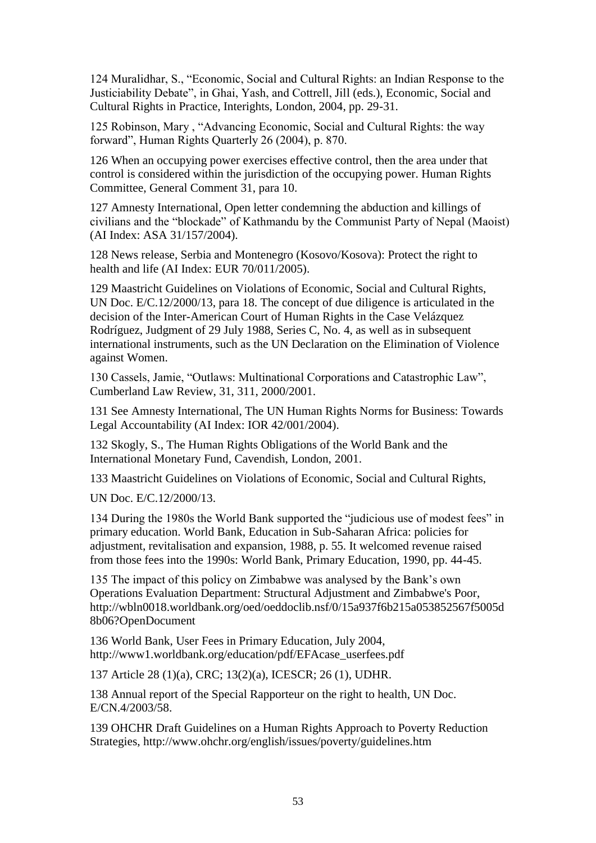124 Muralidhar, S., "Economic, Social and Cultural Rights: an Indian Response to the Justiciability Debate", in Ghai, Yash, and Cottrell, Jill (eds.), Economic, Social and Cultural Rights in Practice, Interights, London, 2004, pp. 29-31.

125 Robinson, Mary , "Advancing Economic, Social and Cultural Rights: the way forward", Human Rights Quarterly 26 (2004), p. 870.

126 When an occupying power exercises effective control, then the area under that control is considered within the jurisdiction of the occupying power. Human Rights Committee, General Comment 31, para 10.

127 Amnesty International, Open letter condemning the abduction and killings of civilians and the "blockade" of Kathmandu by the Communist Party of Nepal (Maoist) (AI Index: ASA 31/157/2004).

128 News release, Serbia and Montenegro (Kosovo/Kosova): Protect the right to health and life (AI Index: EUR 70/011/2005).

129 Maastricht Guidelines on Violations of Economic, Social and Cultural Rights, UN Doc. E/C.12/2000/13, para 18. The concept of due diligence is articulated in the decision of the Inter-American Court of Human Rights in the Case Velázquez Rodríguez, Judgment of 29 July 1988, Series C, No. 4, as well as in subsequent international instruments, such as the UN Declaration on the Elimination of Violence against Women.

130 Cassels, Jamie, "Outlaws: Multinational Corporations and Catastrophic Law", Cumberland Law Review, 31, 311, 2000/2001.

131 See Amnesty International, The UN Human Rights Norms for Business: Towards Legal Accountability (AI Index: IOR 42/001/2004).

132 Skogly, S., The Human Rights Obligations of the World Bank and the International Monetary Fund, Cavendish, London, 2001.

133 Maastricht Guidelines on Violations of Economic, Social and Cultural Rights,

UN Doc. E/C.12/2000/13.

134 During the 1980s the World Bank supported the "judicious use of modest fees" in primary education. World Bank, Education in Sub-Saharan Africa: policies for adjustment, revitalisation and expansion, 1988, p. 55. It welcomed revenue raised from those fees into the 1990s: World Bank, Primary Education, 1990, pp. 44-45.

135 The impact of this policy on Zimbabwe was analysed by the Bank's own Operations Evaluation Department: Structural Adjustment and Zimbabwe's Poor, http://wbln0018.worldbank.org/oed/oeddoclib.nsf/0/15a937f6b215a053852567f5005d 8b06?OpenDocument

136 World Bank, User Fees in Primary Education, July 2004, http://www1.worldbank.org/education/pdf/EFAcase\_userfees.pdf

137 Article 28 (1)(a), CRC; 13(2)(a), ICESCR; 26 (1), UDHR.

138 Annual report of the Special Rapporteur on the right to health, UN Doc. E/CN.4/2003/58.

139 OHCHR Draft Guidelines on a Human Rights Approach to Poverty Reduction Strategies, http://www.ohchr.org/english/issues/poverty/guidelines.htm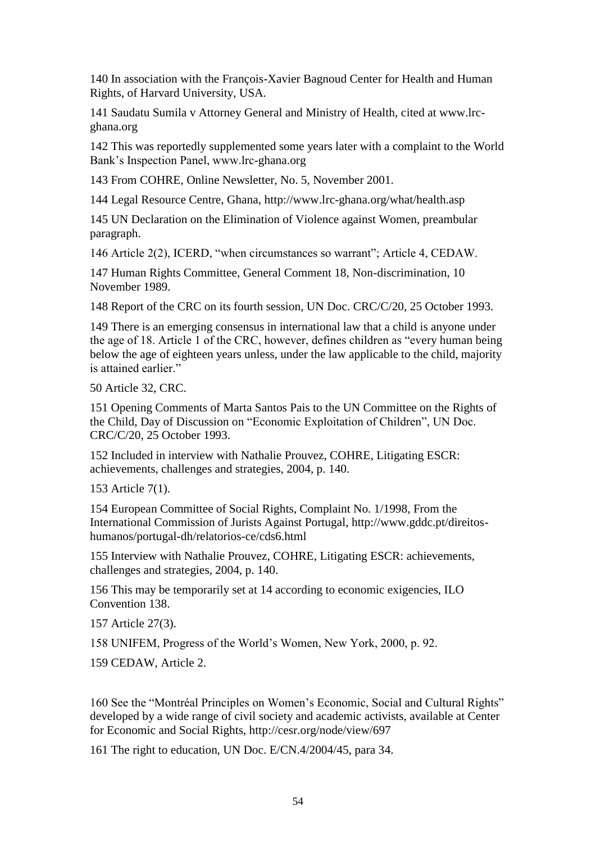140 In association with the François-Xavier Bagnoud Center for Health and Human Rights, of Harvard University, USA.

141 Saudatu Sumila v Attorney General and Ministry of Health, cited at www.lrcghana.org

142 This was reportedly supplemented some years later with a complaint to the World Bank's Inspection Panel, www.lrc-ghana.org

143 From COHRE, Online Newsletter, No. 5, November 2001.

144 Legal Resource Centre, Ghana, http://www.lrc-ghana.org/what/health.asp

145 UN Declaration on the Elimination of Violence against Women, preambular paragraph.

146 Article 2(2), ICERD, "when circumstances so warrant"; Article 4, CEDAW.

147 Human Rights Committee, General Comment 18, Non-discrimination, 10 November 1989.

148 Report of the CRC on its fourth session, UN Doc. CRC/C/20, 25 October 1993.

149 There is an emerging consensus in international law that a child is anyone under the age of 18. Article 1 of the CRC, however, defines children as "every human being below the age of eighteen years unless, under the law applicable to the child, majority is attained earlier."

50 Article 32, CRC.

151 Opening Comments of Marta Santos Pais to the UN Committee on the Rights of the Child, Day of Discussion on "Economic Exploitation of Children", UN Doc. CRC/C/20, 25 October 1993.

152 Included in interview with Nathalie Prouvez, COHRE, Litigating ESCR: achievements, challenges and strategies, 2004, p. 140.

153 Article 7(1).

154 European Committee of Social Rights, Complaint No. 1/1998, From the International Commission of Jurists Against Portugal, http://www.gddc.pt/direitoshumanos/portugal-dh/relatorios-ce/cds6.html

155 Interview with Nathalie Prouvez, COHRE, Litigating ESCR: achievements, challenges and strategies, 2004, p. 140.

156 This may be temporarily set at 14 according to economic exigencies, ILO Convention 138.

157 Article 27(3).

158 UNIFEM, Progress of the World's Women, New York, 2000, p. 92.

159 CEDAW, Article 2.

160 See the "Montréal Principles on Women's Economic, Social and Cultural Rights" developed by a wide range of civil society and academic activists, available at Center for Economic and Social Rights, http://cesr.org/node/view/697

161 The right to education, UN Doc. E/CN.4/2004/45, para 34.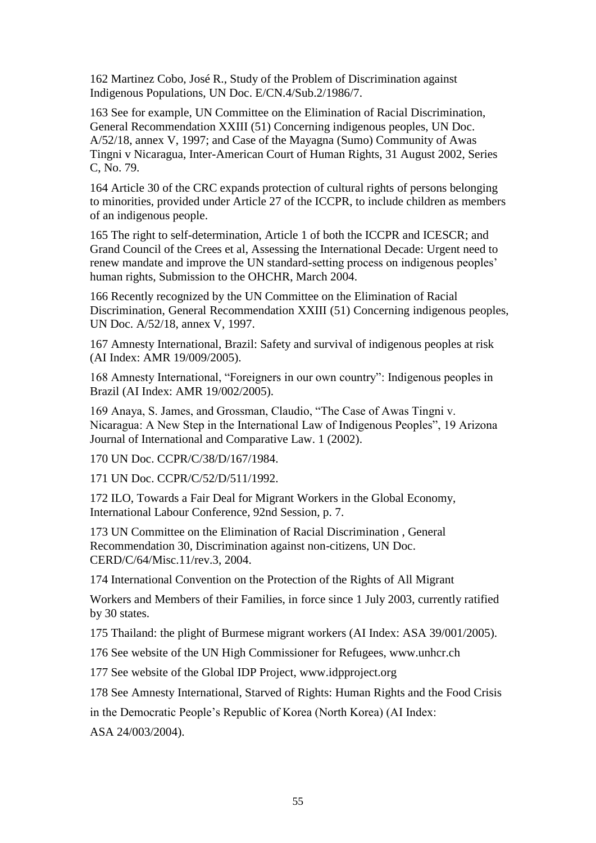162 Martinez Cobo, José R., Study of the Problem of Discrimination against Indigenous Populations, UN Doc. E/CN.4/Sub.2/1986/7.

163 See for example, UN Committee on the Elimination of Racial Discrimination, General Recommendation XXIII (51) Concerning indigenous peoples, UN Doc. A/52/18, annex V, 1997; and Case of the Mayagna (Sumo) Community of Awas Tingni v Nicaragua, Inter-American Court of Human Rights, 31 August 2002, Series C, No. 79.

164 Article 30 of the CRC expands protection of cultural rights of persons belonging to minorities, provided under Article 27 of the ICCPR, to include children as members of an indigenous people.

165 The right to self-determination, Article 1 of both the ICCPR and ICESCR; and Grand Council of the Crees et al, Assessing the International Decade: Urgent need to renew mandate and improve the UN standard-setting process on indigenous peoples' human rights, Submission to the OHCHR, March 2004.

166 Recently recognized by the UN Committee on the Elimination of Racial Discrimination, General Recommendation XXIII (51) Concerning indigenous peoples, UN Doc. A/52/18, annex V, 1997.

167 Amnesty International, Brazil: Safety and survival of indigenous peoples at risk (AI Index: AMR 19/009/2005).

168 Amnesty International, "Foreigners in our own country": Indigenous peoples in Brazil (AI Index: AMR 19/002/2005).

169 Anaya, S. James, and Grossman, Claudio, "The Case of Awas Tingni v. Nicaragua: A New Step in the International Law of Indigenous Peoples", 19 Arizona Journal of International and Comparative Law. 1 (2002).

170 UN Doc. CCPR/C/38/D/167/1984.

171 UN Doc. CCPR/C/52/D/511/1992.

172 ILO, Towards a Fair Deal for Migrant Workers in the Global Economy, International Labour Conference, 92nd Session, p. 7.

173 UN Committee on the Elimination of Racial Discrimination , General Recommendation 30, Discrimination against non-citizens, UN Doc. CERD/C/64/Misc.11/rev.3, 2004.

174 International Convention on the Protection of the Rights of All Migrant

Workers and Members of their Families, in force since 1 July 2003, currently ratified by 30 states.

175 Thailand: the plight of Burmese migrant workers (AI Index: ASA 39/001/2005).

176 See website of the UN High Commissioner for Refugees, www.unhcr.ch

177 See website of the Global IDP Project, www.idpproject.org

178 See Amnesty International, Starved of Rights: Human Rights and the Food Crisis

in the Democratic People's Republic of Korea (North Korea) (AI Index:

ASA 24/003/2004).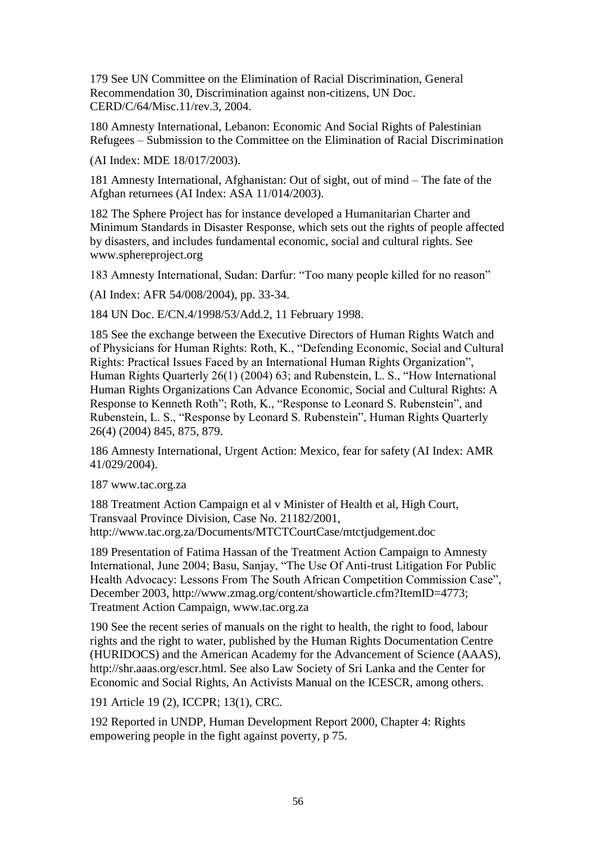179 See UN Committee on the Elimination of Racial Discrimination, General Recommendation 30, Discrimination against non-citizens, UN Doc. CERD/C/64/Misc.11/rev.3, 2004.

180 Amnesty International, Lebanon: Economic And Social Rights of Palestinian Refugees – Submission to the Committee on the Elimination of Racial Discrimination

(AI Index: MDE 18/017/2003).

181 Amnesty International, Afghanistan: Out of sight, out of mind – The fate of the Afghan returnees (AI Index: ASA 11/014/2003).

182 The Sphere Project has for instance developed a Humanitarian Charter and Minimum Standards in Disaster Response, which sets out the rights of people affected by disasters, and includes fundamental economic, social and cultural rights. See www.sphereproject.org

183 Amnesty International, Sudan: Darfur: "Too many people killed for no reason"

(AI Index: AFR 54/008/2004), pp. 33-34.

184 UN Doc. E/CN.4/1998/53/Add.2, 11 February 1998.

185 See the exchange between the Executive Directors of Human Rights Watch and of Physicians for Human Rights: Roth, K., "Defending Economic, Social and Cultural Rights: Practical Issues Faced by an International Human Rights Organization", Human Rights Quarterly 26(1) (2004) 63; and Rubenstein, L. S., "How International Human Rights Organizations Can Advance Economic, Social and Cultural Rights: A Response to Kenneth Roth"; Roth, K., "Response to Leonard S. Rubenstein", and Rubenstein, L. S., "Response by Leonard S. Rubenstein", Human Rights Quarterly 26(4) (2004) 845, 875, 879.

186 Amnesty International, Urgent Action: Mexico, fear for safety (AI Index: AMR 41/029/2004).

187 www.tac.org.za

188 Treatment Action Campaign et al v Minister of Health et al, High Court, Transvaal Province Division, Case No. 21182/2001, http://www.tac.org.za/Documents/MTCTCourtCase/mtctjudgement.doc

189 Presentation of Fatima Hassan of the Treatment Action Campaign to Amnesty International, June 2004; Basu, Sanjay, "The Use Of Anti-trust Litigation For Public Health Advocacy: Lessons From The South African Competition Commission Case", December 2003, http://www.zmag.org/content/showarticle.cfm?ItemID=4773; Treatment Action Campaign, www.tac.org.za

190 See the recent series of manuals on the right to health, the right to food, labour rights and the right to water, published by the Human Rights Documentation Centre (HURIDOCS) and the American Academy for the Advancement of Science (AAAS), http://shr.aaas.org/escr.html. See also Law Society of Sri Lanka and the Center for Economic and Social Rights, An Activists Manual on the ICESCR, among others.

191 Article 19 (2), ICCPR; 13(1), CRC.

192 Reported in UNDP, Human Development Report 2000, Chapter 4: Rights empowering people in the fight against poverty, p 75.